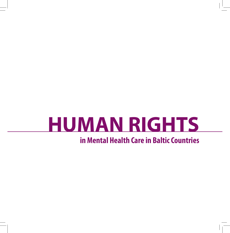# **HUMAN RIGHTS**

### **in Mental Health Care in Baltic Countries**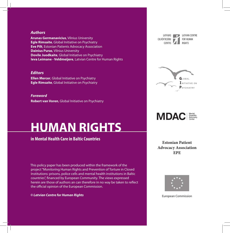#### *Authors*

**Arunas Germanavicius**, Vilnius University **Egle Rimsaite**, Global Initiative on Psychiatry **Eve Pilt**, Estonian Patients Advocacy Association **Dainius Puras**, Vilnius University **Dovile Juodkaite**, Global Initiative on Psychiatry **Ieva Leimane - Veldmeijere**, Latvian Centre for Human Rights

#### *Editors*

**Ellen Mercer**, Global Initiative on Psychiatry **Egle Rimsaite**, Global Initiative on Psychiatry

*Foreword*

**Robert van Voren**, Global Initiative on Psychiatry

## **HUMAN RIGHTS**

**in Mental Health Care in Baltic Countries**

This policy paper has been produced within the framework of the project "Monitoring Human Rights and Prevention of Torture in Closed Institutions: prisons, police cells and mental health institutions in Baltic countries", financed by European Community. The views expressed herein are those of authors an can therefore in no way be taken to reflect the official opinion of the European Commission.

*© Latvian Centre for Human Rights*

LATVIJAS **CILVEKTIESTBU** 

**LATVIAN CENTRE** FOR HUMAN





**Estonian Patient Advocacy Association EPE**



European Commission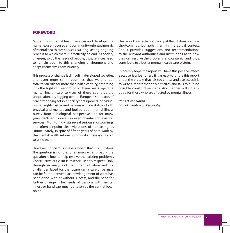#### **FOREWORD**

Modernizing mental health services and developing a humane, user-focused and community-oriented mosaic of mental health care services is a long-lasting, ongoing process to which there is practically no end. As society changes, so do the needs of people; thus, services need to remain open to this changing environment and adapt themselves continuously.

This process of change is difficult in developed societies, and even more so in countries that were under totalitarian rule for more than half a century, emerging into the light of freedom only fifteen years ago. The mental health care services of these countries are unquestionably lagging behind European standards of care after being set in a society that ignored individual human rights, ostracized persons with disabilities, both physical and mental, and looked upon mental illness purely from a biological perspective and for many years declined to invest in even maintaining existing services. Monitoring visits reveal serious shortcomings and often pinpoint clear violations of human rights. Unfortunately, in spite of fifteen years of hard work by the mental health reform community, there is still a lot to criticize.

However, criticism is useless when that is all it does. The question is not that one knows what is bad – the question is how to help resolve the existing problems. Constructive criticism is essential in this respect. Only through an analysis of the current situation and the challenges faced for the future can a careful balance can be found between acknowledgement of what has been done, with or without success, and the need for further change. The needs of persons with mental illness or handicap must be taken as the central focal point.

This report is an attempt to do just that. It does not hide shortcomings, but puts them in the actual context. And it provides suggestions and recommendations to the relevant authorities and institutions as to how they can resolve the problems encountered, and, thus, contribute to a better mental health care system.

I sincerely hope the report will have this positive effect. Because, let's be honest; it is as easy to ignore this report under the pretext that it is too critical and biased, as it is to write a report that only criticizes and fails to outline possible constructive steps. And neither will do any good for those who are affected by mental illness.

#### *Robert van Voren*

*Global Initiative on Psychiatry*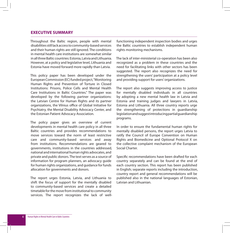#### **EXECUTIVE SUMMARY**

Throughout the Baltic region, people with mental disabilities still lack access to community-based services and their human rights are still ignored. The conditions in mental health care institutions are somewhat similar in all three Baltic countries: Estonia, Latvia and Lithuania. However, at a policy and legislative level, Lithuania and Estonia have moved forward more rapidly than Latvia.

This policy paper has been developed under the European Commission (EC) funded project, "Monitoring Human Rights and Prevention of Torture in Closed Institutions: Prisons, Police Cells and Mental Health Care Institutions in Baltic Countries." The paper was developed by the following partner organizations: the Latvian Centre for Human Rights and its partner organizations, the Vilnius office of Global Initiative for Psychiatry, the Mental Disability Advocacy Center, and the Estonian Patient Advocacy Association.

The policy paper gives an overview of current developments in mental health care policy in all three Baltic countries and provides recommendations to move services toward the norm of least restrictive care and community-based services and away from institutions. Recommendations are geared to governments, institutions in the countries addressed, national and international human rights advocates, and private and public donors. The text serves as a source of information for program planners, an advocacy guide for human rights organizations, and guidance for funds allocation for governments and donors.

The report urges Estonia, Latvia, and Lithuania to shift the focus of support for the mentally disabled to community-based services and create a detailed timetable for the move from institutional to community services. The report recognizes the lack of wellfunctioning independent inspection bodies and urges the Baltic countries to establish independent human rights monitoring mechanisms.

The lack of inter-ministerial co-operation has been also recognized as a problem in these countries and the need for facilitating links with other sectors has been suggested. The report also recognizes the need for strengthening the users' participation at a policy level and providing support for users' organizations.

The report also suggests improving access to justice for mentally disabled individuals in all countries by adopting a new mental health law in Latvia and Estonia and training judges and lawyers in Latvia, Estonia and Lithuania. All three country reports urge the strengthening of protections in guardianship legislation and suggest introducing partial guardianship programs.

In order to ensure the fundamental human rights for mentally disabled persons, the report urges Latvia to ratify the Council of Europe Convention on Human Rights and Biomedicine and Optional Protocol X on the collective complaint mechanism of the European Social Charter.

Specific recommendations have been drafted for each country separately and can be found at the end of each country section. This report has been published in English; separate reports including the introduction, country report and general recommendations will be published also in the national languages of Estonian, Latvian and Lithuanian.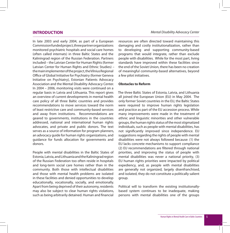#### **INTRODUCTION**

In late 2003 and early 2004, as part of a European Commission funded project, three partner organizations monitored psychiatric hospitals and social care homes (often called internats) in three Baltic States and the Kaliningrad region of the Russian Federation. Partners included – the Latvian Center for Human Rights (former Latvian Center for Human Rights and Ethnic Studies) – the main implementer of the project, the Vilnius Regional Office of Global Initiative for Psychiatry (former Geneva Initiative on Psychiatry), Estonian Patients Advocacy Association and the Mental Disability Advocacy Center. In 2004 – 2006, monitoring visits were continued on a regular basis in Latvia and Lithuania. This report gives an overview of current developments in mental health care policy of all three Baltic countries and provides recommendations to move services toward the norm of least restrictive care and community-based services and away from institutions. Recommendations are geared to governments, institutions in the countries addressed, national and international human rights advocates, and private and public donors. The text serves as a source of information for program planners, an advocacy guide for human rights organizations, and guidance for funds allocation for governments and donors.

People with mental disabilities in the Baltic States of Estonia, Latvia, and Lithuania and the Kaliningrad region of the Russian Federation too often reside in hospitals and long-term social care homes rather than in the community. Both those with intellectual disabilities and those with mental health problems are isolated in these facilities and denied opportunities to develop educationally, vocationally, socially, and emotionally. Apart from being deprived of their autonomy, residents may also be subject to clear human rights violations, such as being arbitrarily detained. Human and financial resources are often directed toward maintaining this damaging and costly institutionalization, rather than to developing and supporting community-based programs that would integrate, rather than exclude people with disabilities. While for the most part, living standards have improved within these facilities since the end of the Soviet Union, there has been no creation of meaningful community-based alternatives, beyond a few pilot initiatives.

#### **Obstacles to Reform**

The three Baltic States of Estonia, Latvia, and Lithuania all joined the European Union (EU) in May 2004. The only former Soviet countries in the EU, the Baltic States were required to improve human rights legislation and practice as part of the EU accession process. While many improvements were made in the treatment of ethnic and linguistic minorities and other vulnerable groups, the human rights status of the most stigmatized individuals, such as people with mental disabilities, has not significantly improved since independence. EU suggestions regarding the rights of people with mental disabilities were not always followed because: (1) the EU lacks concrete mechanisms to support compliance (2) EU recommendations are filtered through national priorities, and improving the status of people with mental disabilities was never a national priority, (3) EU human rights priorities were impacted by political expediency, and, as people with mental disabilities are generally not organized, largely disenfranchised, and isolated, they do not constitute a politically salient group.

Political will to transform the existing institutionallybased system continues to be inadequate, making persons with mental disabilities one of the groups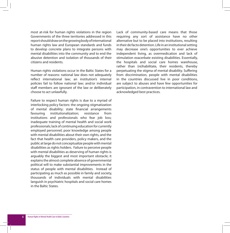most at-risk for human rights violations in the region Governments of the three territories addressed in this report should draw on the growing body of international human rights law and European standards and funds to develop concrete plans to integrate persons with mental disabilities into the community and to end the abusive detention and isolation of thousands of their citizens and residents.

Human rights violations occur in the Baltic States for a number of reasons: national law does not adequately reflect international law; an institution's internal policies fail to follow national law; and/or individual staff members are ignorant of the law or deliberately choose to act unlawfully.

Failure to respect human rights is due to a myriad of interlocking policy factors: the ongoing stigmatization of mental disability; state financial arrangements favouring institutionalization; resistance from institutions and professionals who fear job loss; inadequate training of mental health and social work professionals; lack of continuing education for currently employed personnel; poor knowledge among people with mental disabilities about their own rights, and the fact that health care providers, policy makers, and the public at large do not conceptualize people with mental disabilities as rights holders. Failure to perceive people with mental disabilities as deserving of human rights is arguably the biggest and most important obstacle; it explains the almost complete absence of governmental political will to make substantial improvements in the status of people with mental disabilities. Instead of participating as much as possible in family and society, thousands of individuals with mental disabilities languish in psychiatric hospitals and social care homes in the Baltic States.

Lack of community-based care means that those requiring any sort of assistance have no other alternative but to be placed into institutions, resulting in their de facto detention. Life in an institutional setting may decrease one's opportunities to ever achieve independent living, as overmedication and lack of stimulation exacerbate existing disabilities. Essentially, the hospitals and social care homes warehouse, rather than (re)habilitate, their residents, thereby perpetuating the stigma of mental disability. Suffering from discrimination, people with mental disabilities in the countries discussed live in poor conditions, are subject to abuses and have few opportunities for participation, in contravention to international law and acknowledged best practices.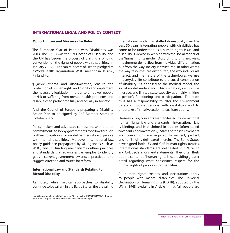#### **INTERNATIONAL LEGAL AND POLICY CONTEXT**

#### **Opportunities and Measures for Reform**

The European Year of People with Disabilities was 2003. The 1990s was the UN Decade of Disability, and the UN has begun the process of drafting a binding convention on the rights of people with disabilities. In January 2005, European Ministers of Health pledged at a World Health Organization (WHO) meeting in Helsinki, Finland, to:

"[T]ackle stigma and discrimination, ensure the protection of human rights and dignity and implement the necessary legislation in order to empower people at risk or suffering from mental health problems and disabilities to participate fully and equally in society."1

And, the Council of Europe is preparing a Disability Action Plan to be signed by CoE Member States in October 2005.

Policy makers and advocates can use these and other commitments to lobby governments to follow through on their obligation to promote the integration of people with mental disabilities. Moreover, international law, policy guidance propagated by UN agencies such as WHO, and EU funding mechanisms outline practices and standards that advocates can employ to identify gaps in current government law and/or practice and to suggest direction and routes for reform.

#### **International Law and Standards Relating to Mental Disability**

As noted, while medical approaches to disability continue to be salient in the Baltic States, the prevailing

international model has shifted dramatically over the past 30 years. Integrating people with disabilities has come to be understood as a human rights issue, and disability is viewed in keeping with the 'social model' or the 'human rights model.' According to this new view, impairments do not flow from individual differentiation, but from the way society is structured. In other words, the way resources are distributed, the way individuals interact, and the nature of the technologies we use in everyday life contribute to the social construction of disability. As opposed to the medical model, the social model understands discrimination, distributive injustice, and limited state capacity as unfairly limiting a person's functioning and participation. The state thus has a responsibility to alter the environment to accommodate persons with disabilities and to undertake affirmative action to facilitate equity.

These evolving concepts are manifested in international human rights law and standards. International law is binding, and is enshrined in treaties (often called 'covenants' or 'conventions'). States parties to covenants and conventions are required to respect, protect, and fulfil rights delineated therein. The Baltic States have signed both UN and CoE human rights treaties. International standards are delineated in UN, WHO, and CoE declarations and statements. They often flesh out the content of human rights law, providing greater detail regarding what constitutes respect for the human rights of people with disabilities.

All human rights treaties and declarations apply to people with mental disabilities. The Universal Declaration of Human Rights (UDHR), adopted by the UN in 1948, explains in Article 1 that: "all people are

<sup>1</sup> WHO European Ministerial Conference on Mental Health. EUR/04/5047810/6 14 January 2005. 52667. http://www.euro.who.int/document/mnh/edoc06.pdf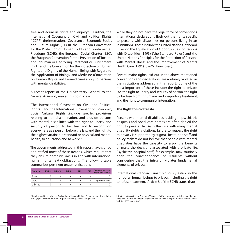free and equal in rights and dignity."2 Further, the International Covenant on Civil and Political Rights (ICCPR), the International Covenant on Economic, Social, and Cultural Rights (ISECR), the European Convention for the Protection of Human Rights and Fundamental Freedoms (ECHR), the European Social Charter (ESC), the European Convention for the Prevention of Torture and Inhuman or Degrading Treatment or Punishment (CPT), and the Convention for the Protection of Human Rights and Dignity of the Human Being with Regard to the Application of Biology and Medicine (Convention on Human Rights and Biomedicine) apply to persons with mental disabilities.

A recent report of the UN Secretary General to the General Assembly makes this point clear:

"The International Covenant on Civil and Political Rights…and the International Covenant on Economic, Social Cultural Rights…include specific provisions relating to non-discrimination, and provide persons with mental disabilities with the right to liberty and security of person, to fair trial and to recognition everywhere as a person before the law, and the right to the highest attainable standard or physical and mental health, to education and to work"3

The governments addressed in this report have signed and ratified most of these treaties, which require that they ensure domestic law is in line with international human rights treaty obligations. The following table summarizes pertinent treaty ratifications.

| <b>Country</b> | <b>ICCPR</b> | <b>ICESCR</b> | <b>ECHR</b> | ESC | <b>CPT</b> | <b>Convention on Human</b><br><b>Rights &amp; Biomedicine</b> |
|----------------|--------------|---------------|-------------|-----|------------|---------------------------------------------------------------|
| Estonia        |              |               |             |     |            |                                                               |
| Latvia         |              |               |             |     |            | Signed but not ratified                                       |
| Lithuania      |              |               |             |     |            |                                                               |

While they do not have the legal force of conventions, international declarations flesh out the rights specific to persons with disabilities (or persons living in an institution). These include the United Nations Standard Rules on the Equalization of Opportunities for Persons with Disabilities (1993) ('the Standard Rules') and the United Nations Principles for the Protection of Persons with Mental Illness and the Improvement of Mental Health Care (1991) (the 'MI Principles').

Several major rights laid out in the above mentioned conventions and declarations are routinely violated in the institutions addressed in this report. Some of the most important of these include: the right to private life, the right to liberty and security of person, the right to be free from inhumane and degrading treatment, and the right to community integration.

#### **The Right to Private Life**

Persons with mental disabilities residing in psychiatric hospitals and social care homes are often denied the right to private life. As is the case with many mental disability rights violations, failure to respect the right to privacy is supported by stigma. Institution staff and policy makers do not believe that people with mental disabilities have the capacity to enjoy the benefits or make the decisions associated with a private life. Psychiatric hospital staff, for example, may routinely open the correspondence of residents without considering that this intrusion violates fundamental elements of privacy.

International standards unambiguously establish the right of all human beings to privacy, including the right to refuse treatment. Article 8 of the ECHR states that:

2 Emphasis added. Universal Declaration of Human Rights. General Assembly resolution 217 A (III) of 10 December 1948. http://www.un.org/Overview/rights.html

3 United Nations General Assembly, 'Progress of efforts to ensure the full recognition and enjoyment of the human rights of persons with disabilities' Report of the Secretary General, 24th July 2003, pages 4 & 5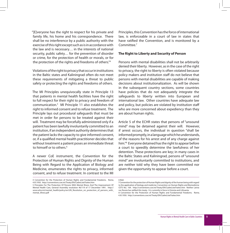"[E]veryone has the right to respect for his private and family life, his home and his correspondence. There shall be no interference by a public authority with the exercise of this right except such as is in accordance with the law and is necessary… in the interests of national security, public safety… for the prevention of disorder or crime, for the protection of health or morals, or for the protection of the rights and freedoms of others."4

Violations of the right to privacy that occur in institutions in the Baltic states and Kaliningrad often do not meet these requirements of mitigating a threat to public safety or protecting the rights and freedoms of others.

The MI Principles unequivocally state in Principle 13 that patients in mental health facilities have the right to full respect for their right to privacy and freedom of communication.5 MI Principle 11 also establishes the right to informed consent and to refuse treatment. The Principle lays out procedural safeguards that must be met in order for persons to be treated against their will. Treatment may be forcefully administered only if a patient has been lawfully involuntarily committed to an institution, if an independent authority determines that the patient lacks the capacity to give informed consent, or, if a qualified mental health practitioner decides that without treatment a patient poses an immediate threat to himself or to others.<sup>6</sup>

A newer CoE instrument, the Convention for the Protection of Human Rights and Dignity of the Human Being with Regard to the Application of Biology and Medicine, enumerates the rights to privacy, informed consent, and to refuse treatment. In contrast to the MI

4 Convention for the Protection of Human Rights and Fundamental Freedoms. Rome, 4.XI.1950. http://conventions.coe.int/Treaty/EN/CadreListeTraites.htm

Principles, this Convention has the force of international law, is enforceable in a court of law in states that have ratified the Convention, and is monitored by a Committee.7

#### **The Right to Liberty and Security of Person**

Persons with mental disabilities shall not be arbitrarily denied their liberty. However, as in the case of the right to privacy, the right to liberty is often violated because policy makers and institution staff do not believe that persons with mental disabilities are capable of making decisions about institutionalization. As will be shown in the subsequent country sections, some countries have policies that do not adequately integrate the safeguards to liberty written into European and international law. Other countries have adequate law and policy, but policies are violated by institution staff who are more concerned about expediency than they are about human rights.

Article 5 of the ECHR states that persons of "unsound mind" may be detained against their will. However, if arrest occurs, the individual in question "shall be informed promptly, in a language which he understands, of the reasons for his arrest and of any charge against him."8 Everyone detained has the right to appear before a court to speedily determine the lawfulness of her detention. These protections are key; in many cases in the Baltic States and Kaliningrad, persons of "unsound mind" are involuntarily committed to institutions, and are neither told why they have been committed nor given the opportunity to appear before a court.

<sup>5</sup> Principles For The Protection Of Persons With Mental Illness And The Improvement Of Mental Health Care, General Assembly resolution 46/119 of 17 December 1991. http:// www.who.int/mental\_health/policy/en/UN\_Resolution\_on\_protection\_of\_persons\_with mental\_illness.pdf

<sup>6</sup> Ibid.

<sup>7</sup> Convention for the protection of Human Rights and dignity of the human being with regard to the application of biology and medicine: Convention on Human Rights and Biomedicine CETS No.: 164. http://conventions.coe.int/Treaty/EN/CadreListeTraites.htm Neither Latvia nor Russia has ratified this treaty. It is currently in force in Estonia and Lithuania. 8 Convention for the Protection of Human Rights and Fundamental Freedoms. Rome, 4.XI.1950. http://conventions.coe.int/Treaty/EN/CadreListeTraites.htm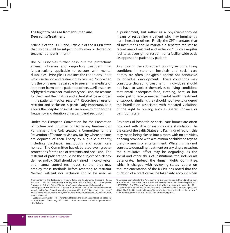#### **The Right to be Free from Inhuman and Degrading Treatment**

Article 3 of the ECHR and Article 7 of the ICCPR state that no one shall be subject to inhuman or degrading treatment or punishment.<sup>9</sup>

The MI Principles further flesh out the protections against inhuman and degrading treatment that is particularly applicable to persons with mental disabilities. Principle 11 outlines the conditions under which seclusion and restraint may be used: "only when it is the only means available to prevent immediate or imminent harm to the patient or others….All instances of physical restraint or involuntary seclusion, the reasons for them and their nature and extent shall be recorded in the patient's medical record."10 Recording all uses of restraint and seclusion is particularly important, as it allows the hospital or social care home to monitor the frequency and duration of restraint and seclusion.

Under the European Convention for the Prevention of Torture and Inhuman or Degrading Treatment or Punishment, the CoE created a Committee for the Prevention of Torture to visit any facility where persons are deprived of their liberty by a public authority, including psychiatric institutions and social care homes.<sup>11</sup> The Committee has elaborated even greater protections for the use of restraints and seclusion. The restraint of patients should be the subject of a clearlydefined policy. Staff should be trained in non-physical and manual control techniques, so that they may employ these methods before resorting to restraint. Neither restraint nor seclusion should be used as

a punishment, but rather as a physician-approved means of restraining a patient who may imminently harm herself or others. Finally, the CPT mandates that all institutions should maintain a separate register to record uses of restraint and seclusion.12 Such a register facilitates oversight of restraint on a facility-wide basis (as opposed to patient by patient).

As shown in the subsequent country sections, living conditions in state-run hospitals and social care homes are often unhygienic and/or not conducive to individual development. These conditions may constitute degrading treatment. Individuals should not have to subject themselves to living conditions that entail inadequate food, clothing, heat, or hot water just to receive needed mental health treatment or support. Similarly, they should not have to undergo the humiliation associated with repeated violations of the right to privacy, such as shared showers or bathroom stalls.

Residents of hospitals or social care homes are often provided with little or inappropriate stimulation. In the case of the Baltic States and Kaliningrad region, this may mean being closed into a room with no activities, or being provided with a television or children's toys as the only means of entertainment. While this may not constitute degrading treatment on any single occasion, the cumulative effect may be degrading, as the social and other skills of institutionalized individuals deteriorate. Indeed, the Human Rights Committee, which is charged with reviewing states reports on the implementation of the ICCPR, has noted that the duration of a practice will be taken into account when

<sup>9</sup> Convention for the Protection of Human Rights and Fundamental Freedoms. Rome, 4.XI.1950. http://conventions.coe.int/Treaty/EN/CadreListeTraites.htm; International Covenant on Civil and Political Rights. http://www.ohchr.org/english/law/ccpr.htm

<sup>10</sup> Principles For The Protection Of Persons With Mental Illness And The Improvement Of Mental Health Care, General Assembly resolution 46/119 of 17 December 1991. http:// www.who.int/mental\_health/policy/en/UN\_Resolution\_on\_protection\_of\_persons\_with\_ mental illness.pdf

<sup>11</sup> European Convention for the Prevention of Torture and Inhuman or Degrading Treatment or Punishment. Strasbourg, 26.XI.1987. http://conventions.coe.int/Treaty/en/Treaties/ Html/126.htm

<sup>12</sup> European Committee for the Prevention of Torture and Inhuman or Degrading Treatment or Punishment. The CPT standards "Substantive" sections of the CPT's General Reports. CPT/ Inf/E (2002) 1 - Rev. 2004. http://www.cpt.coe.int/en/documents/eng-standards.doc 59. 13 Department of Mental Health and Substance Dependence, World Health Organization. (2004). The Role of International Human Rights in National Mental Health Legislation. http:// www.mdri.org/pdf/WHO%20chapter%20in%20English\_r1.pdf 55.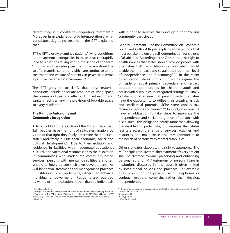determining if it constitutes degrading treatment.<sup>14</sup> Moreover, in an explanation of its interpretation of what constitutes degrading treatment, the CPT explained that:

"[T]he CPT closely examines patients' living conditions and treatment; inadequacies in these areas can rapidly lead to situations falling within the scope of the term 'inhuman and degrading treatment.' The aim should be to offer material conditions which are conducive to the treatment and welfare of patients; in psychiatric terms, a positive therapeutic environment."15

The CPT goes on to clarify that these material conditions include adequate amounts of living space, the presence of personal effects, dignified eating and sanitary facilities, and the provision of lockable space to every resident.<sup>16</sup>

#### **The Right to Autonomy and Community Integration**

Article 1 of both the ICCPR and the ICESCR state that: "[a]ll peoples have the right of self-determination. By virtue of that right they freely determine their political status and freely pursue their economic, social and cultural development." Due to their isolation and residence in facilities with inadequate educational, cultural, and vocational resources; or to their isolation in communities with inadequate community-based services; persons with mental disabilities are often unable to freely pursue their own development. As will be shown, treatment and management practices in institutions often undermine, rather than enhance individual empowerment. Residents are regarded as wards of the institution, rather than as individuals

14 As cited in: Ibid, 56.

with a right to services that develop autonomy and community participation.

General Comment 5 of the Committee on Economic, Social and Cultural Rights explains some actions that must be taken to ensure self-determination for citizens of all abilities. According to the Committee, the right to health implies that states should provide people with disabilities "with rehabilitation services which would enable them to reach and sustain their optimum level of independence and functioning."<sup>17</sup> In the realm of education, states should further "recognize the principle of equal primary, secondary and tertiary educational opportunities for children, youth and adults with disabilities, in integrated settings."18 Finally, "[s]tates should ensure that persons with disabilities have the opportunity to utilize their creative, artistic and intellectual potential...[t]he same applies to... recreation, sports and tourism."19 In short, governments have an obligation to take steps to maximize the independence and social integration of persons with disabilities. This obligation entails more than allowing the disabled to participate, but requires that states facilitate access to a range of services, activities, and resources, and make these resources appropriate to the needs of persons with mental disabilities.

Other standards elaborate the right to autonomy. The MI Principles require that "the treatment of every patient shall be directed towards preserving and enhancing personal autonomy."20 Autonomy of persons living in institutions discussed in this report is often limited by institutional policies and practices. For example, rules prohibiting the private use of telephones or conjugal relations constrain, rather than develop, independence.

<sup>15</sup> European Committee for the Prevention of Torture and Inhuman or Degrading Treatment or Punishment. The CPT standards "Substantive" sections of the CPT's General Reports. CPT/ Inf/E (2002) 1 - Rev. 2004. http://www.cpt.coe.int/en/documents/eng-standards.doc 53. 16 Ibid, 54.

<sup>17</sup> Committee on Economic, Social, and Cultural Rights. General Comment 5. Eleventh Session. 1994. Para 34. 18 Ibid, para 35. 19 Ibid, para 36.

<sup>20</sup> Emphasis added.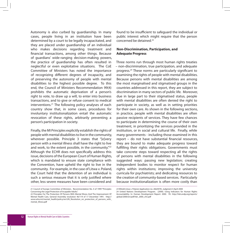Autonomy is also curbed by guardianship. In many cases, people living in an institution have been determined by a court to be legally incapacitated, and they are placed under guardianship of an individual who makes decisions regarding treatment and financial transactions, among other things. Because of guardians' wide-ranging decision-making powers, the practice of guardianship has often resulted in neglectful or even exploitative situations. The CoE Committee of Ministers has noted the importance of recognizing different degrees of incapacity, and of preserving the autonomy of people with mental disabilities to the highest possible degree. To this end, the Council of Ministers Recommendation 99(4) prohibits the automatic deprivation of a person's right to vote, to draw up a will, to enter into business transactions, and to give or refuse consent to medical interventions.<sup>21</sup> The following policy analyses of each country show that, in some cases, procedures for involuntary institutionalization entail the automatic revocation of these rights, arbitrarily preventing a person's participation in society.

Finally, the MI Principles explicitly establish the rights of people with mental disabilities to live in the community, wherever possible. Principle 3 states that "[e]very person with a mental illness shall have the right to live and work, to the extent possible, in the community."<sup>22</sup> Although the ECHR does not specifically address this issue, decisions of the European Court of Human Rights, which is mandated to ensure state compliance with the Convention, have upheld the right to live in the community. For example, in the case of Litwa v. Poland, the Court held that the detention of an individual is such a serious measure that it is only justified where other, less severe measures have been considered and

found to be insufficient to safeguard the individual or public interest which might require that the person concerned be detained.<sup>23</sup>

#### **Non-Discrimination, Participation, and Adequate Progress**

Three norms run through most human rights treaties – non-discrimination, true participation, and adequate progress.24 These norms are particularly significant to examining the rights of people with mental disabilities. Because persons with mental disabilities are among the most marginalised and stigmatised groups in the countries addressed in this report, they are subject to discrimination in many sectors of public life. Moreover, due in large part to their stigmatised status, people with mental disabilities are often denied the right to participate in society, as well as in setting priorities for their own care. As shown in the following sections, in practice, people with mental disabilities are often passive recipients of services. They have few chances to participate in determining the course of their own treatment, in prioritizing the services provided in the institution, or in social and cultural life. Finally, while many governments - including those examined in this report – do not have substantial financial resources, they are bound to make adequate progress toward fulfilling their rights obligations. Governments must take concrete steps toward respecting all the rights of persons with mental disabilities in the following suggested ways: passing new legislation; creating independent bodies to monitor respect for human rights within institutions; improving the university curricula for psychiatrists; and dedicating resources to the creation of community-based services. Particularly because institutionalization is often more costly than

<sup>21</sup> Council of Europe Committee of Ministers. Recommendation No. 4 of 1999 "Principles Concerning the Legal Protection of Incapable Adults."

<sup>22</sup> Principles For The Protection Of Persons With Mental Illness And The Improvement Of Mental Health Care, General Assembly resolution 46/119 of 17 December 1991. http:// www.who.int/mental\_health/policy/en/UN\_Resolution\_on\_protection\_of\_persons\_with mental\_illness.pdf

<sup>23</sup> Witold Litwa v. Poland, Application no. 26629/95, Judgment 4 April 2000

<sup>24</sup> United Nations Development Program. (2000). Using Indicators for Human Rights Accountability. In: Human Development Report: 2000. 95. http://hdr.undp.org/reports/ global/2000/en/pdf/hdr\_2000\_ch5.pdf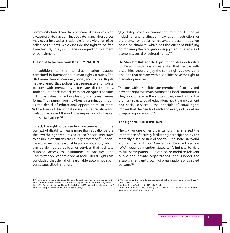community-based care, lack of financial resources is no excuse for state inaction. Inadequate financial resources may never be used as a rationale for the violation of socalled basic rights, which include the right to be free from torture, cruel, inhumane or degrading treatment or punishment.

#### **The right to be free from DISCRIMINATION**

In addition to the non-discrimination clauses contained in international human rights treaties, The UN Committee on Economic, Social, and Cultural Rights has explained that polices that segregate and isolate persons with mental disabilities are discriminatory. "Both de jure and de facto discrimination against persons with disabilities has a long history and takes various forms. They range from invidious discrimination, such as the denial of educational opportunities, to more 'subtle' forms of discrimination such as segregation and isolation achieved through the imposition of physical and social barriers<sup>"25</sup>

In fact, the right to be free from discrimination in the context of disability means more than equality before the law; the right requires so-called "special measures" to ensure that citizens are equally protected.<sup>26</sup> Special measures include reasonable accommodation, which can be defined as policies or services that facilitate disabled access to institutions or facilities. The Committee on Economic, Social, and Cultural Rights has concluded that denial of reasonable accommodation constitutes discrimination:

"[D]isability-based discrimination' may be defined as including any distinction, exclusion, restriction or preference, or denial of reasonable accommodation based on disability which has the effect of nullifying or impairing the recognition, enjoyment or exercise of economic, social or cultural rights."27

The Standard Rules on the Equalization of Opportunities for Persons with Disabilities states that people with disabilities should enjoy the same rights as everyone else, and that persons with disabilities have the right to mediating services.

"Persons with disabilities are members of society and have the right to remain within their local communities. They should receive the support they need within the ordinary structures of education, health, employment and social services… the principle of equal rights implies that the needs of each and every individual are of equal importance…"28

#### **The right to PARTICIPATION**

The UN, among other organizations, has stressed the importance of actively facilitating participation by the mentally disabled in civil society. The 1982 UN World Programme of Action Concerning Disabled Persons (WPA) requires member states to: "eliminate barriers to full participation, … establish or mobilize relevant public and private organizations, and support the establishment and growth of organizations of disabled persons."29

<sup>25</sup> Committee on Economic, Social, and Cultural Rights, General Comment 5, supra note 2. 26 Department of Mental Health and Substance Dependence, World Health Organization. (2004). The Role of International Human Rights in National Mental Health Legislation. http:// www.mdri.org/pdf/WHO%20chapter%20in%20English\_r1.pdf 40.

<sup>27</sup> Committee on Economic, Social, and Cultural Rights. General Comment 5. Eleventh Session. 1994. Para 15.

<sup>28</sup> UN G.A. Res. 48/96, Dec. 20, 1993, at 26 & 204.

<sup>29</sup> As cited in: RL Metts. (2000). Disability Issues, Trends and Recommendations for the World Bank. Washington DC: World Bank. 15.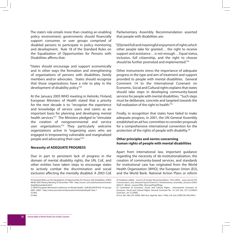The state's role entails more than creating an enabling policy environment; governments should financially support consumer, or user groups comprised of disabled persons to participate in policy monitoring and development. Rule 18 of the Standard Rules on the Equalization of Opportunities for Persons with Disabilities affirms that:

"States should encourage and support economically and in other ways the formation and strengthening of organizations of persons with disabilities, family members and/or advocates. States should recognize that those organizations have a role to play in the development of disability policy."30

At the January 2005 WHO meeting in Helsinki, Finland, European Ministers of Health stated that a priority for the next decade is to: "recognize the experience and knowledge of service users and carers as an important basis for planning and developing mental health services."31 The Ministers pledged to "stimulate the creation of nongovernmental and service user organizations."32 They particularly welcome organizations active in "organizing users who are engaged in 'empowering vulnerable and marginalized people and advocating their case."<sup>33</sup>

#### **Necessity of ADEQUATE PROGRESS**

Due in part to persistent lack of progress in the domain of mental disability rights, the UN, CoE, and other entities have taken steps to encourage states to actively combat the discrimination and social exclusion affecting the mentally disabled. A 2003 CoE Parliamentary Assembly Recommendation asserted that people with disabilities are:

"[D]enied full and meaningful enjoyment of rights which other people take for granted… the right to receive support and assistance… is not enough… Equal status, inclusion, full citizenship, and the right to choose should be further promoted and implemented."<sup>34</sup>

Other instruments stress the importance of adequate progress in the type and aim of treatment and support provided to people with mental disabilities. General Comment 14 to the International Covenant on Economic, Social and Cultural rights explains that states should take steps in developing community-based services for people with mental disabilities. "Such steps must be deliberate, concrete and targeted towards the full realization of the right to health."<sup>35</sup>

Finally, in recognition that states have failed to make adequate progress, in 2001, the UN General Assembly established an ad hoc committee to consider proposals for a comprehensive international convention for the protection of the rights of people with disability.<sup>36</sup>

#### **Other principles and norms concerning human rights of people with mental disabilities**

Apart from international law, important guidance regarding the necessity of de-institutionalization, the creation of community-based services, and standards for institutional care has originated from the World Health Organization (WHO), the European Union (EU), and the World Bank. National Action Plans or reform

<sup>30</sup> Standard Rules on the Equalization of Opportunities for Persons with Disabilities, A/RES/ 48/96, 85th Plenary Meeting 20 December 1993. http://www1.umn.edu/humanrts/instree/ disabilitystandards.html

<sup>31</sup> WHO European Ministerial Conference on Mental Health. EUR/04/5047810/6 14 January 2005. 52667. http://www.euro.who.int/document/mnh/edoc06.pdf Para 7. 32 Ibid.

<sup>33</sup> Ibid.

<sup>34</sup> Emphasis added. Council of Europe Recommendation 1592 (2003). www.coe.int/T/E/ Comunication\_and\_Research?press?events?2.-Parliamentary\_Assembly\_Sessions/2003/ 2003-01\_Winter\_session/ONG\_Decl.asp#TopOfPage

<sup>35</sup> Committee on Economic, Social, and Cultural Rights. International Covenant on Economic, Social and Cultural Rights, General Comment No. 14, U.N. Doc. E/C.12/2000/4 22nd Sess., art 12 (2000).

<sup>36</sup> G.A. Res. !68, U.N. GAOR, 56th Sess. Agenda Item 119(b), U.N. Doc A/RES/56/168 (2001).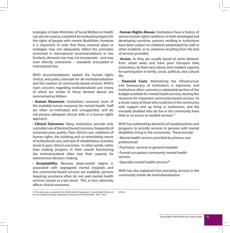strategies of state Ministries of Social Welfare or Health can also be used as a yardstick for evaluating respect for the rights of people with mental disabilities. However, it is important to note that these national plans or strategies may not adequately reflect the principles enshrined in international recommendations or law. Similarly, domestic law may not incorporate – and may even directly contravene – standards articulated in international law.

WHO recommendations explain the human rights, clinical, and policy rationale for de-institutionalization and the creation of community-based services. WHO's main concerns regarding institutionalised care (many of which are similar to those iterated above) are summarised as follows:

**· Human Resources**: Institutions consume most of the available human resources for mental health. Staff are often un-motivated and unsupported, and do not possess adequate clinical skills or a human rights approach.

**· Clinical Outcomes**: Many institutions provide only custodial care of the kind found in prisons, frequently of extremely poor quality. Poor clinical care, violations of human rights, the isolating and un-stimulating nature of institutional care, and lack of rehabilitative activities result in poor clinical outcomes. In other words, rather than making progress in their overall functioning, the institutionalized often lose their capacity for autonomous decision-making.

**· Acceptability**: Because deep-seated stigma is associated with segregated mental hospitals and few community-based services are available, persons requiring assistance often do not seek mental health services, except as a last resort. This, in turn, adversely affects clinical outcomes.

**· Human Rights Abuses**: Institutions have a history of serious human rights violations. In both developed and developing countries, persons residing in institutions have been subject to violations perpetrated by staff or other residents, or to violations resulting from the lack of services provided.

**· Access**: As they are usually based at some distance from urban areas and have poor transport links, institutions, by their very nature, limit resident capacity for participation in family, social, political, and cultural life.

**· Financial Costs**: Maintaining the infrastructure and bureaucracy of institutions is expensive, and institutions often consume a substantial portion of the budget available for mental health services, leaving few resources for important community-based services. As a result, many of those who could live in the community with support end up living in institutions, and the mentally disabled who do live in the community have little or no access to needed services.<sup>37</sup>

WHO has outlined key elements of needed policies and programs to provide services to persons with mental disabilities living in the community. These include:

- **·** Mental health services provided by primary care professionals
- **·** Psychiatric services in general hospitals
- **·** Formal out-patient community mental health services
- **·** Specialist mental health services<sup>38</sup>

38 Ibid.

WHO has also explained that providing services in the community entails de-institutionalization.

<sup>37</sup> The above was summarized from: World Health Organization. Mental Health Policy and Service Guidance Package: Organization of Services for Mental Health. 2003. 20-22.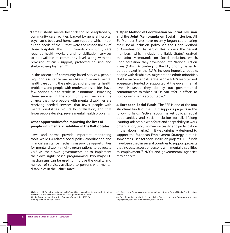"Large custodial mental hospitals should be replaced by community care facilities, backed by general hospital psychiatric beds and home care support, which meet all the needs of the ill that were the responsibility of those hospitals. This shift towards community care requires health workers and rehabilitation services to be available at community level, along with the provision of crisis support, protected housing and sheltered employment."39

In the absence of community-based services, people requiring assistance are less likely to receive mental health care during the early stages of any mental health problems, and people with moderate disabilities have few options but to reside in institutions. Providing these services in the community will increase the chance that more people with mental disabilities are receiving needed services, that fewer people with mental disabilities require hospitalization, and that fewer people develop severe mental health problems.

#### **Other opportunities for improving the lives of people with mental disabilities in the Baltic States**

Laws and norms provide important monitoring tools, while EU-related social policy coordination and financial assistance mechanisms provide opportunities for mental disability rights organizations to advocate vis-à-vis their own governments or to implement their own rights-based programming. Two major EU mechanisms can be used to improve the quality and number of services available to persons with mental disabilities in the Baltic States:

**1. Open Method of Coordination on Social Inclusion and the Joint Memoranda on Social Inclusion.** All EU Member States have recently begun coordinating their social inclusion policy via the Open Method of Coordination. As part of this process, the newest members (which include the Baltic States) drafted the Joint Memoranda on Social Inclusion, which, upon accession, they developed into National Action Plans (NAPs). According to the EU, priority issues to be addressed in the NAPs include: homeless people, people with disabilities, migrants and ethnic minorities, children in care, and illiterate people. NAPs are often not adequately funded or supported at the governmental level. However, they do lay out governmental commitments to which NGOs can refer in efforts to hold governments accountable.<sup>40</sup>

**2. European Social Funds.** The ESF is one of the four structural funds of the EU. It supports projects in the following fields: "active labour market policies, equal opportunities and social inclusion for all, lifelong learning, adaptable workforce and adaptability in work organization, [and] women's access to and participation in the labour market."41 It was originally designed to support the European Employment Strategy, but it is sometimes used for social inclusion projects. ESF funds have been used in several countries to support projects that increase access of persons with mental disabilities to employment.<sup>42</sup> NGOs and governmental agencies may apply.43

39 World Health Organization. World Health Report 2001. Mental Health: New Understanding, New Hope. http://www.who.int/whr/2001/chapter5/en/index1.html 40 Joint Report on Social Inclusion, European Commission, 2003, 30.

<sup>41</sup> European Commission (2003c)

<sup>42</sup> See: http://europa.eu.int/comm/employment\_social/news/2004/jan/esf\_in\_action en html

<sup>43</sup> For information on the ESF in the Baltic States, go to: http://europa.eu.int/comm/ employment\_social/esf2000/member\_states-en.htm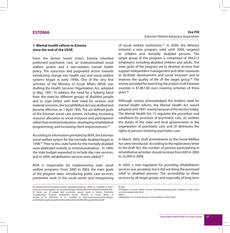#### **ESTONIA**

#### **1. Mental health reform in Estonia since the end of the USSR**

From the former Soviet Union, Estonia inherited politicised psychiatric care, an institutionalised social welfare system and a non-existent mental health policy. The conscious and purposeful action towards introducing change into health care and social welfare systems began in early 1990s. One of the very first activities of the Ministry of Social Affairs (MSA) was drafting the Health Services Organization Act, adopted in May, 1991. To address the need for a helping hand from the state by different groups of disabled people and to cope better with their need for services and material concerns, the Social Welfare Act was drafted and became effective on 1 April 1995. The act defined goals of the Estonian social care system, including increasing resource allocation to social inclusion and participation rather than institutionalization, developing rehabilitative programming, and increasing client responsiveness.44

According to information provided by MSA, the Estonian social welfare system for the mentally disabled began in 1998.45 Prior to this, state funds for the mentally disabled were dedicated entirely to institutionalization. In 1999, the state budget expanded to include day-care services, and in 2000, rehabilitation services were added.<sup>46</sup>

MSA is responsible for implementing state social welfare programs. From 2000 to 2003, the main goals of the program were: introducing public care services, preventive work in the social sector and reorganising

*Eve Pilt Estonian Patient Advocacy Association*

of social welfare institutions.<sup>47</sup> In 2004, the Ministry initiated a new program valid until 2006, targeted to children and mentally disabled persons. The target group of the program is comprised of 384,212 inhabitants including disabled children and adults. The main goals of the program are to develop services that support independent management and other measures to facilitate development and social inclusion and to improve the quality of life of the target group.<sup>48</sup> The money provided for launching the project in all Estonian counties is 87,861.60 euro covering activities of three years.49

Although society acknowledged the evident need for mental health reform, the Mental Health Act wasn't adopted until 1997, mainly because of the doctors' lobby. The Mental Health Act (1) regulates the procedure and conditions for provision of psychiatric care, (2) outlines the duties of the state and local governments in the organization of psychiatric care, and (3) delineates the rights of persons receiving psychiatric care.

In March 2004, draft amendments to the Social Welfare Act were introduced. According to the explanatory letter to the draft Act, the number of persons participating in rehabilitative activities should increase from 600 in 2004 to 25,000 in 2008.

In 2005, a new regulation for providing rehabilitation services was accepted, but it did not bring the promised relief to disabled persons. The accessibility to these services by all target groups and especially of long-term

<sup>44</sup> Hoolekande kontseptsiooni eelnõu. Sotsiaalministeerium. 2004, p.3. Available at: http:// www.sm.ee/www/gpweb\_est\_gr.nsf/HtmlPages/HKK08/\$file/HKK%2008.04(VIIMANE).doc 45 Social care of people with psychiatric special needs in Estonia (Psüühilise erivajadustega inimeste hoolekanne Eestis). Ministry of Social Affairs in Estonia et al. 2000/2001, p. 51. Available at: http://www.sm.ee/est/HtmlPages/ psüühilisteerivajadustegainimestehoolekanneEestis2000/\$file/psyyherivajad.pdf

<sup>46</sup> Ibid.

<sup>47</sup>Programs of social welfare services (Hoolekandeprogrammid), available at http://www. sm.ee/est/pages/index.html 48Ibid.

<sup>49</sup>Regulation no 10 of the Minister of Social Affairs of 30.05.2005.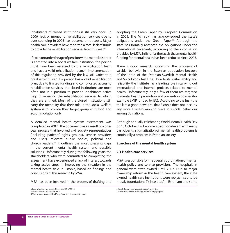inhabitants of closed institutions is still very poor. In 2006, lack of money for rehabilitation services due to over spending in 2005 has become a hot topic. Major health care providers have reported a total lack of funds to provide the rehabilitation services later this year.<sup>50</sup>

If a person under the age of pension with a mental disorder is admitted into a social welfare institution, the person must have been assessed by the rehabilitation team and have a valid rehabilitation plan. $51$  Implementation of this regulation provided by the law still varies to a great extent. Even if a person has a valid rehabilitation plan, due to limited funding and complicated access to rehabilitation services, the closed institutions are most often not in a position to provide inhabitants active help in receiving the rehabilitation services to which they are entitled. Most of the closed institutions still carry the mentality that their role in the social welfare system is to provide their target group with food and accommodation only.

A detailed mental health system assessment was completed in 2002. The document was a result of a oneyear process that involved civil society representatives (including patients' rights groups), service providers and users, relevant public bodies, political and church leaders.52 It outlines the most pressing gaps in the current mental health system and possible solutions. Unfortunately during the following years the stakeholders who were committed to completing the assessment have experienced a lack of interest towards taking active steps in improving the situation in the mental health field in Estonia, based on findings and conclusions of this research by MSA.

MSA has been involved in the process of drafting and

adopting the Green Paper by European Commission in 2005. The Ministry has acknowledged the state's obligations under the Green Paper.<sup>53</sup> Although the state has formally accepted the obligations under the international covenants, according to the information provided by MSA, in Estonia, the fact is that mental health funding for mental health has been reduced since 2003.

There is good research concerning the problems of suicidal behavior in the Estonian population because of the input of the Estonian-Swedish Mental Health and Suicidology Institute. Due to its sustainability and reliability, the Institute has a leading role in carrying out international and internal projects related to mental health. Unfortunately, only a few of them are targeted to mental health promotion and prevention policies (for example EMIP funded by EC). According to the Institute the latest good news are, that Estonia does not occupy any more a award-winning place in suicidal behaviour among EU nations.

Although annually celebrating World Mental Health Day on 10 October has become a traditional event with many participants, stigmatisation of mental health problems is continually a problem in Estonian society.

#### **Structure of the mental health system**

#### **2.1 Health care services**

MSA is responsible for the overall coordination of mental health policy and service provision. The hospitals in general were state-owned until 2002. Due to major ownership reform in the health care system, the state owned health care institutions were reorganised to be mostly foundations ("sihtasutus" in Estonian) and some

<sup>50</sup>See http://www.epl.ee/artikkel.php/ID=319012

<sup>51</sup>Social welfare Act section 11.2

<sup>52</sup> See www.sm.ee/est/HtmlPages/vaimterv/\$file/vaimterv.pdf

<sup>53</sup>See http://www.sm.ee/est/pages/index.html

<sup>54</sup>See http://www.suicidology.ee/index.php/page=3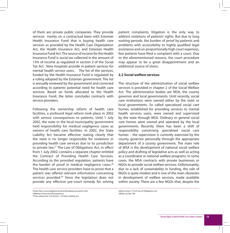of them are private public companies. They provide services mainly on a contractual basis with Estonian Health Insurance Fund that is buying health care services as provided by the Health Care Organization Act, the Health Insurance Act, and Estonian Health Insurance Fund Act. The source of income for the Health Insurance Fund is social tax collected in the amount of 13% of income as regulated in section 2 of the Social Tax Act. Nine hospitals provide in-patient services for mental health service users. The list of the services, funded by the Health Insurance Fund is regulated by a ruling adopted by the Estonian government. The list is annually reviewed by the government and corrected according to patients' potential need for health care services. Based on funds allocated to the Health Insurance Fund, the latter concludes contracts with service providers.

Following the ownership reform of health care facilities, a profound legal reform took place in 2002 with serious consequences to patients. Until 1 July 2002, the state or the local municipality government held responsibility for medical negligence cases as owners of health care facilities. In 2002, the State Liability Act became effective stating clearly that the state is no longer responsible for violations in providing health care services due to its jurisdiction to private law.57 The Law of Obligations Act, in effect from 1 July 2002, contains a separate chapter entitled the Contract of Providing Health Care Services. According to the provided regulation, patients have the burden of proof in medical negligence cases.<sup>58</sup> The health care service providers have to prove that a patient was offered relevant information concerning services provided.<sup>59</sup> Since the legislation does not provide any effective pre-court remedy for solving

55See http://www.legaltext.ee/et/andmebaas/ava.asp/m=022 56Whttp://www.tervishoiuamet.ee 57See subsection 3 of section 1 of State Liability Act

patient complaints, litigation is the only way to address violations of patients' rights. But due to long waiting periods, the burden of proof by patients and problems with accessibility to highly qualified legal assistance and un-proportionally high court expenses, few patients have filed a complaint with a court. Due to the aforementioned reasons, the court procedure may appear to be a great disappointment and an additional source of stress.

#### **2.2 Social welfare services**

The structure of the administration of social welfare services is provided in chapter 2 of the Social Welfare Act. The administrative bodies are MSA, the county governor and local governments. Until recently, social care institutions were owned either by the state or local governments. So called specialised social care homes, established for providing services to mental health services users, were owned and supervised by the state through MSA. Ordinary or general social care homes were owned and operated by the local governments. Recently there has been a shift of responsibility concerning specialised social care homes – the supervision is currently exercised by the county governor personally through the appropriate department of a county government. The main role of MSA is the development of national social welfare policy and drafting of legislative acts as well as acting as a coordinator in national welfare programs. In some cases, the MSA contracts with private businesses or NGOs to provide social welfare services. Unfortunately, due to a lack of sustainability in funding, the role of NGOs is quite modest and is one of the main obstacles in development of welfare services, made available within society. There are a few NGOs that, despite the

58See section 770 of Law of Obligations Act 59Ibid, section 766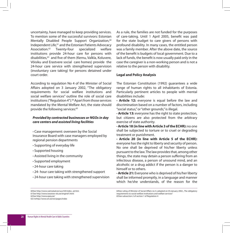uncertainty, have managed to keep providing services. To mention some of the successful survivors: Estonian Mentally Disabled People Support Organization.<sup>60</sup> Independent Life,<sup>61</sup> and the Estonian Patients Advocacy Association.62 Twenty-four specialized welfare institutions provide 24-hour care for persons with disabilities.<sup>63</sup> and five of them (Kernu, Valkla, Koluvere, Võisiku and Erastvere social care homes) provide the 24-hour care service with strengthened supervision (involuntary care taking) for persons detained under court order.

According to regulation No 4 of the Minister of Social Affairs adopted on 3 January 2002, "The obligatory requirements for social welfare institutions and social welfare services" outline the role of social care institutions ("Regulation  $4"$ ).<sup>64</sup> Apart from those services mandated by the Mental Welfare Act, the state should provide the following services:<sup>65</sup>

#### *Provided by contracted businesses or NGOs in day care centers and assisted living facilities*

**·** Case management: overseen by the Social Insurance Board with case managers employed by regional pension departments

- **·** Supporting of everyday life
- **·** Supported housing
- **·** Assisted living in the community
- **·** Supported employment
- **·** 24-hour care taking
- **·** 24- hour care taking with strengthened support
- **·** 24-hour care taking with strengthened supervision

As a rule, the families are not funded for the purposes of care-taking. Until 1 April 2005, benefit was paid for the state budget to care givers of persons with profound disability. In many cases, the entitled person was a family member. After the above date, the source of the benefit is budgets of local government. Due to a lack of funds, the benefit is now usually paid only in the case the caregiver is a non-working person and is not a relative to the person with disability.

#### **Legal and Policy Analysis**

The Estonian Constitution (1992) guarantees a wide range of human rights to all inhabitants of Estonia. Particularly pertinent articles to people with mental disabilities include:

**· Article 12:** everyone is equal before the law and discrimination based on a number of factors, including "social status," or "other grounds," is illegal.

**· Article 13:** everyone has the right to state protection, but citizens are also protected from the arbitrary exercise of state authority.

**· Article 18 (in line with Article 3 of the ECHR):** no one shall be subjected to torture or to cruel or degrading treatment or punishment.

**· Article 20 (in line with Article 5 of the ECHR):** everyone has the right to liberty and security of person. No one shall be deprived of his/her liberty unless pursuant to the law. The law provides that, among other things, the state may detain a person suffering from an infectious disease, a person of unsound mind, and an alcoholic or a drug addict if the person is a danger to himself or to others.

**· Article 21:** Everyone who is deprived of his/her liberty shall be informed promptly, in a language and manner which he/she understands, of the reason for the

60See http://www.vaimukad.ee/uus/UK/index\_uk.htm 61See http://www.iseseisev-elu.ee/engind1.html 62See http://www.epey.ee/ 63//whttp://www.sm.ee/est/pages/index

64See ruling of Minister of Social Affairs no 4, adopted on 03.January 2002, The obligatory requirements to social welfare institutions and welfare services" 65See subsection 2 of section 1 of Regulation 4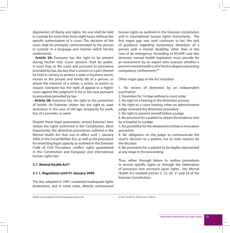deprivation of liberty and rights. No one shall be held in custody for more than forty-eight hours without the specific authorisation of a court. The decision of the court shall be promptly communicated to the person in custody in a language and manner which he/she understands.

**· Article 24:** Everyone has the right to be present during his/her trial. Court sessions shall be public. A court may, in the cases and pursuant to procedure provided by law, declare that a session or a part thereof be held in camera to protect a state or business secret, morals or the private and family life of a person, or where the interests of a minor, a victim, or justice so require. Everyone has the right of appeal to a higher court against the judgment in his or her case pursuant to procedure provided by law.

**· Article 28:** everyone has the right to the protection of health. An Estonian citizen has the right to state assistance in the case of old age, incapacity for work, loss of a provider, or need.

Despite these legal guarantees, several Estonian laws violate the rights enshrined in the Constitution. Most importantly, the detention procedures outlined in the Mental Health Act that was in effect until 1 January 2006, in the Social Welfare Act, as well as the procedure for restricting legal capacity as outlined in the Estonian Code of Civil Procedure, conflict rights guaranteed in the Constitution and European and international human rights law.

#### **3.1. Mental Health Act66**

#### **3.1.1. Regulation until 01 January 2006**

The Act, adopted in 1997, contained inadequate rights protections, and in some cases, directly contravened human rights as outlined in the Estonian constitution and in international human rights instruments. The first major gap was (and continues to be) the lack of guidance regarding involuntary detention of a person with a mental disability, other than in the case of an emergency. According to ECrtHR case law, domestic mental health legislation must provide for an assessment by an expert who assesses whether a person's mental health is of a "kind or degree warranting compulsory confinement."67

Other major gaps in the Act included:

1. No review of detention by an independent psychiatrist

2. Detention for 14 days without a court order

3. No right to a hearing in the detention process

4. No right to a court hearing when an administrative judge reviewed the detention procedure

5. No right to present oneself before a judge

6. No provision for a patient to obtain the evidence sent by a hospital to a judge

7. No possibility for the detained to initiate a revocation procedure

8. No obligation on the judge to communicate the court's decision to a patient, nor to state reasons for the decision

9. No provisions for a patient to be legally represented at any stage in the proceeding

Thus, either through failure to outline procedures to ensure specific rights or through the elaboration of processes that encroach upon rights , the Mental Health Act violated articles 3, 12, 20, 21 and 24 of the Estonian Constitution.

66http://www.legaltext.ee/et/andmebaas/ava.asp/m=022 67 See 2 ECHR 387, Winterwerp v Holland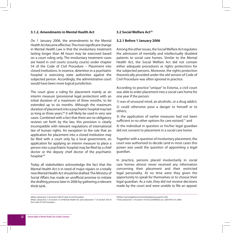#### **3.1.2. Amendments in Mental Health Act**

On 1 January 2006, the amendments to the Mental Health Act became effective. The most significant change in Mental Health Law is that the involuntary treatment lasting longer than 48 hours may be exercised based on a court ruling only. The involuntary treatment cases are heard in civil courts (county courts) under chapter 54 of the Code of Civil Procedure – Placement into closed institutions. In essence, detention in a psychiatric hospital is exercising state authorities against the subjected person. Accordingly, the administrative court would have been more logical jurisdiction.

The court gives a ruling for placement mainly as an interim measure (provisional legal protection) with an initial duration of a maximum of three months, to be extended up to six months. Although the maximum duration of placement into a psychiatric hospital may last as long as three years,<sup>68</sup> it will likely be used in very rare cases. Combined with a fact that there are no obligatory reviews set forth by the law, this provision is clearly incompatible with relevant regulations of international law of human rights. An exception to the rule that an application for placement into a closed institution may be filed with a court only by a local government, an application for applying an interim measure to place a person into a psychiatric hospital may be filed by a chief doctor or the deputy chief doctor of the psychiatric hospital.<sup>69</sup>

Today all stakeholders acknowledge the fact that the Mental Health Act is in need of major repairs or a totally new Mental Health Act should be drafted. The Ministry of Social Affairs has made an unofficial promise to initiate the drafting process later in 2006 by gathering a relevant think tank.

#### **3.2 Social Welfare Act70**

#### **3.2.1 Before 1 January 2006**

Among the other issues, the Social Welfare Act regulates the admission of mentally and intellectually disabled patients to social care homes. Similar to the Mental Health Act, the Social Welfare Act did not contain either adequate procedures or rights protections for the subjected persons. Moreover, the rights protection theoretically provided under the old version of Code of Civil Procedure was often ignored in practice.

According to practice "unique" to Estonia, a civil court was able to order placement into a social care home for one year if the person:

1) was of unsound mind, an alcoholic, or a drug addict;

2) could otherwise pose a danger to himself or to others;

3) the application of earlier measures had not been sufficient or no other options for care existed; $71$  and 4) the individual in question or his/her legal guardian did not consent to placement in a social care home.

Together with a question of involuntary placement, the court was authorised to decide (and in most cases this power was used) the question of appointing a legal guardian.

In practice, persons placed involuntarily in social care homes almost never received any information concerning their placement and their restricted legal personality. At no time were they given the opportunity to speak for themselves or to choose their legal guardian. As a rule, they did not receive decisions made by the court and were unable to file an appeal.

68See subsection 2 of section 538 of Code of civil Procedure 69See subsection 1 of section 13 of Mental Health Act and subsection  $1^1$  of section 534 of the Code of Civil Procedure

70http://www.legaltext.ee/et/andmebaas/ava.asp?m=022 71See subsection 1 of section 19 of Social Welfare act, valid till 01.01.2006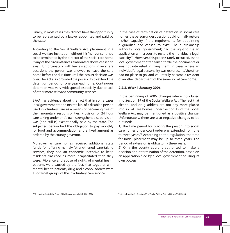Finally, in most cases they did not have the opportunity to be represented by a lawyer appointed and paid by the state.

According to the Social Welfare Act, placement in a social welfare institution without his/her consent had to be terminated by the director of the social care home if any of the circumstances elaborated above ceased to exist. Unfortunately, with few exceptions, in very rare occasions the person was allowed to leave the care home before the due time until their court decision was over. The Act also provided the possibility to extend the detention period for one year each time. Continuous detention was very widespread, especially due to lack of other more relevant community services.

EPAA has evidence about the fact that in some cases local governments and next to kin of a disabled person used involuntary care as a means of becoming free of their monetary responsibilities. Provision of 24 hour care taking under one's own strengthened supervision was (and still is) exceptionally paid by the state. The subjected person had the obligation to pay monthly for food and accommodation and a fixed amount as ordered by the county governor.

Moreover, as care homes received additional state funds for offering namely 'strengthened care-taking services,' they had an economic incentive to keep residents classified as more incapacitated than they were. Violence and abuse of rights of mental health patients were caused by the fact, that together with mental health patients, drug and alcohol addicts were also target groups of the involuntary care service.

In the case of termination of detention in social care homes, the person under question could formally restore his/her capacity if the requirements for appointing a guardian had ceased to exist. The guardianship authority (local government) had the right to file an application with a court to restore the individual's legal capacity.72 However, this process rarely occurred, as the local government often failed to file the documents or was not interested in filing them. In cases where an individual's legal personality was restored, he/she often had no place to go, and voluntarily became a resident of another department of the same social care home.

#### **2.2.2. After 1 January 2006**

In the beginning of 2006, changes where introduced into Section 19 of the Social Welfare Act. The fact that alcohol and drug addicts are not any more placed into social care homes under Section 19 of the Social Welfare Act may be mentioned as a positive change. Unfortunately, there are also negative changes to be outlined:

1) The time period for placing the person into social care homes under court order was extended from one to three years.73 According to the regulation, the time for initial placement may be up to three years. The period of extension is obligatorily three years.

2) Only the county court is authorised to make a decision about termination of the detention, based on an application filed by a local government or using its own powers.

72See section 268 of the Code of Civil Procedure, valid till 01.01.2006 73See subsection 3 of section 19 of Social Welfare Act, valid from 01.01.2006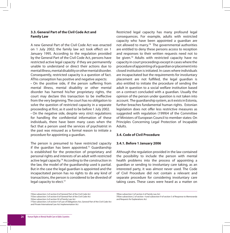#### **3.3. General Part of the Civil Code Act and Family Law**

A new General Part of the Civil Code Act was enacted on 1 July 2002; the family law act took effect on 1 January 1995. According to the regulation provided by the General Part of the Civil Code Act, persons have restricted active legal capacity if they are permanently unable to understand or direct their actions due to mental illness, mental disability or other mental disorder. Consequently, restricted capacity is a question of fact. AThis conseption has positive and negative aspects:

**·** On the positive side, if the person suffering from mental illness, mental disability or other mental disorder has harmed his/her proprietary rights, the court may declare this transaction to be ineffective from the very beginning. The court has no obligation to solve the question of restricted capacity in a separate proceeding at first, as it used to be before 1 July 2002.

**·** On the negative side, despite very strict regulations for handling the confidential information of these individuals, there have been many cases when the fact that a person used the services of psychiatrist in the past was misused as a formal reason to initiate a procedure for appointing a guardian.

The person is presumed to have restricted capacity if the quardian has been appointed.<sup>75</sup> Guardianship is established for the protection of proprietary and personal rights and interests of an adult with restricted active legal capacity.<sup>76</sup> According to the construction in the law, the model of the guardianship used is partial. But in the case the legal guardian is appointed and the incapacitated person has no rights to do any kind of transactions, the person is considered to be divested of legal capacity to elect.<sup>77</sup>

Restricted legal capacity has many profound legal consequences. For example, adults with restricted capacity who have been appointed a guardian are not allowed to marry.<sup>78</sup> The governmental authorities are entitled to deny these persons access to reception and responses to their written requests need not to be given.<sup>79</sup> Adults with restricted capacity have no capacity in court proceedings except in cases where the procedure of appointing of a guardian or placement into closed institution is initiated. In cases where individuals are incapacitated but the requirements for involuntary placement are not fulfilled, the legal guardian is also entitled to initiate the procedure of sending the adult in question to a social welfare institution based on a contract concluded with a guardian. Usually the opinion of the person under question is not taken into account. The guardianship system, as it exists in Estonia, further breaches fundamental human rights. Estonian legislation does not offer less restrictive measures as suggested with regulation (1999)4 of the Committee of Ministers of European Council to member states: On Principles Concerning Legal Protection of Incapable Adults.

#### **3.4. Code of Civil Procedure**

#### **3.4.1. Before 1 January 2006**

Although the regulation provided in the law contained the possibility to include the person with mental health problems into the process of appointing a guardian or sending to involuntary care taking, as an interested party, it was almost never used. The Code of Civil Procedure did not contain a relevant and separate procedure for considering involuntary care taking cases. These cases were heard as a matter on

<sup>74</sup>See subsection 2 of section 8 of General Part of the Civil Code Act

<sup>75</sup>See subsection 3 of section 8 of General Part of the Civil Code Act

<sup>76</sup>See subsection 4 of section 92 of Family Law Act

<sup>77</sup>See subsection 2 of section 4 of Law of Obligations Act, General Part of the Civil Code Act and Private International Law Act Implementation Act

<sup>78</sup>See subsection 3 of section 4 of Family Law Act

<sup>79</sup>See subsections 2 of section 4 and subsection 9 of section 5 of Response to Memoranda and Requests for Explanations Act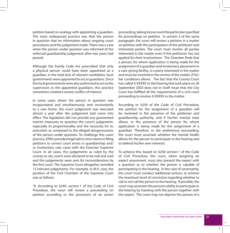petition based on analogy with appointing a guardian. The most widespread practice was that the person in question had no information about ongoing court procedures and the judgement made. There was a case when the person under question was informed of the enforced guardianship judgement after two years had passed.

Although the Family Code Act prescribed that only a physical person could have been appointed as a guardian, in the total lack of relevant candidates, local governments were appointed to act as guardians. Since the local governments were also authorised to act as the supervisors to the appointed guardians, this practice sometimes created a severe conflict of interest.

In some cases where the person in question was incapacitated and simultaneously sent involuntarily to a care home, the court judgement was executed almost a year after the judgement had come into effect. The legislation did not provide any guaranteed interim measures to question the court's judgement, especially its proportionality and the necessity for its execution as compared to the alleged dangerousness of the person under question. To challenge this court practice, EPAA provided legal aid to nine clients in filing petitions to correct court errors in guardianship and/ or involuntary care cases with the Estonian Supreme Court. In all cases, the judgements as ruled by the county or city courts were declared to be null and void and the judgements were sent for reconsideration by the first court. The Supreme Court altogether annulled 12 relevant judgements. For example, in M.V. case, the position of the Civil Chamber of the Supreme Court was as follows:

"8. According to §249, section 1 of the Code of Civil Procedure, the court will review a proceeding on petition according to the provisions of an action proceeding, taking into account the particulars specified for proceedings on petition. In section 2 of the same paragraph, the court will review a petition in a matter on petition with the participation of the petitioner and interested parties. The court must involve all parties interested in the matter even if the petitioner has not applied for their involvement. The Chamber finds that a person, for whom application is being made for the assignment of a guardian and involuntary placement in a care-giving facility, is a party interested in the matter and must be involved in the review of the matter, if his/ her conditions allows. The fact that the County Court has called X.XXXXX to the hearing that took place on 20 September 2003 does not in itself mean that the City Court has fulfilled all the requirements of a civil court proceeding to involve X.XXXXX in the matter.

According to §259 of the Code of Civil Procedure, the petition for the assignment of a guardian will be reviewed in the presence of the petitioner and guardianship authority, and if his/her mental state allows, in the presence of the person for whom application is being made for the assignment of a guardian. Therefore, in the preliminary proceeding, the court must ascertain whether the mental health allows for the person to participate in the hearing and to defend his/her own interests.

To achieve this, based on §258 section 1 of the Code of Civil Procedure, the court, when assigning an expert assessment, must also present the expert with a question as to whether the person is capable of participating in the hearing. In the case of uncertainty, the court must conduct additional actions, to achieve the maximum level of conviction regarding whether to call or not call the person to the hearing. If possible, the court may ascertain the person's ability to participate in the hearing by meeting with the person together with the expert. The court may not deprive the person of a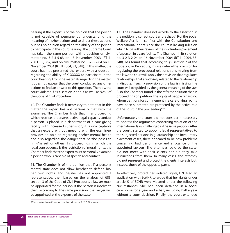hearing if the expert is of the opinion that the person is not capable of permanently understanding the meaning of his/her actions and to direct these actions, but has no opinion regarding the ability of the person to participate in the court hearing. The Supreme Court has taken the same position with a decision on civil matter no. 3-2-3-5-03 on 13 November 2003 (RT III 2003, 35, 362) and on civil matter no. 3-2-3-2-04 on 16 November 2004 (RT III 2004, 33, 348). In this matter, the court has not presented the expert with a question regarding the ability of X. XXXXX to participate in the court hearing. From the materials regarding the matter, it does not appear that the court conducted any other actions to find an answer to this question. Thereby, the court violated §249, section 2 and 3 as well as §259 of the Code of Civil Procedure.

10. The Chamber finds it necessary to note that in this matter the expert has not personally met with the examinee. The Chamber finds that in a proceeding which restricts a person's active legal capacity and/or a person is placed in a department of a care-giving facility with increased supervision, it is unacceptable that an expert, without meeting with the examinee, provides an opinion regarding his/her mental health and also regarding the danger that he/she poses to him-/herself or others. In proceedings in which the legal consequence is the restriction of moral rights, the Chamber finds that the expert must personally examine a person who is capable of speech and contact.

11. The Chamber is of the opinion that if a person's mental state does not allow him/her to defend his/ her own rights, and he/she has not appointed a representative, then based on the analogy of §83, section 3 of the Code of Civil Procedure, a lawyer must be appointed for the person. If the person is insolvent, then, according to the same provision, the lawyer will be appointed at the expense of the state.

12. The Chamber does not accede to the assertion in the petition to correct court errors that §19 of the Social Welfare Act is in conflict with the Constitution and international rights since the court is lacking rules on which to base their review of the involuntary placement of a person in a care facility. The Chamber, in its solution no. 3-2-3-2-04 on 16 November 2004 (RT III 2004, 33, 348), has found that according to §9 section 2 of the Code of Civil Procedure, in cases where the provision for regulating the procedural relationship is missing from the law, the court will apply the provision that regulates relationships that are closely related to the relationship in dispute. If such a provision of the law is missing, the court will be guided by the general meaning of the law. Also, the Chamber found in the referred solution that in proceedings on petition, the rights of people regarding whom petitions for confinement in a care-giving facility have been submitted are protected by the active role of the court in the proceeding."80

Unfortunately the court did not consider it necessary to address the arguments concerning violation of the international laws challenged in the same petition. After the courts started to appoint legal representatives to the subjected persons in guardianship and involuntary placement cases, there appeared to be new problems concerning bad performance and arrogance of the appointed lawyers. The attorneys, paid by the state, did not meet with their clients nor did they take instructions from them. In many cases, the attorney did not represent and protect the clients' interests but, instead, those of the opposite party.

To effectively protect her violated rights, L.N. filed an application with EcrtHR to argue that her rights under article 5 of ECHR were violated under the following circumstances. She had been detained in a social care home for a year and a half, including half a year without a court decision. Finally, the court extended

80 See court decision of Supreme court in a civil case no 3-2-3-3-04, www.nc.ee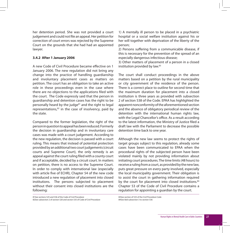her detention period. She was not provided a court judgement and could not file an appeal. Her petition for correction of court errors was rejected by the Supreme Court on the grounds that she had had an appointed lawyer.

#### **3.4.2 After 1 January 2006**

A new Code of Civil Procedure became effective on 1 January 2006. The new regulation did not bring any change into the practice of handling guardianship and involuntary placement cases as matters on petition. The court has an obligation to take an active role in these proceedings even in the case where there are no objections to the applications filed with the court. The Code expressly said that the person in guardianship and detention cases has the right to be personally heard by the judge $81$  and the right to legal representations, $82$  in the case of insolvency, paid by the state.

Compared to the former legislation, the right of the person in question to appeal has been reduced. Formerly the decision in guardianship and in involuntary care cases was made with a court judgement. According to the new regulation, the decision is passed with a court ruling. This means that instead of potential protection provided by an additional two court judgements (circuit courts and Supreme Court), the only remedy is an appeal against the court ruling filed with a county court and if acceptable, decided by a circuit court. In matters on petition, there is no access to the Supreme Court. In order to comply with international law (especially with article five of ECHR), Chapter 54 of the new code introduced a new regulation of placement into closed institutions. The persons subjected to placement without their consent into closed institutions are the following:

1) A mentally ill person to be placed in a psychiatric hospital or a social welfare institution against his or her will together with deprivation of the liberty of the person;

2) Persons suffering from a communicable disease, if this is necessary for the prevention of the spread of an especially dangerous infectious disease;

3) Other matters of placement of a person in a closed institution provided by law.<sup>83</sup>

The court shall conduct proceedings in the above matters based on a petition by the rural municipality or city government of the residence of the person. There is a correct place to outline for second time that the maximum duration for placement into a closed institution is three years as provided with subsection 2 of section 538 of the Code. EPAA has highlighted the apparent nonconformity of the aforementioned section and the absence of obligatory periodical review of the detention with the international human rights law. with the Legal Chancellor's office. As a result according to the latest information, the Ministry of Justice filed a draft law with the Parliament to decrease the possible detention time back to one year.

Although the new law seems to protect the rights of target groups subject to this regulation, already some cases have been communicated to EPAA when the procedural rights of the subjected person have been violated mainly by not providing information about initiating court procedures. The time limits (48 hours) to receive a ruling from a court, as provided by the new law, puts great pressure on every party involved, especially the local municipality government. Their obligation is to assist the court in gathering information required by the court for placement into closed institutions.<sup>84</sup> Chapter 53 of the Code of Civil Procedure contains a regulation for appointing a guardian by the court.

81See sections 525 and 536 of the Code of Civil Procedure 82See subsection 2 of section 520 and secton 535 of Code of Civil Procedure 83See section of 533 of the Civil Procedure Code 84See ibid subsection 3 to section 536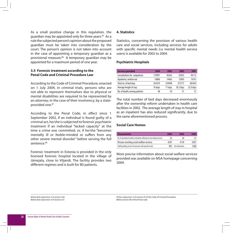As a small positive change in this regulation, the guardian may be appointed only for three years.<sup>85</sup> As a rule the subjected person's opinion about the proposed guardian must be taken into consideration by the court. The person's opinion is not taken into account in the case of appointing a temporary guardian as a provisional measure.<sup>86</sup> A temporary quardian may be appointed for a maximum period of one year.

#### **3.5 Forensic treatment according to the Penal Code and Criminal Procedure Law**

According to the Code of Criminal Procedure, enacted on 1 July 2004, in criminal trials, persons who are not able to represent themselves due to physical or mental disabilities are required to be represented by an attorney; in the case of their insolvency, by a stateprovided one.87

According to the Penal Code, in effect since 1 September 2002, if an individual is found guilty of a criminal act, he/she is subjected to forensic psychiatric treatment if an individual "lacked capacity" at the time a crime was committed, or, if he/she "becomes mentally ill or feeble-minded or suffers from any other severe mental disorder" before serving the full sentence<sup>88</sup>

Forensic treatment in Estonia is provided in the only licensed forensic hospital located in the village of Jämejala, close to Viljandi. The facility provides two different regimes and is built for 80 patients.

#### **4. Statistics**

Statistics, concerning the provision of various health care and social services, including services for adults with specific mental needs (i.e mental health service users) is available for 2002 to 2004.

#### **Psychiatric Hospitals**

| <b>Services provided</b>      | 2004    | 2003    | 2002        | 2001      |
|-------------------------------|---------|---------|-------------|-----------|
| Consultations for outpatients | 110997  | 96365   | 92053       | 96112     |
| Inpatients, written out       | 14886   | 14465   | 15045       | 14761     |
| Total no. of bed days         | 241619  | 239948  | 275177      | 382443    |
| Average length of stay        | 16 davs | 17 davs | $18,3$ days | 25,9 days |
| No. of deaths among patients  | 48      | 54      | 51          | 51        |

The total number of bed days decreased enormously after the ownership reform undertaken in health care facilities in 2002. The average length of stay in hospital as an inpatient has also reduced significantly, due to the same aforementioned process.

#### **Social Care Homes**

| <b>Characteristic</b>                                                    | 2004 | 2003           | 2002 |
|--------------------------------------------------------------------------|------|----------------|------|
| No. of specialised welfare institutions offering 24 care taking services | 75   | 74             |      |
| Persons receiving social welfare services                                | 4247 | 4118           | 2457 |
| Staff providing services for persons with specific needs                 | 993  | No information | 1200 |

More precise information about social welfare services provided was available on MSA homepage concerning 2004.

85See ibid subsection 3 of section 526 86See ibid subsection 4 of section 521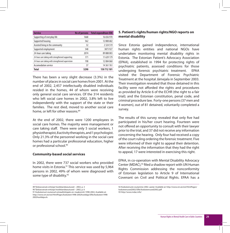| <b>Service</b>                                    | No of persons | <b>Total expenditure EEK</b> |
|---------------------------------------------------|---------------|------------------------------|
| Supporting of everyday life                       | 1668          | 16 656 970                   |
| Supported housing                                 | 562           | 12 808 682                   |
| Assisted living in the community                  | 32            | 2324519                      |
| Supported employment                              | 548           | 3873927                      |
| 24-hour care taking                               | 2074          | 89 888 003                   |
| 24-hour care taking with strengthened supporting  | 171           | 11639179                     |
| 24-hour care taking with strengthened supervision | 198           | 12084060                     |
| <b>Accomodation service</b>                       | 37            | 14 3 61 7 61                 |
| <b>Total</b>                                      | 5290          | 150 712 101                  |

There has been a very slight decrease (3.3%) in the number of places in social care homes from 2001. At the end of 2002, 2,457 intellectually disabled individuals resided in the homes, 44 of whom were receiving only general social care services. Of the 314 residents who left social care homes in 2002, 3.8% left to live independently with the support of the state or their families. The rest died, moved to another social care home, or left for other reasons.<sup>89</sup>

At the end of 2002, there were 1200 employees in social care homes. The majority were management or care taking staff. There were only 5 social workers, 1 physiotherapist, 8 activity therapists, and 1 psychologist. Only 21.3% of the personnel working in the social care homes had a particular professional education, higher or professional school.<sup>90</sup>

#### **Community-based social services**

In 2002, there were 737 social workers who provided home visits in Estonia.<sup>91</sup> This service was used by 5,964 persons in 2002, 49% of whom were diagnosed with some type of disability.<sup>92</sup>

#### **5. Patient's rights/human rights/NGO reports on mental disability**

Since Estonia gained independence, international human rights entities and national NGOs have undertaken monitoring mental disability rights in Estonia. The Estonian Patient's Advocacy Association (EPAA), established in 1994 for protecting rights of psychiatric patients, assessed conditions for those undergoing forensic psychiatric treatment. EPAA visited the Department of Forensic Psychiatric Treatment at the hospital Jämejala in September 2003. Their investigation revealed that those detained in this facility were not afforded the rights and procedures as provided by Article 6 of the ECHR (the right to a fair trial); and the Estonian constitution, penal code, and criminal procedure law. Forty-one persons (37 men and 4 women), out of 81 detained, voluntarily completed a survey.

The results of this survey revealed that only five had participated in his/her court hearing. Fourteen were not offered an opportunity to consult with their lawyer prior to the trial, and 37 did not receive any information concerning the hearing. Only four had received a copy of the court ruling ordering the forensic treatment. Five were informed of their right to appeal their detention. After receiving the information that they had the right to appeal, 17 were interested in exercising this right.

EPAA, in co-operation with Mental Disability Advocacy Center (MDAC),<sup>93</sup> filed a shadow report with UN Human Rights Commission addressing the nonconformity of Estonian legislation to Article 9 of International Covenant on Civil and Political Rights. EPAA has a

<sup>89</sup> Täiskasvanute eritüüpi hoolekandeasutused – 2002, p. 3

<sup>90</sup> Täiskasvanute eritüüpi hoolekandeasutused – 2002, p. 6

<sup>91</sup> Koduteenust osutanud sotsiaaltöötajate arv maakonniti 1998-2002, Available at: http://www.sm.ee/est/HtmlPages/koduteen1998-2002hooldaja/\$file/koduteen1998- 2002hooldaja.xls

<sup>92</sup> Koduteenuste osutamine 2002. aastal. Available at: http://www.sm.ee/est/HtmlPages/ koduteenused2002/\$file/koduteenused2002.pdf 93 http://www.mdac.info/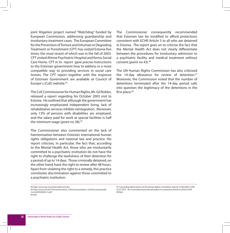joint litigation project named "Watchdog" funded by European Commission, addressing guardianship and involuntary treatment cases. The European Committee for the Prevention of Torture and Inhuman or Degrading Treatment or Punishment (CPT) has visited Estonia five times, the most recent of which was in the fall of 2003. CPT visited Ahtme Psychiatric Hospital and Kernu Social Care Home. CPT in its report gave precise instructions to the Estonian government how to address in a more compatible way to providing services in social care homes. The CPT report together with the response of Estonian Government are available at Council of Europe's (CoE) website.<sup>94</sup>

The CoE Commissioner for Human Rights, Mr. Gil Robles, released a report regarding his October 2003 visit to Estonia. He outlined that although the government has increasingly emphasized independent living, lack of rehabilitative services inhibits reintegration. Moreover, only 13% of persons with disabilities are employed, and the salary paid for work at special facilities is half the minimum wage (point no  $38$ ).<sup>95</sup>

The Commissioner also commented on the lack of harmonisation between Estonia's international human rights obligations and national law and practice. His report criticises, in particular, the fact that, according to the Mental Health Act, those who are involuntarily committed to a psychiatric institution do not have the right to challenge the lawfulness of their detention for a period of up to 14 days. Those criminally detained, on the other hand, have the right to review after 48 hours. Apart from violating the right to a remedy, this practice constitutes discrimination against those committed to a psychiatric institution.

94 http://www.cpt.coe.int/en/states/est.htm 95 http://www.coe.int/T/E/Commissioner\_H.R/Communication\_Unit/Documents/pdf. CommDH(2004)5\_E.pdf 96 ibid

The Commissioner consequently recommended that Estonian law be modified to afford protections consistent with ECHR Article 5 to all who are detained in Estonia. The report goes on to criticise the fact that the Mental Health Act does not clearly differentiate between the procedures for involuntary admission to a psychiatric facility and medical treatment without consent.(point no 43).96

The UN Human Rights Commission has also criticised the 14-day allowance for review of detention. $97$ Moreover, the Commission noted that the number of detentions terminated after the 14-day period calls into question the legitimacy of the detentions in the first place.<sup>98</sup>

97 Concluding Observations of the Human Rights Committee: Estonia 15/04/2003 CCPR/ CO/77/EST. The Committee found the procedure to contravene Article 9 of the ICCPR. 98 Ibid.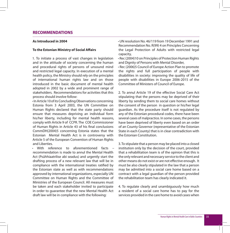#### **RECOMMENDATIONS**

#### **As Introduced in 2004**

#### **To the Estonian Ministry of Social Affairs**

1. To initiate a process of vast changes in legislation and in the attitude of society concerning the human and procedural rights of persons of unsound mind and restricted legal capacity. In execution of a mental health policy, the Ministry should rely on the principles of international human rights law and on those introduced in the basic document of mental health adopted in 2002 by a wide and prominent range of stakeholders. Recommendations for activities that this process should involve follow:

**·** In Article 10 of its Concluding Observations concerning Estonia from 3 April 2003, the UN Committee on Human Rights declared that the state party should ensure that measures depriving an individual form his/her liberty, including for mental health reasons, comply with Article 9 of CCPR. The COE Commissioner of Human Rights in Article 43 of his final conclusions CommDH(2004)5 concerning Estonia states that the Estonian Mental Health Act is in controversy with Article 5 of the European Convention of Human Rights and Liberties.

**·** With reference to aforementioned facts – recommendation is made to annul the Mental Health Act (Psühhiaatrilise abi seadus) and urgently start the drafting process of a new relevant law that will be in compliance with the international treaties ratified by the Estonian state as well as with recommendations approved by international organizations, especially UN Committee on Human Rights and the Committee of Ministries of the European Council. All measures must be taken and each stakeholder invited to participate in order to guarantee that the new Mental Health Act draft law will be in compliance with the following:

**·** UN resolution No. 46/119 from 19 December 1991 and Recommendation No. R(99) 4 on Principles Concerning the Legal Protection of Adults with restricted legal capacity,

**·** Rec (2004)10 on Principles of Protection Human Rights and Dignity of Persons with Mental Disorder,

**·** Rec (2006)5 Council of Europe Action Plan to promote the rights and full participation of people with disabilities in society: improving the quality of life of people with disabilities in Europe 2006-2015 of the Committee of Ministers of Council of Europe.

2. To annul Article 19 of the effective Social Care Act stipulating that the persons may be deprived of their liberty by sending them to social care homes without the consent of the person in question or his/her legal guardian. As the procedure itself is not regulated by any of the Estonian procedural codes, there have been several cases of malpractice. In some cases, the persons have been deprived of liberty even based on an order of an County Governor (representative of the Estonian State in each County) that is in clear contradiction with the Estonian Constitution.

3. To stipulate that a person may be placed into a closed institution only by the decision of the court, provided that a rehabilitation team is of the opinion that this is the only relevant and necessary service to the client and other means do not exist or are not effective enough. It must be also clearly stipulated in the law that a person may be admitted into a social care home based on a contract with a legal guardian of the person provided the rehabilitation team has clearly indicated it.

4. To regulate clearly and unambiguously how much a resident of a social care home has to pay for the services provided in the care home to avoid cases when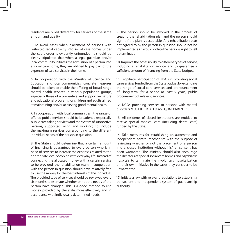residents are billed differently for services of the same amount and quality.

5. To avoid cases when placement of persons with restricted legal capacity into social care homes under the court order is evidently unfounded, it should be clearly stipulated that when a legal guardian and/or local community initiates the admission of a person into a social care home, they are obliged to pay part of the expenses of said services in the home.

6. In cooperation with the Ministry of Science and Education and local communities concrete measures should be taken to enable the offering of broad range mental health services in various population groups. especially those of a preventive and supportive nature and educational programs for children and adults aimed at maintaining and/or achieving good mental health.

7. In cooperation with local communities, the range of offered public services should be broadened (especially public care taking services and the system of supportive persons, supported living and working) to include the maximum services corresponding to the different individual needs of the person in question.

8. The State should determine that a certain amount of financing is guaranteed to every person who is in need of services to increase the expenses related to the appropriate level of coping with everyday life. Instead of connecting the allocated money with a certain service to be provided, the rehabilitation team in cooperation with the person in question should have relatively free to use the money for the best interests of the individual. The provided type of services should be reviewed every six months to estimate whether or not the needs of the person have changed. This is a good method to use money provided by the state more effectively and in accordance with individually determined needs.

9. The person should be involved in the process of creating the rehabilitation plan and the person should sign it if the plan is acceptable. Any rehabilitation plan not agreed to by the person in question should not be implemented as it would violate the person's right to self determination.

10. Improve the accessibility to different types of service, including a rehabilitation service, and to guarantee a sufficient amount of financing from the State budget.

11. Propitiate participation of NGOs in providing social care services funded from the State budget by extending the range of social care services and pronouncement of long-term (for a period at least 5 years) public procurement of relevant services.

12. NGOs providing services to persons with mental disorders MUST BE TREATED AS EQUAL PARTNERS.

13. All residents of closed institutions are entitled to receive special medical care (including dental care) funded by the State.

14. Take measures for establishing an automatic and independent control mechanism with the purpose of reviewing whether or not the placement of a person into a closed institution without his/her consent has been warranted. The Ministry should also encourage the directors of special social care homes and psychiatric hospitals to terminate the involuntary hospitalization on their own initiative in the cases they consider to be unwarranted.

15. Initiate a law with relevant regulations to establish a transparent and independent system of guardianship authority.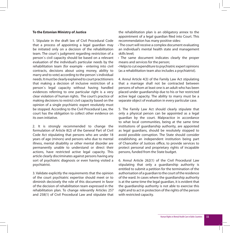#### **To the Estonian Ministry of Justice**

1. Stipulate in the draft law of Civil Procedural Code that a process of appointing a legal guardian may be initiated only on a decision of the rehabilitation team. The court`s judgment regarding restriction of a person`s civil capacity should be based on a relevant evaluation of the individual's particular needs by the rehabilitation team (for example - entering into civil contracts, decisions about using money, ability to marry and to vote) according to the person`s individual needs. It must be clearly explained to court practitioners that making a decision of inclusive restriction of a person`s legal capacity without having handled evidences referring to one particular right is a very clear violation of human rights. The court's practice of making decisions to restrict civil capacity based on the opinion of a single psychiatric expert resolutely must be stopped. According to the Civil Procedural Law, the court has the obligation to collect other evidence on its own initiative.

2. It is strongly recommended to change the formulation of Article 8(2) of the General Part of Civil Code Act stipulating that persons who are under 18 years of age (minors) and persons who due to mental illness, mental disability or other mental disorder are permanently unable to understand or direct their actions, have restricted active legal capacity. This article clearly discriminates against persons having any sort of psychiatric diagnosis or even having visited a psychiatrist.

3. Validate explicitly the requirements that the opinion of the court psychiatric expertise should meet or to diminish decisively the role of this document in favor of the decision of rehabilitation team expressed in the rehabilitation plan. To change relevantly Articles 257 and 258(1) of Civil Procedural Law and stipulate that the rehabilitation plan is an obligatory annex to the appointment of a legal guardian filed into Court. This recommendation has many positive sides:

**·** The court will receive a complex document evaluating an individual's mental health state and management skills level;

**·** The same document indicates clearly the proper means and services for the person;

**·** Helps to cut expenditure to psychiatric expert opinions (as a rehabilitation team also includes a psychiatrist).

4. Annul Article 4(3) of the Family Law Act stipulating that a marriage shall not be contracted between persons of whom at least one is an adult who has been placed under guardianship due to his or her restricted active legal capacity. The ability to marry must be a separate object of evaluation in every particular case.

5. The Family Law Act should clearly stipulate that only a physical person can be appointed as a legal guardian by the court. Malpractice in accordance to what local communities, being at the same time institutions of guardianship authority, are appointed as legal guardians, should be resolutely stopped to avoid possible corruption. The State should consider establishing an independent institution being part of Chancellor of Justices office, to provide services to protect personal and proprietary rights of incapable persons, funded from the State budget.

6. Annul Article 262(1) of the Civil Procedural Law stipulating that only a guardianship authority is entitled to submit a petition for the termination of the authorisation of a guardian to the court of the residence of the ward. In cases where the guardianship authority is at the same time the legal guardian, it is evident that the guardianship authority is not able to exercise this right and to act in protection of the rights of the person with restricted capacity.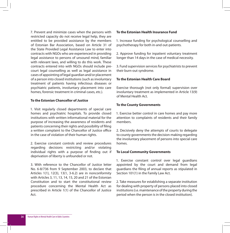7. Prevent and minimize cases when the persons with restricted capacity do not receive legal help, they are entitled to be provided assistance by the members of Estonian Bar Association, based on Article 31 of the State Provided Legal Assistance Law to enter into contracts with NGOs who are experienced in providing legal assistance to persons of unsound mind, familiar with relevant laws, and willing to do this work. These contracts entered into with NGOs should include precourt legal counselling as well as legal assistance in cases of appointing of legal guardian and/or placement of a person into closed institutions (such as involuntary treatment of patients having infectious diseases or psychiatric patients, involuntary placement into care homes, forensic treatment in criminal cases, etc.).

#### **To the Estonian Chancellor of Justice**

1. Visit regularly closed departments of special care homes and psychiatric hospitals. To provide closed institutions with written informational material for the purpose of increasing the awareness of residents and patients concerning their rights and possibility of filing a written complaint to the Chancellor of Justice office in the case of violation of their human rights.

2. Exercise constant controls and review procedures regarding decisions restricting and/or violating individual rights with a purpose of finding out if deprivation of liberty is unfounded or not.

3. With reference to the Chancellor of Justice letter No. 6-8/736 from 9 September 2003, to declare that Articles 1(1), 12(3), 13(1, 3-6.2) are in nonconformity with Articles 3, 11, 13, 14, 15, 20 and 21 of the Estonian Constitution and to start the constitutional review procedure concerning the Mental Health Act as prescribed in Article 1(1) of the Chancellor of Justice Act.

#### **To the Estonian Health Insurance Fund**

1. Increase funding for psychological counselling and psychotherapy for both in-and out-patients.

2. Approve funding for inpatient voluntary treatment longer than 14 days in the case of medical necessity.

3. Fund supervision services for psychiatrists to prevent their burn-out syndrome.

#### **To the Estonian Health Care Board**

Exercise thorough (not only formal) supervision over involuntary treatment as implemented in Article 13(9) of Mental Health Act.

#### **To the County Governments**

1. Exercise better control in care homes and pay more attention to complaints of residents and their family members.

2. Decisively deny the attempts of courts to delegate to county governments the decision-making regarding the involuntary placement of persons into special care homes.

#### **To Local Community Governments**

1. Exercise constant control over legal guardians appointed by the court and demand from legal guardians the filing of annual reports as stipulated in Section 101(1) in the Family Law Act.

2. Take measures for establishing a separate institution for dealing with property of persons placed into closed institutions (i.e. maintenance of the property during the period when the person is in the closed institution).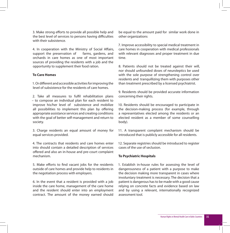3. Make strong efforts to provide all possible help and the best level of services to persons having difficulties with their subsistence

4. In cooperation with the Ministry of Social Affairs, support the preservation of farms, gardens, and orchards in care homes as one of most important sources of providing the residents with a job and the opportunity to supplement their food ration.

#### **To Care Homes**

1. Or different and accessible activities for improving the level of subsistence for the residents of care homes.

2. Take all measures to fulfil rehabilitation plans – to compose an individual plan for each resident to improve his/her level of subsistence and mobilize all possibilities to implement this plan by offering appropriate assistance services and creating conditions with the goal of better self-management and return to society.

3. Charge residents an equal amount of money for equal services provided.

4. The contracts that residents and care homes enter into should contain a detailed description of services offered and also an in-house and pre-court complaint mechanism.

5. Make efforts to find vacant jobs for the residents outside of care homes and provide help to residents in the negotiation process with employers.

6. In the event that a resident is provided with a job inside the care home, management of the care home and the resident should enter into an employment contract. The amount of the money earned should be equal to the amount paid for similar work done in other organizations

7. Improve accessibility to special medical treatment in care homes in cooperation with medical professionals with relevant diagnoses and proper treatment in due time.

8. Patients should not be treated against their will, nor should unfounded doses of neuroleptics be used with the sole purpose of strengthening control over residents and tranquillizing them with purposes other than treatment prescribed by a licensed psychiatrist.

9. Residents should be provided accurate information concerning their rights.

10. Residents should be encouraged to participate in the decision-making process (for example, through a representatives elected among the residents or an elected resident as a member of some counselling body).

11. A transparent complaint mechanism should be introduced that is publicly accessible for all residents.

12. Separate registries should be introduced to register cases of the use of seclusion.

#### **To Psychiatric Hospitals**

1. Establish in-house rules for assessing the level of dangerousness of a patient with a purpose to make the decision making more transparent in cases where involuntary treatment is necessary. The decision that a patient is dangerous has to be made with a good cause relying on concrete facts and evidence based on law and by using a relevant, internationally recognized assessment tool.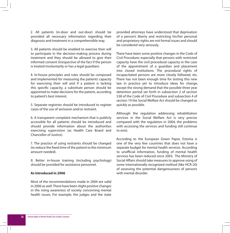2. All patients (in-door and out-door) should be provided all necessary information regarding their diagnosis and treatment in a comprehensible way.

3. All patients should be enabled to exercise their will to participate in the decision-making process during treatment and they should be allowed to give their informed consent (irrespective of the fact if the person is treated involuntarily or has a legal guardian).

4. In-house principles and rules should be composed and implemented for measuring the patients' capacity for exercising their will and if a patient is lacking this specific capacity, a substitute person should be appointed to make decisions for the patient, according to patient's best interest.

5. Separate registries should be introduced to register cases of the use of seclusion and/or restraint.

6. A transparent complaint mechanism that is publicly accessible for all patients should be introduced and should provide information about the authorities exercising supervision (as Health Care Board and Chancellor of Justice).

7. The practice of using restraints should be changed (to reduce the fixed time of the patient to the minimum amount needed).

8. Better in-house training (including psychology) should be provided for assistance personnel.

#### **As Introduced in 2006**

Most of the recommendations made in 2004 are valid in 2006 as well. There have been slight positive changes in the rising awareness of society concerning mental health issues. For example, the judges and the state provided attorneys have understood that deprivation of a person's liberty and restricting his/her personal and proprietary rights are not formal issues and should be considered very seriously.

There have been some positive changes in the Code of Civil Procedure; especially that persons with restricted capacity have the civil procedural capacity in the case of the appointment of a guardian and placement into closed institutions. The procedural rights of incapacitated persons are more closely followed, etc. There has not been enough time for testing this new law in practice yet to introduce ideas for change, except the strong demand that the possible three year detention period set forth in subsection 2 of section 538 of the Code of Civil Procedure and subsection 4 of section 19 the Social Welfare Act should be changed as quickly as possible.

Although the regulation addressing rehabilitation services in the Social Welfare Act is very precise compared with the regulation in 2004, the problems with accessing the services and funding still continue to exist.

According to the European Green Paper, Estonia is one of the very few countries that does not have a separate budget for mental health services. According to unofficial information, funding of mental health services has been reduced since 2003. The Ministry of Social Affairs should take measures to approve using of some internationally recognized method (like HCR-20) of assessing the potential dangerousness of persons with mental disorder.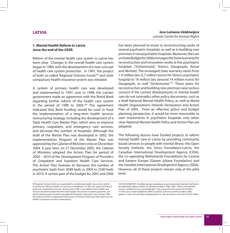# **LATVIA**

## **1. Mental Health Reform in Latvia since the end of the USSR**

Reform of the mental health care system in Latvia has been slow. Changes in the overall health care system began in 1989, with the development of a new concept of health care system protection. In 1991, the project of both so-called 'Regional Sickness Funds'99 and state compulsory health insurance system was initiated.

A system of primary health care was developed and implemented in 1997, and, in 1998, the Latvian government made an agreement with the World Bank regarding further reform of the health care system in the period of 1999 to  $2004.<sup>100</sup>$  This agreement indicated that Bank funding would be used to fund the implementation of a long-term health services restructuring strategy, including the development of a State Health Care Master Plan, which aims to improve primary, outpatient, and emergency care services, and decrease the number of hospitals. Although the draft of the Master Plan was developed in 2002, the Implementation Program of the Master Plan was approved by the Cabinet of Ministers only on December 2004. A year later, on 27 December 2005, the Cabinet of Ministers adopted the Action Plan for period of 2005 – 2010 of the Development Program of Providers of Outpatient and Inpatient Health Care Services. The Action Plan foresees to decrease the number of psychiatric beds from 3048 beds in 2004 to 2540 beds in 2010. A certain part of the budget for 2005 and 2006

## *Ieva Leimane-Veldmeijere Latvian Centre for Human Rights*

has been planned to invest in reconstructing works of several psychiatric hospitals, as well as in building new premises in two psychiatric hospitals. Moreover, the Law on State Budget for 2006 envisages the State warranty for reconstruction and renovation works at five psychiatric hospitals ("Gintermuiza", Strenci, Daugavpils, Ainazi and Akniste). The envisaged State warranty varies from 1.9 million lats (2.7 million euros) for Strenci psychiatric hospital to 10 million lats (around 14 million euros) for Daugavpils, as well "Gintermuiza."<sup>101</sup> These plans for reconstruction and building new premises raise serious concern if the current developments in mental health care do not contradict other policy documents, such as a draft National Mental Health Policy, as well to World Health Organization's Helsinki Declaration and Action Plan of 2005. From an effective policy and budget planning perspective, it would be more reasonable to start investments in psychiatric hospitals only when clear National Mental Health Policy and Action Plan are adopted.

The following donors have funded projects to reform mental health care in Latvia by providing community based services to people with mental illness: the Open Society Institute, the Soros Foundation-Latvia, the Canadian International Development Agency (CIDA), the Co-operating Netherlands Foundations for Central and Eastern Europe (Queen Juliana Foundation) and the Swedish International Development Agency (SIDA). However, all of these projects remain only at the pilot level.

<sup>99</sup> Regional Sickness funds are responsible for coordinating health care services and for ensuring cost-effective health care services to inhabitants. In 1993, the system of Sickness funds was created all over Latvia. By the end of 1993, it was defined which health care services should be funded from the State budget, the amount of patient payments, and which patient groups should be exempted from patient's payments. Since January 2005 the system has been reorganized and functions of Sickness funds have been taken over by Health Compulsory Insurance State Agency.

<sup>100</sup> SIA DEABALTIKA, Veselības aprūpes pakalpojumu groza pašreizējā stāvokļa izvērtējums, tā ietekmējošo faktoru analīze un nākotnes tendence, Rīga, 2002, <http://www.politika. lv/polit\_real/files/lv/vesel\_grozs2002.pdf > (last accessed on the web at 03.02.2005.) 101 The Law on State budget for 2006 (in Latvian), [Likums par Valsts budžetu 2006. gadam], <http://www.fm.gov.lv/page.php?id=4> (last accessed on the web at 05.05.2006.)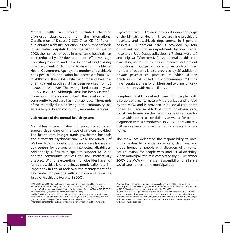Mental health care reform included changing diagnostic classifications from the International Classification of Disease-9 (ICD-9) to ICD-10. Reform also entailed a drastic reduction in the number of beds in psychiatric hospitals. During the period of 1998 to 2002, the number of beds in psychiatric hospitals has been reduced by 20% due to the more effective usage of existing resources and the reduction of length of stay of acute patients.<sup>102</sup> According to data from the Mental Health Government Agency, the number of psychiatric beds per 10 000 population has decreased from 16.4 in 2000 to 13.8 in 2004, while the number of beds per one in-patient psychiatrist has been reduced from 26 in 2000 to 22 in 2004. The average bed occupancy was 94.75% in 2004.103 Although Latvia has been successful in decreasing the number of beds, the development of community-based care has not kept pace. Thousands of the mentally disabled living in the community lack access to quality and community residential services.

### **2. Structure of the mental health system**

Mental health care in Latvia is financed from different sources, depending on the type of services provided. The health care budget funds psychiatric hospitals and outpatient psychiatric care, while the Ministry of Welfare (MoW) budget supports social care homes and day centers for persons with intellectual disabilities. Additionally, a few municipalities support NGOs to operate community services for the intellectually disabled. With one exception, municipalities have not funded psychiatric care. Jelgava municipality (the 4th largest city in Latvia) took over the management of a day center for persons with schizophrenia from the Jelgava Psychiatric Hospital in 2003.

102 Draft National Mental Health policy document (in Latvian), [Veselības ministrija, Pamatnostādnes "Iedzīvotāju garīgās veselības uzlabošana no 2006. gada līdz 2016. gadam], p.8, <http://www.mk.gov.lv/index.php/lv/28/search?search=37ed01630bf5c80a81 840a9c68c4afba> (last accessed on the web at 05.05.2006.)

Psychiatric care in Latvia is provided under the aegis of the Ministry of Health. There are nine psychiatric hospitals, and psychiatric departments in 3 general hospitals. Outpatient care is provided by four outpatient consultative departments by four mental hospitals in Riga, Daugavpils, Liepaja (Piejuras Hospital) and Jelgava ("Gintermuiza"), 22 mental health care consulting-rooms at municipal medical out-patient institutions. Outpatient care to an undetermined number of patients is also provided by 55 additional private psychiatrists' practices of which sixteen practices in 2004 fulfilled public procurement.104 Of the nine hospitals, one is for children, and two are for longterm residents with mental illness.

Long-term institutionalized care for people with disorders of a mental nature<sup>105</sup> is organized and funded by the MoW, and is provided in 31 social care home for adults. Because of lack of community-based care, social care homes are the major source of services for those with intellectual disabilities, as well as for people diagnosed with schizophrenia. In 2005, approximately 850 people were on a waiting list for a place in a care home.

The MoW has delegated the responsibility to local municipalities to provide home care, day care, and group homes for people with disorders of a mental nature, mainly for people with intellectual disability. When municipal reform is completed (by 31 December 2007), the MoW will transfer responsibility for all state social care homes to the municipalities.

<sup>103</sup> The Statistics Yearbook, 5th issue, of Mental Health Government Agency, Ministry of Health of Latvia, Mental Health Care in Latvia in 2004, Riga, 2005, p.44, <http://www.gvva. gov.lv/en\_publik/2004.pdf> (last accessed on the web at 05.05.2006.) 104 Draft National Mental Health policy document (in Latvian), [Veselības ministrija,

Pamatnostādnes "Iedzīvotāju garīgās veselības uzlabošana no 2006. gada līdz 2016. gadam], p.7-8, <http://www.mk.gov.lv/index.php/lv/28/search?search=37ed01630bf5c80a 81840a9c68c4afba> (last accessed on the web at 05.05.2006.)

<sup>105</sup> The MoW in all its legislative acts regards persons with mental disabilities is using the term "persons with disorders of a mental nature". However this term is not defined in any legislative act and there is no clear policy from MoW on whether it may also include people with mental health problems, because in practice the term is mainly related to persons with intellectual disabilities.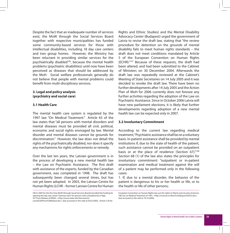Despite the fact that an inadequate number of services exist, the MoW through the Social Services Board together with respective municipalities has funded some community-based services for those with intellectual disabilities, including 18 day care centers and two group homes. However, the Ministry has been reluctant in providing similar services for the psychiatrically disabled<sup>106</sup>, because the mental health problems (psychiatric disabilities) until now have been perceived as diseases that should be addressed by the MoH. Social welfare professionals generally do not believe that people with mental problems could benefit from multi-disciplinary services.

## **3. Legal and policy analysis (psychiatry and social care)**

### **3.1 Health Care**

The mental health care system is regulated by the 1997 law "On Medical Treatment." Article 65 of the law states that "all persons with mental disorders and mental diseases must be provided all civil, political, economic and social rights envisaged by law. Mental disorder and mental diseases cannot be grounds for discrimination." However, the law does not detail the rights of the psychiatrically disabled, nor does it specify any mechanisms for rights enforcements or remedy.

Over the last ten years, the Latvian government is in the process of developing a new mental health law – the Law on Psychiatric Assistance. The first draft with assistance of the experts, funded by the Canadian government, was completed in 1998. The draft has subsequently been changed several times, but has not yet been adopted. In 2003, the Latvian Centre for Human Rights (LCHR – former Latvian Centre for Human

106 In 2005 for the first time MoW (through Social Services Board) provided the funding for opening the day care center "Gaismas stars" for persons with schizophrenia in Riga. 107 Press Release of MDAC, <http://www.mdac.info/documents/

Latvia%20Press%20Release.doc> (last accessed on the web at 03.02.2005). Article 5 of the

Rights and Ethnic Studies) and the Mental Disability Advocacy Center (Budapest) urged the government of Latvia to revise the draft law, stating that "the review procedure for detention on the grounds of mental disability fails to meet human rights standards – the draft does not meet conditions mandated by Article 5 of the European Convention on Human Rights (ECHR)."107 Because of these requests, the draft had been altered, and had been submitted to the Cabinet of Ministers on 30 December 2004. Afterwards the draft law was repeatedly reviewed at the Cabinet's Meeting of State Secretaries on 14 July 2005 and it was decided to revoke the draft law. There have been no further developments after 14 July 2005 and the Action Plan of MoH for 2006 currently does not foresee any further activities regarding the adoption of the Law on Psychiatric Assistance. Since in October 2006 Latvia will have new parliament elections, it is likely that further developments regarding adoption of a new mental health law can be expected only in 2007.

#### **3.2 Involuntary Commitment**

According to the current law regarding medical treatment, "Psychiatric assistance shall be on a voluntary basis. In-patient assistance shall be provided by mental institutions if, due to the state of health of the patient, such assistance cannot be provided on an outpatient basis or at the place of residence (Section 67)."<sup>108</sup> Section 68 (1) of the law also states the principles for involuntary commitment: "outpatient or in-patient examination and medical treatment against the will of a patient may be performed only in the following cases:

1. If, due to a mental disorder, the behavior of the patient is dangerous to his or her health or life, or to the health or life of other persons;

European Convention on Human Rights lays out the rights to liberty and security of person. 108 Law on Medical Treatment of 1997, <http://www.ttc.lv/New/lv/tulkojumi/E0233.doc> (last accessed on the web at 18.10.2004).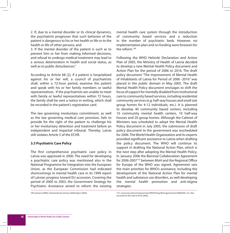2. If, due to a mental disorder or its clinical dynamics, the psychiatrist prognoses that such behavior of the patient is dangerous to his or her health or life or to the health or life of other persons; and

3. If the mental disorder of the patient is such as to prevent him or her from making informed decisions, and refusal to undergo medical treatment may lead to a serious deterioration in health and social status, as well as to public disturbances."

According to Article 68 (2), if a patient is hospitalized against his or her will, a council of psychiatrists shall, within a 72-hour period, examine the patient and speak with his or her family members or lawful representatives. If the psychiatrists are unable to meet with family or lawful representatives within 72 hours. the family shall be sent a notice in writing, which shall be recorded in the patient's registration card.

The law governing involuntary commitment, as well as the law governing medical care provision, fails to provide for the right of the patient to challenge his or her involuntary detention and treatment before an independent and impartial tribunal. Thereby, Latvia still violates Article 5 of the ECHR.

### **3.3 Psychiatric Care Policy**

The first comprehensive psychiatric care policy in Latvia was approved in 2000. The need for developing a psychiatric care policy was mentioned also in the National Programme for Integration into the European Union, as the European Commission had indicated shortcomings in mental health care in its 1999 report of Latvian progress toward EU accession. Covering the period of 2000 to 2003, the Government Strategy for Psychiatric Assistance aimed to reform the existing

mental health care system through the introduction of community based services and a reduction in the number of psychiatric beds. However, no implementation plan and no funding were foreseen for the reform  $109$ 

Following the WHO Helsinki Declaration and Action Plan of 2005, the Ministry of Health of Latvia decided to develop a new Mental Health Policy document and Action Plan for the period of 2006 to 2016. The draft policy document "The Improvement of Mental Health of Inhabitants of Latvia for Period of 2006 -2016" was placed in the public domain in May 2005. The draft Mental Health Policy document envisages to shift the focus of support for mentally disabled from institutional care to community based services, including residential community services (e.g. half-way houses and small size group homes for 4-12 individuals, etc.). It is planned to develop 40 community based centers, including 10 community mental health centers, 10 half-way houses and 20 group homes. Although the Cabinet of Ministers was scheduled to adopt the Mental Health Policy document in July 2005, the submission of draft policy document to the government was rescheduled for 2006. The World Health Organization and its experts provided significant assistance to Latvia when drafting the policy document. The WHO will continue its support in drafting the National Action Plan, which is the next step after adopting the Mental Health Policy. In January 2006 the Biennial Collaboration Agreement for 2006-2007110 between MoH and the Regional Office for Europe of the WHO was signed. Agreement sets the main priorities for WHO's assistance, including the development of the National Action Plan for mental health and substance use disorders, as well developing the mental health promotion and anti-stigma strategies.

109 Leimane (2000), A.Kamenska & Leimane-Veldmeijere (2003) 110 <www.euro.who.int/eprise/main/WHO/Progs/BCA/agreements/20060309\_22> (last accessed on the web at 05.05.2006.)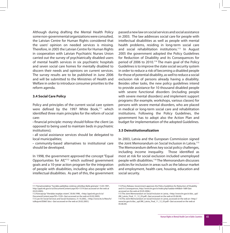Although during drafting the Mental Health Policy some non-governmental organizations were consulted, the Latvian Centre for Human Rights considered that the users' opinion on needed services is missing. Therefore, in 2005 the Latvian Centre for Human Rights in cooperation with Latvian Psychiatric Nurses Union carried out the survey of psychiatrically disabled users of mental health services in six psychiatric hospitals and seven social care homes for mentally disabled to discern their needs and opinions on current services. The survey results are to be published in June 2006 and will be submitted to the Ministries of Health and Welfare in order to introduce consumer priorities to the reform agenda.

### **3.4 Social Care Policy**

Policy and principles of the current social care system were defined by the 1997 White Book,<sup>111</sup> which identified three main principles for the reform of social care:

**·** financial principle: money should follow the client (as opposed to being used to maintain beds in psychiatric institutions);

**·** all social assistance services should be delegated to local municipalities;

**·** community-based alternatives to institutional care should be developed.

In 1998, the government approved the concept "Equal Opportunities for All,"112 which outlined government goals and a 10-year action program for the integration of people with disabilities, including also people with intellectual disabilities. As part of this, the government passed a new law on social services and social assistance in 2003. The law addresses social care for people with intellectual disabilities as well as people with mental health problems, residing in long-term social care and social rehabilitation institutions.<sup>113</sup> In August 2005 the government adopted the Policy Guidelines for Reduction of Disability and its Consequences for period of 2006 to 2010.<sup>114</sup> The main goal of the Policy Guidelines is to improve the state social security system in order to reduce a risk of becoming a disabled people for those of potential disability, as well to reduce a social exclusion risk of persons already having a disability. Besides other tasks, the new policy guidelines intend to provide assistance for 10 thousand disabled people with severe functional disorders (including people with severe mental disorders) and implement support programs (for example, workshops, various classes) for persons with severe mental disorders, who are placed in medical or long-term social care and rehabilitation institutions. Following the Policy Guidelines, the government has to adopt also the Action Plan and budget for implementation of the adopted Guidelines.

### **3.5 Deinstitutionalization**

In 2003, Latvia and the European Commission signed the Joint Memorandum on Social Inclusion in Latvia.115 The Memorandum defines key social policy challenges, including income inequality. Those identified as most at risk for social exclusion included unemployed people with disabilities.116 The Memorandum discusses policies for inclusion in areas such as the labour market and employment, health care, housing, education and social security.

<sup>111</sup> Pamatnostādnes "Sociālās palīdzības sistēmas attīstības Baltā grāmata", 13.05.1997., http://ppd.mk.gov.lv/ui/DocumentContent.aspx?ID=1519 (last accessed on the web at 03.03.2005).

<sup>112</sup> Koncepcija "Vienādas iespējas visiem", 30.06.1998., <http://ppd.mk.gov.lv/ui/ DocumentContent.aspx?ID=1539> (last accessed on the web at 03.02.2005). 113 Law On Social Services and Social Assistance, 31.10.2002., <http://www.ttc.lv/New/lv/ tulkojumi/E0667.doc> (last accessed on the web at 20.02.2005.)

<sup>114</sup> Press Release, Government approves the Policy Guidelines for Reduction of Disability and it's Consequences, http://www.lm.gov.lv/index.php?sadala=640&id=1689 (last accessed on the web at 05.05.2006.)

<sup>115</sup> The Joint Memorandum on Social Inclusion in Latvia, <http://www.lm.gov.lv/doc\_upl/ JIM\_Latvia\_Final\_11\_12\_03.pdf> (last accessed on the web at 05.06.04).

<sup>116</sup> The Joint Memorandum on Social Inclusion in Latvia, accessed on the web at <http:// www.lm.gov.lv/doc\_upl/JIM\_Latvia\_Final\_11\_12\_03.pdf> (last accessed on the web at 05.06.04).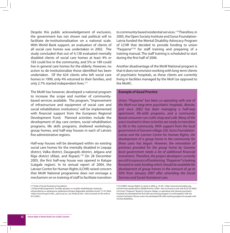Despite this public acknowledgement of exclusion, the government has not shown real political will to facilitate de-institutionalization on a national scale. With World Bank support, an evaluation of clients of all social care homes was undertaken in 2002. The study concluded that out of 4,138 evaluated mentally disabled clients of social care homes at least 4% or 183 could live in the community, and 5% or 189 could live in general care homes for the elderly. However, no action to de-institutionalize those identified has been undertaken. Of the 624 clients who left social care homes in 1999, only 4% returned to their families, and only 2.7% started independent lives.<sup>117</sup>

The MoW has however, developed a national program to increase the scope and number of communitybased services available. The program, "Improvement of infrastructure and equipment of social care and social rehabilitation institutions," will be implemented with financial support from the European Regional Development Fund. Planned activities include the development of day care centers, social rehabilitation programs, life skills programs, sheltered workshops, group homes, and half-way houses in each of Latvia's five administrative regions.

Half-way houses will be developed within six existing social care homes for the mentally disabled in Liepaja district, Valka district, Daugavpils district, Jelgava and Riga district (Allazi, and Ropazi).118 On 28 December 2005, the first half-way house was opened in Kalupe (Latgale region). In its annual report of 2004, the Latvian Centre for Human Rights (LCHR) raised concern that MoW National programme does not envisage a mechanism on re-training of staff to facilitate transition

117 Data of Social Assistance Foundation.

to community based residential services.<sup>119</sup> Therefore, in 2005, the Open Society Institute and Soros Foundation-Latvia funded the Mental Disability Advocacy Program of LCHR that decided to provide funding to union "Pasparne"120 for staff training and preparing of a training manual. The staff training is scheduled to start during the first half of 2006.

Another disadvantage of the MoW National program is that it does not envision working with long-term clients of psychiatric hospitals, as these clients are currently living in facilities managed by the MoH (as opposed to the MoW).

### *Example of Good Practice*

*Union "Pasparne" has been co-operating with one of the MoH-run long-term psychiatric hospitals, Akniste, and since 2002 has been managing a half-way apartment, life-skills programs, and a community based consumer-run crafts shop and café. Many of the users involved in these activities are ready to transition to life in the community. With support from the local government of Garsene village, OSI, Soros Foundation-Latvia and the Latvian Centre for Human Rights, the development of a group home in the community for these users has begun. However, the renovation of premises provided for the group home by Garsene local government needs a lot of additional financial investment. Therefore, the project developers currently are still in a process of fundraising. "Pasparne" is looking forward to state funding which should be available for development of group homes in the amount of up to 50% from January 2007 after amending the Social Services and Social Assistance Law.*

<sup>118</sup> Nacionālā programma "Sociālās aprūpes un sociālās rehabilitācijas institūciju infrastruktūras un aprīkojuma uzlabošana (Eiropas Reģionālās attīstības fonds)", 21.07.2004., <http://www.lm.gov.lv/doc\_upl/soc.pr.un\_soc.rehab.(2).doc> (last accessed on the web at 20.2.2005.)

<sup>119</sup> LCHRES, Human Rights in Latvia in 2004, p. 19-20, <http://www.humanrights.org. lv/html/news/publications/28368.html?yr=2005> (last accessed on the web at 05.05.2006.) 120 Union "Pasparne" (based in Garsene village, co-operating with Akniste psychiatric hospital) has developed the first half-way housing program, as well together with the Latvian Psychiatric Nurses union has developed life skills training program for people with mental disabilities.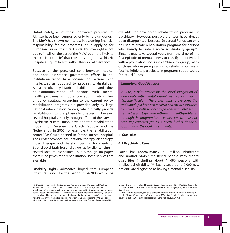Unfortunately, all of these innovative programs at Akniste have been supported only by foreign donors. The MoW has shown no interest in assuming financial responsibility for the programs, or in applying for European Union Structural Funds. This oversight is not due to ill-will on the part of the MoW, but more likely to the persistent belief that those residing in psychiatric hospitals require health, rather than social assistance.

Because of the perceived split between medical and social assistance, government efforts in deinstitutionalization have focused on persons with intellectual, as opposed to psychiatric, disabilities. As a result, psychiatric rehabilitation (and thus de-institutionalization of persons with mental health problems) is not a concept in Latvian law or policy strategy. According to the current policy, rehabilitation programs are provided only by large national rehabilitation centers, which mostly provide rehabilitation to the physically disabled. However, several hospitals, mainly through efforts of the Latvian Psychiatric Nurses Union, have adopted rehabilitation models from Sweden, the Czech Republic, and the Netherlands. In 2003, for example, the rehabilitation center "Rasa" was opened in Strenci mental hospital. The Center provides occupational therapy, art therapy, music therapy, and life skills training for clients of Strenci psychiatric hospital as well as for clients living in several local municipalities. Thus, although 'on paper' there is no psychiatric rehabilitation, some services are available.

Disability rights advocates hoped that European Structural Funds for the period 2004-2006 would be available for developing rehabilitation programs in psychiatry. However, possible grantees have already been disappointed, because Structural Funds can only be used to create rehabilitation programs for persons who already fall into a so-called 'disability group.'<sup>121</sup> Since it may take several years from the time of the first episode of mental illness to classify an individual with a psychiatric illness into a 'disability group,' many of those who require psychiatric rehabilitation are in fact ineligible to participate in programs supported by Structural Funds.

#### *Example of Good Practice*

*In 2004, a pilot project for the social integration of individuals with mental disabilities was initiated in Vidzeme122 region. The project aims to overcome the traditional split between medical and social assistance by providing both services to persons with intellectual disabilities and to persons with mental health problems. Although the program has been developed, it has not been implemented yet, as it needs further financial support from the local governments.*

### **4. Statistics**

### **4.1 Psychiatric Care**

Latvia has approximately 2.3 million inhabitants and around 64,452 registered people with mental disabilities (including about 14,686 persons with intellectual disability).<sup>123</sup> Each year, around 6,000 new patients are diagnosed as having a mental disability.

<sup>121</sup> Disability is defined by the Law on the Medical and Social Protection of Disabled Persons 1992. Article 4 states that "a disabled person is a person who, due to the impairment of the functions of the system of organs caused by diseases, traumas or innate defects needs additional medical and social assistance and to whom a disability status has been attributed in the procedure set in this Law and other normative acts." In accordance with the Law on the Medical and Social Protection of Disabled Persons 1992, a person with disabilities is classified as having either severe disabilities (for people within Disability

Group I (the most severe) and Disability Group II) or mild disabilities (Disability Group III). 122 Latvia is divided in 5 administrative regions: Vidzeme, Zemgale, Latgale, Kurzeme and Riga district.

<sup>123</sup> The Statistics Yearbook, 5th issue, of Mental Health Government Agency, Ministry of Health of Latvia, Mental Health Care in Latvia in 2004, Riga, 2005, p.19 <http://www.gvva. gov.lv/en\_publik/2004.pdf> (last accessed on the web at 05.05.2006.)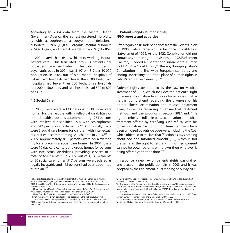According to 2004 data from the Mental Health Government Agency, the highest registered morbidity is with schizophrenia, schizotypal and delusional disorders - 29% (18,095), organic mental disorders – 24% (15,477) and mental retardation – 23% (14,686).

In 2004, Latvia had 64 psychiatrists working in outpatient care. This translated into 813 patients per outpatient care psychiatrist. The total number of psychiatric beds in 2004 was 3197 or 13.9 per 10 000 population. In 2004, out of nine mental hospitals of Latvia, two hospitals had fewer than 100 beds, two hospitals had fewer than 200 beds, three hospitals had 200 to 500 beds, and two hospitals had 500 to 800 beds.124

### **4.2 Social Care**

In 2005, there were 4,133 persons in 30 social care homes for the people with intellectual disabilities or mental health problems, accommodating 1764 persons with intellectual disabilities, 1502 with schizophrenia and 642 persons with dementia.<sup>125</sup> Additionally there were 3 social care homes for children with intellectual disabilities, accommodating 359 children in 2005.126 In 2005, approximately 850 persons were on a waiting list for a place in a social care home. In 2004, there were 19 day care centers and group homes for persons with intellectual disabilities, providing services to a total of 651 clients.<sup>127</sup> In 2005, out of 4,133 residents of 30 social care homes, 517 persons were declared as legally incapable and 462 persons had been appointed guardian.128

## **5. Patient's rights, human rights, NGO reports and activities**

After regaining its independence from the Soviet Union in 1990, Latvia renewed its historical Constitution (Satversme) of 1922. As the 1922 Constitution did not contain any human rights provisions, in 1998, Parliament (Saeima)129 added a Chapter on "Fundamental Human Rights" to the Constitution,<sup>130</sup> thereby "bringing Latvia's Constitution into line with European standards and ending uncertainty about the place of human rights in Latvia's legislative hierarchy."<sup>131</sup>

Patients' rights are outlined by the Law on Medical Treatment of 1997, which includes the patient's "right to receive information from a doctor in a way that s/ he can comprehend regarding the diagnosis of his or her illness, examination and medical treatment plans, as well as regarding other medical treatment methods and the prognosis (Section 20);" and, "the right to refuse, in full or in part, examination or medical treatment offered by certifying such refusal with his or her signature (Section 23)." These standards have been criticized by outside observers, including the CoE, which objected to the fact that "Section 23 says nothing about securing informed consent (…), which is not the same as the right to refuse – if informed consent cannot be obtained or is withdrawn then whatever is being offered cannot be done."<sup>132</sup>

In response, a new law on patients' rights was drafted and placed in the public domain in 2003 and it was adopted by the Parliament in 1st reading on 5 May 2005.

<sup>124</sup> All the statistical data are taken from the Statistics Yearbook, 5th issue, of Mental Health Government Agency, Ministry of Health of Latvia, Mental Health Care in Latvia in 2004, Riga, 2005, pp.105 <http://www.gvva.gov.lv/en\_publik/2004.pdf> (last accessed on the web at 05.05.2006.)

<sup>125</sup> Data from Social Services Board, <http://www.socpp.lv/lv/files/Tab\_1\_1.xls>, <http:// www.socpp.lv/lv/files/Tab\_7.xls>, (last accessed on the web at 05.05.2006) 126 Data from the Social Services Board, <http://www.socpp.lv/lv/files/

<sup>1.1.%20</sup>Bērnu%20skaits%20iestādē.xls>, (last accessed on the web at 05.05.2006.) 127LM Sociālo pakalpojumu pārvalde, Sociālie pakalpojumi un sociālā palīdzība Latvijā 2004. gadā, 47.lpp., <http://www.socpp.gov.lv/lv/?a=396>, (last accessed on the web at 05.05.2006.)

<sup>128</sup> Data from the Social Services Board, <http://www.socpp.lv/lv/files/Tab\_9.xls>, (last accessed on the web at 05.05.2006.)

<sup>129</sup> The Saeima is the Parliament of the Republic of Latvia and has 100 parliamentarians. 130 Chapter VIII on "Fundamental Human Rights", Constitution (Satversme) 1998, accessed on the web at <http://www.ttc.lv/New/lv/tulkojumi/E0013.doc> (last accessed on the web at 18.10.04).

<sup>131</sup> N.Muiznieks, A.Kamenska, I.Leimane, S.Garsvane, Human Rights in Latvia in 1998, Riga: Latvian Center for Human Rights and Ethnic Studies, 1999, p.33.

<sup>132</sup> Dr. Michael Abrams (United Kingdom), Comments of the Draft Law on Medical Treatment of Latvia, Council of Europe, Strasbourg, 16 September 1998, p.2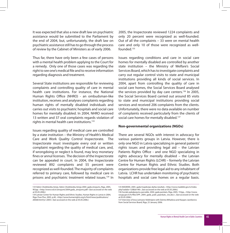It was expected that also a new draft law on psychiatric assistance would be submitted to the Parliament by the end of 2004, but, unfortunately, the draft law on psychiatric assistance still has to go through the process of review by the Cabinet of Ministers as of early 2006.

Thus far, there have only been a few cases of persons with a mental health problem applying to the Court for a remedy. Only one of those cases was regarding the right to see one's medical file and to receive information regarding diagnosis and treatment.

Several State institutions are responsible for reviewing complaints and controlling quality of care in mental health care institutions. For instance, the National Human Rights Office (NHRO) - an ombudsman-like institution, receives and analyses complaints regarding human rights of mentally disabled individuals and carries out visits to psychiatric hospitals and social care homes for mentally disabled. In 2004, NHRO received 13 written and 37 oral complaints regards violation of rights in mental health care institutions.133

Issues regarding quality of medical care are controlled by a state institution – the Ministry of Health's Medical Care and Work Quality Control Inspectorate. The Inspectorate must investigate every oral or written complaint regarding the quality of medical care, and, if wrongdoing or neglect is found, may levy monetary fines or annul licenses. The decision of the Inspectorate can be appealed in court. In 2004, the Inspectorate reviewed 892 complaints and 55 percent were recognized as well-founded. The majority of complaints referred to primary care, followed by medical care in prisons and psychiatric treatment related issues.<sup>134</sup> In

2005, the Inspectorate reviewed 1224 complaints and only 20 percent were recognized as well-founded. Out of all the complaints – 33 were on mental health care and only 10 of those were recognized as wellfounded<sup>135</sup>

Issues regarding conditions and care in social care homes for mentally disabled are controlled by another state institution – the Ministry of Welfare's Social Services Board, which has to investigate complaints and carry out regular control visits to state and municipal institutions providing all kinds of social services. In 2004, apart from controlling the quality of care in social care homes, the Social Services Board analysed the services provided by day care centers.<sup>136</sup> In 2005, the Social Services Board carried out around 85 visits to state and municipal institutions providing social services and received 206 complaints from the clients. Unfortunately, there were no data available on number of complaints received particularly from the clients of social care homes for mentally disabled.<sup>137</sup>

### **Non-governmental organizations (NGOs)**

There are several NGOs with interest in advocacy for various patients groups in Latvia. However, there is only one NGO in Latvia specializing in general patients' rights issues and providing legal aid – the Latvian Patients Rights Office - and one NGO specializing in rights advocacy for mentally disabled – the Latvian Centre for Human Rights (LCHR) – formerly the Latvian Centre for Human Rights and Ethnic Studies. Both organizations provide free legal aid to any inhabitant of Latvia. LCHR has undertaken monitoring of psychiatric hospitals and social care homes on a regular basis.

<sup>133</sup> Valsts Cilvektiesibu birojs, Valsts Cilvektiesibu biroja 2004. gada zinojums, Riga, 2005, 90.lpp. <http://www.vcb.lv/zinojumi/2004.gada\_zinojums.pdf> (last accessed on the web at 05.05.2006.)

<sup>134</sup> Latvian Center for Human Rights and Ethnic Studies, Human Rights in Latvia in 2004, Riga: Puse Plus, 2005, p.40, <http://www.humanrights.org.lv/html/news/publications/ 28368.html?yr=2005> (last accessed on the web at 05.05.2006.)

<sup>135</sup> MADEKKI, 2005. gada Inspekcijas darba rezultati, <http://www.madekki.gov.lv/index. php?sadala=120&id=98>, (last accessed on the web at 05.05.2006.)

<sup>136</sup> Socialo pakalpojumu parvalde, 2004. gada parskats, Riga, 2005, 19.lpp., <http://www. socpp.gov.lv/lv/files/SPP\_2004\_gada\_publ\_paarskats\_viss.doc>, (last accessed on the web at 05.05.2006.)

<sup>137</sup> Interview of Ieva Leimane-Veldmijere with Dzintra Mihailova and Kaspars Jasinkevics from Social Services Board, Riga, 25 January 2006.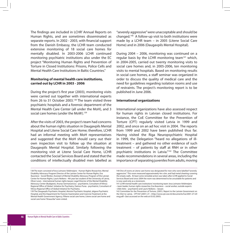The findings are included in LCHR' Annual Reports on Human Rights, and are sometimes disseminated as separate reports. In 2002 - 2003, with financial support from the Danish Embassy, the LCHR team conducted extensive monitoring of 18 social care homes for mentally disabled. In 2003-2006 LCHR continued monitoring psychiatric institutions also under the EC project "Monitoring Human Rights and Prevention of Torture in Closed Institutions: Prisons, Police Cells and Mental Health Care Institutions in Baltic Countries."

## **Monitoring of mental health care institutions, carried out by LCHR in 2003 - 2006**

During the project's first year (2003), monitoring visits were carried out together with international experts from 26 to 31 October 2003.138 The team visited three psychiatric hospitals and a forensic department of the Mental Health Care Center (all under the MoH), and 3 social care homes (under the MoW).<sup>139</sup>

After the visits of 2003, the project's team had concerns about the human rights situation in Daugavpils Mental Hospital and Litene Social Care Home; therefore, LCHR had an informal meeting with MoH representatives and suggested that the MoH should carry out their own inspection visit to follow up the situation at Daugavpils Mental Hospital. Similarly following the monitoring visit at Litene Social Care Home, LCHR contacted the Social Services Board and stated that the conditions of intellectually disabled men labelled as "severely aggressive" were unacceptable and should be changed.140 A follow-up visit to both institutions were made by a LCHR team – in 2005 (Litene Social Care Home) and in 2006 (Daugavpils Mental Hospital).

During 2004 – 2006, monitoring was continued on a regular basis by the LCHR monitoring team<sup>141</sup> which, in 2004-2005, carried out twenty monitoring visits to social care homes and, in 2005-2006, ten monitoring visits to mental hospitals. Based on monitoring results in social care homes, a staff seminar was organized in order to discuss the quality of medical care and the need for guidelines regarding isolation rooms and use of restraints. The project's monitoring report is to be published in June 2006.

### **International organizations**

International organizations have also assessed respect for human rights in Latvian closed institutions. For instance, the CoE Committee for the Prevention of Torture (CPT) regularly visited Latvia in 1999 and 2002, and once on an ad hoc visit in 2004. The reports from 1999 and 2002 have been published thus far. Having visited the Riga Neuropsychiatric Hospital in 1999, the Delegation "heard no allegations of illtreatment – and gathered no other evidence of such treatment – of patients by staff at RNH or in other psychiatric institutions in Latvia."142 The Committee made recommendations in several areas, including the importance of separating juveniles from adults, moving

<sup>138</sup> The team consisted of Ieva Leimane-Veldmeijere - Human Rights Researcher, Mental Disability Advocacy Program Director of the Latvian Center for Human Rights, Eva Ikauniece - Social Worker, Assistant of Mental Disability Advocacy Program of the Latvian Center for Human Rights, Lauris Neikens - 4th year law student of the University of Latvia, Oliver Lewis - international human rights lawyer, Legal Director of the Mental Disability Advocacy Center (Budapest), Arunas Germanavicius - psychiatrist, Consultant of Vilnius Regional Office of Global Initiative for Psychiatry, Dainius Puras - psychiatrist, Consultant of Vilnius Regional Office of Global Initiative for Psychiatry.

<sup>139</sup> The Daugavpils Psychiatric Hospital, Akniste Psychiatric Hospital, Jelgava Psychiatric Hospital, and the Department for Forensic Examination and Coercive Treatment at the Mental Health Government Agency; Piltene social care home, Litene social care home and social care home "Atsauciba" were visited.

<sup>140</sup> One of rooms at Litene care home was designated for men who were labelled "severely aggressive." This room measured approximately 4m x 6m, and had metal sheeting covering the empty walls. At least some remedial action was taken after LCHR applied to Social Services Board and since 2004 the room was determined to be unsuitable for patients and is now used only as a storeroom.

<sup>141</sup> LCHR mental health care institutions' monitoring team: Ieva Leimane-Veldmeijere – team leader, human rights researcher, Eva Ikauniece – social worker, outside experts - Uldis Veits – psychiatrist and Lauris Neikens – lawyer.

<sup>142</sup> Committee for the Prevention of Torture, (2001). Report to the Latvian Government on the Visit to Latvia. CPT/Inf (2001) 27. <http://www.cpt.coe.int/documents/lva/2001-27-infeng.pdf> (last accessed on the web at 03.02.2005).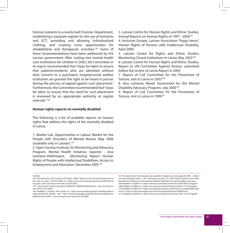forensic patients to a newly built Forensic Department, establishing a separate register for the use of restraints and ECT, providing and allowing individualized clothing, and creating more opportunities for rehabilitative and therapeutic activities.<sup>143</sup> Some of these recommendations have been addressed by the Latvian government. After visiting two mental health care institutions for children in 2002, the Committee in its report recommended that "steps be taken to ensure that patients/residents who are admitted without their consent to a psychiatric hospital/social welfare institution are granted the right to be heard in person during the process of appeal against such placement." Furthermore, the Committee recommended that "steps be taken to ensure that the need for such placement is reviewed by an appropriate authority at regular intervals<sup>"144</sup>

#### **Human rights reports on mentally disabled**

The following is a list of available reports on human rights that address the rights of the mentally disabled in Latvia.

1. Market Lab, Opportunities in Labour Market for the People with Disorders of Mental Nature, May 2006 (available only in Latvian).145

2. Open Society Institute, EU Monitoring and Advocacy Program, Mental Health Initiative, reporter - Ieva Leimane-Veldmeijere, Monitoring Report Human Rights of People with Intellectual Disabilities. Access to Employment and Education. December 2005146

3. Latvian Centre for Human Rights and Ethnic Studies, Annual Reports on Human Rights of 1997 - 2004<sup>147</sup> 4. Inclusion Europe, Latvian Association "Rupju berns",

Human Rights of Persons with Intellectual Disability, April 2004.

5. Latvian Centre for Rights and Ethnic Studies, Monitoring Closed Institutions in Latvia, May 2003<sup>148</sup> 6. Latvian Centre for Human Rights and Ethnic Studies,

Report to UN Committee Against Torture, submitted before the review of Latvia Report in 2003

7. Report of CoE Committee for the Prevention of Torture, visit to Latvia in 2002<sup>149</sup>

8. Ieva Leimane, Needs Assessment for the Mental Disability Advocacy Program, July 2000<sup>150</sup>

9. Report of CoE Committee for the Prevention of Torture, visit to Latvia in 1999<sup>151</sup>

147 The reports from the last years are available in English on a web page of LCHR – <http:// www.humanrights.org.lv>. The shortened versions of LCHR Annual reports have been included in the Report of International Helsinki Federation for Human Rights every year. 148 Available in English on <http://www.cpt.coe.int/documents/lva/2005-08-inf-eng.pdf > 149Available in English on <http://www.cpt.coe.int/documents/lva/2001-27-inf-eng.pdf> 150 Available in English on <http://www.politika.lv/polit\_real/files/lv/0\_HumMentalDis.pdf> and on <http://www.humanrights.org.lv/html/news/publications/28498.html> 151 Available in English on <http://www.cpt.coe.int/documents/lva/2001-27-inf-eng.pdf>

<sup>143</sup> Ibid.

<sup>144</sup> Committee for the Prevention of Torture. (2005). Report to the Latvian Government on the visit to Latvia. CPT/Inf (2005) 8. < http://www.cpt.coe.int/documents/lva/2005-08-infeng.pdf > (last accessed on the web at 26.05.2005.)

<sup>145&</sup>lt; http://www.research.lv/projects/20050501-20060430/default.htm> (last accessed on the web at 05.05.2006.)

<sup>146</sup> Available in English and Latvian on <http://www.eumap.org/topics/inteldis/reports/ national/latvia/id\_lat.pdf> and <http://www.humanrights.org.lv/html/news/publications/ 28564.html?yr=2005>, (last accessed on the web at 05.05.2006)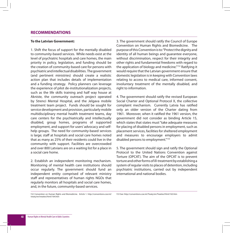## **RECOMMENDATIONS**

### **To the Latvian Government:**

1. Shift the focus of support for the mentally disabled to community-based services. While needs exist at the level of psychiatric hospitals and care homes, the main priority in policy, legislation, and funding should be the creation of community-based care for persons with psychiatric and intellectual disabilities. The government (and pertinent ministries) should create a realistic action plan that includes details of implementation and a funding strategy. Policy planners can leverage the experience of pilot de-institutionalization projects, such as the life skills training and half way house at Akniste, the community outreach project operated by Strenci Mental Hospital, and the Jelgava mobile treatment team project. Funds should be sought for service development and provision, particularly mobile multidisciplinary mental health treatment teams, day care centers for the psychiatrically and intellectually disabled, group homes, programs of supported employment, and support for users' advocacy and selfhelp groups. The need for community-based services is large; staff at hospitals and social care homes noted that as many as 25% of their residents could live in the community with support. Facilities are overcrowded and over 800 Latvians are on a waiting list for a place in a social care home.

2. Establish an independent monitoring mechanism. Monitoring of mental health care institutions should occur regularly. The government should fund an independent entity comprised of relevant ministry staff and representatives of human rights NGOs that regularly monitors all hospitals and social care homes, and, in the future, community-based services.

3. The government should ratify the Council of Europe Convention on Human Rights and Biomedicine. The purpose of this Convention is to: "Protect the dignity and identity of all human beings and guarantee everyone, without discrimination, respect for their integrity and other rights and fundamental freedoms with regard to the application of biology and medicine."152 Ratifying it would require that the Latvian government ensure that domestic legislation is in keeping with Convention laws relating to access to medical care, informed consent, involuntary treatment of the mentally disabled, and right to information.

4. The government should ratify the revised European Social Charter and Optional Protocol X, the collective complaint mechanism. Currently Latvia has ratified only an older version of the Charter dating from 1961. Moreover, when it ratified the 1961 version, the government did not consider as binding Article 15, which states that states must "take adequate measures for placing of disabled persons in employment, such as placement services, facilities for sheltered employment and measures to encourage employers to admit disabled persons to employment."153

5. The government should sign and ratify the Optional Protocol to the United Nations Convention against Torture (OPCAT). The aim of the OPCAT is to prevent torture and other forms of ill-treatment by establishing a system of regular visits to places of detention, including psychiatric institutions, carried out by independent international and national bodies.

152 Convention on Human Rights and Biomedicine. Article 1. http://conventions.coe.int/ treaty/en/treaties/html/164.htm

153 See: http://conventions.coe.int/Treaty/en/Treaties/Html/163.htm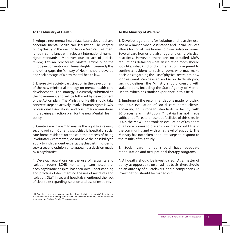### **To the Ministry of Health:**

1. Adopt a new mental health law. Latvia does not have adequate mental health care legislation. The chapter on psychiatry in the existing law on Medical Treatment is not in compliance with relevant international human rights standards. Moreover, due to lack of judicial review, Latvian procedures violate Article 5 of the European Convention on Human Rights. To remedy this and other gaps, the Ministry of Health should develop and seek passage of a new mental health law.

2. Ensure civil society participation in the development of the new ministerial strategy on mental health care development. The strategy is currently submitted to the government and will be followed by development of the Action plan. The Ministry of Health should take concrete steps to actively involve human rights NGOs, professional associations, and consumer organizations in preparing an action plan for the new Mental Health policy.

3. Create a mechanism to ensure the right to a review/ second opinion. Currently, psychiatric hospital or social care home residents (or those in the process of being involuntarily committed) do not have the possibility to apply to independent experts/psychiatrists in order to seek a second opinion or to appeal to a decision made by a psychiatrist.

4. Develop regulations on the use of restraints and isolation rooms. LCHR monitoring team noted that each psychiatric hospital has their own understanding and practice of documenting the use of restraints and isolation. Staff in several hospitals mentioned the lack of clear rules regarding isolation and use of restraints.

### **To the Ministry of Welfare:**

1. Develop regulations for isolation and restraint use. The new law on Social Assistance and Social Services allows for social care homes to have isolation rooms. Several care homes are also regularly using physical restraints. However, there are no detailed MoW regulations detailing what an isolation room should look like, what kind of documentation is required to confine a resident to such a room, who may make decisions regarding the use of physical restraints, how long restraints can be used, and so on. In developing such guidelines, the Ministry should consult with stakeholders, including the State Agency of Mental Health, which has similar experience in this field.

2. Implement the recommendations made following the 2002 evaluation of social care home clients. According to European standards, a facility with 30 places is an institution.<sup>154</sup> Latvia has not made sufficient efforts to phase out facilities of this size. In 2002, the MoW undertook an evaluation of residents of all care homes to discern how many could live in the community and with what level of support. The Ministry has not taken adequate steps to respond to the results of this study.

3. Social care homes should have adequate rehabilitation and occupational therapy programs.

4. All deaths should be investigated. As a matter of policy, as opposed to on an ad hoc basis, there should be an autopsy of all cadavers, and a comprehensive investigation should be carried out.

<sup>154</sup> See the report and recommendations from "Included in Society", Results and Recommendations of the European Research Initiative on Community –Based Residential Alternatives for Disabled People, EC project report.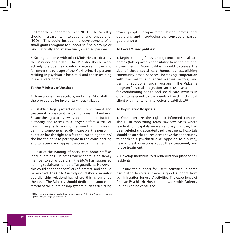5. Strengthen cooperation with NGOs. The Ministry should increase its interactions and support of NGOs. This could include the development of a small-grants program to support self-help groups or psychiatrically and intellectually disabled persons.

6. Strengthen links with other Ministries, particularly the Ministry of Health. The Ministry should work actively to erode the dichotomy between those who fall under the tutelage of the MoH (primarily persons residing in psychiatric hospitals) and those residing in social care homes.

## **To the Ministry of Justice:**

1. Train judges, prosecutors, and other MoJ staff in the procedures for involuntary hospitalization.

2. Establish legal protections for commitment and treatment consistent with European standards. Ensure the right to review by an independent judicial authority and access to a lawyer before a trial or hearing begins. In addition, ensure that in cases of defining someone as legally incapable, the person in question has the right to a fair trial, meaning that he/ she has the right to participate in the court hearing and to receive and appeal the court' s judgement.

3. Restrict the naming of social care home staff as legal guardians. In cases where there is no family member to act as guardian, the MoW has suggested naming social care home staff as guardians. However, this could engender conflicts of interest, and should be avoided. The Child Custody Court should monitor guardianship relationships where this is currently the case. The Ministry should dedicate resources to reform of the guardianship system, such as declaring fewer people incapacitated, hiring professional guardians, and introducing the concept of partial guardianship.

## **To Local Municipalities:**

1. Begin planning for assuming control of social care homes (taking over responsibility from the national government). Municipalities should decrease the size of these social care homes by establishing community-based services, increasing cooperation with the health and social welfare sectors, and training additional social workers. The Vidzeme program for social integration can be used as a model for coordinating health and social care services in order to respond to the needs of each individual client with mental or intellectual disabilities.155

## **To Psychiatric Hospitals:**

1. Operationalize the right to informed consent. The LCHR monitoring team saw few cases where residents of hospitals were able to say that they had been briefed and accepted their treatment. Hospitals should ensure that all residents have the opportunity to speak to a psychiatrist (as opposed to a nurse), hear and ask questions about their treatment, and refuse treatment.

2. Develop individualized rehabilitation plans for all residents.

3. Ensure the support for users' activities. In some psychiatric hospitals, there is good support from administration for users' activities. The experience of Akniste Psychiatric Hospital in a work with Patients' Council can be consulted.

<sup>155</sup> The program in Latvian is available on the web page of LCHR - http://www.humanrights. org.lv/html/lv/jomas/garigi/28616.html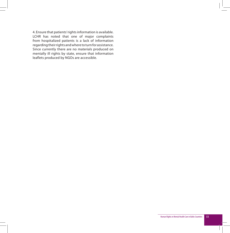4. Ensure that patients' rights information is available. LCHR has noted that one of major complaints from hospitalized patients is a lack of information regarding their rights and where to turn for assistance. Since currently there are no materials produced on mentally ill rights by state, ensure that information leaflets produced by NGOs are accessible.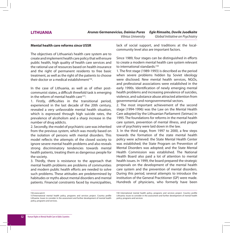## **LITHUANIA**

### **Mental health care reforms since USSR**

The objectives of Lithuania's health care system are to create and implement health care policy that will ensure public health, high quality of health care services and the rational use of resources based on health insurance and the right of permanent residents to free basic treatment, as well as the right of the patients to choose their doctor or a medical establishment<sup>156</sup>

In the case of Lithuania, as well as of other postcommunist states, a difficult threefold task is emerging in the reform of mental health care<sup>157</sup>:

1. Firstly, difficulties in the transitional period, experienced in the last decade of the 20th century, revealed a very unfavorable mental health situation, which is expressed through high suicide rates, the prevalence of alcoholism and a sharp increase in the number of drug addicts.

2. Secondly, the model of psychiatric care was inherited from the previous system, which was mostly based on the isolation of persons with mental disorders. This model reflects the attempts of the closed society to ignore severe mental health problems and also reveals strong discriminatory tendencies towards mental health patients, treating them as dangerous people for the society.

3. Thirdly, there is resistance to the approach that mental health problems are problems of communities and modern public health efforts are needed to solve such problems. These attitudes are predetermined by habitudes or myths about mental disorders and mental patients. Financial constraints faced by municipalities, lack of social support, and traditions at the localcommunity level also are important factors.

Since 1989, four stages can be distinguished in efforts to create a modern mental health care system relevant to international standards:<sup>158</sup>

1. The first stage (1989-1993) is described as the period when severe problems hidden by Soviet ideology were disclosed. New mental health services, NGOs, and professional associations were established in the early 1990s. Identification of newly emerging mental health problems and increasing prevalence of suicides, violence, and substance abuse attracted attention from governmental and nongovernmental sectors.

2. The most important achievement of the second stage (1994-1996) was the Law on the Mental Health Care adopted by the Lithuanian Parliament (Seimas) in 1995. The foundations for reforms in the mental health care system, prevention of mental illness, and proper use of psychiatry were laid down in the law.

3. In the third stage, from 1997 to 2000, a few steps towards the formation of the state mental health policy were achieved: the State Mental Health Center was established; the State Program on Prevention of Mental Disorders was adopted; and the State Mental Health Commission was established. The National Health Board also paid a lot of attention to mental health issues. In 1999, the board prepared the strategic proposals on the development of the mental health care system and the prevention of mental disorders. During this period, several attempts to introduce the institution of the General Practitioner (GP) were made. Hundreds of physicians, who formerly have been

156 www.sam.lt

158 International mental health policy, programs and services project. Country profile Lithuania. Issues to consider in the assessment and further development of mental health policy, programs and services

<sup>157</sup>International mental health policy, programs and services project. Country profile Lithuania. Issues to consider in the assessment and further development of mental health policy, programs and services.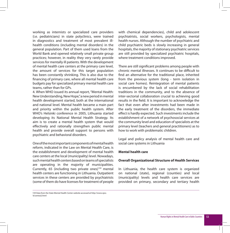working as internists or specialized care providers (i.e. pediatricians) in state polyclinics, were trained in diagnostics and treatment of most prevalent illhealth conditions (including mental disorders) in the general population. Part of them used loans from the World Bank and opened relatively small private group practices; however, in reality they very rarely provide services for mentally ill patients. With the development of mental health care centers at the primary care level, the amount of services for this target population has been constantly shrinking. This is also due to the financing of primary care, where all mental health care budgets pay for specialized primary mental health care teams, rather than for GPs.

4. When WHO issued its annual report, "Mental Health: New Understanding, New Hope," a new period in mental health development started, both at the international and national level. Mental health became a main part and priority within the public health system. After WHO's Helsinki conference in 2005, Lithuania started developing its National Mental Health Strategy. Its aim is to create a mental health system that would effectively and rationally strengthen public mental health and provide overall support to persons with psychiatric and behavioral disorders.

One of the most important components of mental health reform, indicated in the Law on Mental Health Care, is the establishment and development of mental health care centers at the local (municipality) level. Nowadays, such mental health centers based on teams of specialists are operating in the majority of municipalities. Currently, 65 (including two private ones)<sup>159</sup> mental health centers are functioning in Lithuania. Outpatient services in these centers are provided by psychiatrists (some of them do have licenses for treatment of people

159 Data from the State Mental Health Center website accessed at http://www.vpsc. lt/centrai2.html

with chemical dependencies), child and adolescent psychiatrists, social workers, psychologists, mental health nurses. Although the number of psychiatric and child psychiatric beds is slowly increasing in general hospitals, the majority of stationary psychiatric services are still provided by specialized psychiatric hospitals, where treatment conditions improved.

There are still significant problems among people with chronic mental illnesses. It continues to be difficult to find an alternative for the traditional place, inherited from the previous system (long - term isolation in social care homes). Reintegration of mental patients is encumbered by the lack of social rehabilitation traditions in the community, and to the absence of inter-sectorial collaboration crucial to achieving good results in the field. It is important to acknowledge the fact that even after investments had been made in the early treatment of the disorders, the immediate effect is hardly expected. Such investments include the establishment of a network of psychosocial services at the community level and education of specialists at the primary level (teachers and general practitioners) as to how to work with problematic children.

Legal and policy analysis of mental health care and social care systems in Lithuania

### **Mental health care**

### **Overall Organizational Structure of Health Services**

In Lithuania, the health care system is organized on national (state), regional (counties) and local (municipality) levels and health care services are provided on primary, secondary and tertiary health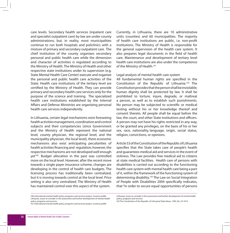care levels. Secondary health services (inpatient care and specialist outpatient care) by law are under county administrations; but, in reality, most municipalities continue to run both hospitals and policlinics with a mixture of primary and secondary outpatient care. The chief institution of the county organizes secondary personal and public health care while the dimension and character of activities is regulated according to the Ministry of Health. The Ministry of Health and other respective state institutions under its supervision (e.g. State Mental Health Care Center) execute and organize the personal and public health care activities of the State. Health care institutions of the tertiary level are certified by the Ministry of Health. They can provide primary and secondary health care services only for the purpose of the science and training. The specialized health care institutions established by the Internal Affairs and Defense Ministries are organizing personal health care services independently.

In Lithuania, certain legal mechanisms exist foreseeing health activities management, coordination and control subjects and their competencies (since Government and the Ministry of Health represent the national level, county physician, the regional level, and the municipality physician, the local level), there economic mechanisms also exist anticipating peculiarities of health activities financing and regulation; however, the respective mechanisms are not developed well enough yet<sup>160</sup>. Budget allocation in the past was controlled more on the local level. However, after the recent move towards a single payer insurance scheme, changes are developing in the control of health care budgets. The licensing process has traditionally been centralized, but it is moving towards control at the local level. Price setting is also very centralized. The Ministry of Health has maintained control over this aspect of the system.

Currently, in Lithuania, there are 10 administrative units (counties) and 60 municipalities. The majority of health care institutions are public, i.e. non-profit institutions. The Ministry of Health is responsible for the general supervision of the health care system. It also prepares legal documents in the field of health care. Maintenance and development of tertiary level health care institutions are also under the competence of the Ministry of Health.<sup>161</sup>

### Legal analysis of mental health care system

All fundamental human rights are specified in the Constitution of the Republic of Lithuania.162 The Constitution provides that the person shall be inviolable; human dignity shall be protected by law. It shall be prohibited to torture, injure, degrade, or maltreat a person, as well as to establish such punishments. No person may be subjected to scientific or medical testing without his or her knowledge thereof and consent thereto. All people shall be equal before the law, the court, and other State institutions and officers. A person may not have his rights restricted in any way, or be granted any privileges, on the basis of his or her sex, race, nationality, language, origin, social status, religion, convictions, or opinions.

Article 53 of the Constitution of the Republic of Lithuania specifies that the State takes care of people's health and guarantees medical aid and services in the event of sickness. The Law provides free medical aid to citizens at state medical facilities. Health care of persons with disabilities is carried out according to the functioning health care system with mental health care being a part of it, within the framework of the functioning system of determining disability.<sup>163</sup> The Law on Social Integration of People with Disabilities 2004 specifically indicates, that "in order to secure equal opportunities of persons

<sup>160</sup> International mental health policy, programs and services project. Country profile Lithuania. Issues to consider in the assessment and further development of mental health policy, programs and services

<sup>161</sup> International mental health policy, programs and services project. Country profile

Lithuania. Issues to consider in the assessment and further development of mental health policy, programs and services

<sup>162</sup> The Constitution of the Republic of Lithuania//State News. 1992, No. 33-1014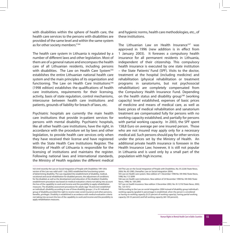with disabilities within the sphere of health care, the health care services to the persons with disabilities are provided of the same level and within the same system as for other society members."164

The health care system in Lithuania is regulated by a number of different laws and other legislation. Most of them are of a general nature and encompass the health care of all Lithuanian residents, including persons with disabilities. The Law on Health Care System<sup>165</sup> establishes the entire Lithuanian national health care system and the main principles of its organization and functioning. The Law on Health Care Institutions<sup>166</sup> (1998 edition) establishes the qualifications of health care institutions, requirements for their licensing, activity, basis of state regulation, control mechanisms, intercourse between health care institutions and patients, grounds of liability for breach of laws, etc.

Psychiatric hospitals are currently the main health care institutions that provide in-patient services for persons with mental disability. Psychiatric hospitals, like all other health care institutions, have the right, in accordance with the procedure set by laws and other legislation, to provide health care services only when they have received their license and have registered with the State Health Care Institutions Register. The Ministry of Health of Lithuania is responsible for the licensing of institutions and maintains the register. Following national laws and international standards, the Ministry of Health regulates the different medical and hygienic norms, health care methodologies, etc., of these institutions.

The Lithuanian Law on Health Insurance<sup>167</sup> was approved in 1996 (new addition is in effect from 1 January 2003). It foresees a compulsory health insurance for all permanent residents in Lithuania, independent of their citizenship. This compulsory health insurance is executed by one state institution – the State Patients' Fund (SPF). Visits to the doctor, treatment at the hospital (including medicine) and rehabilitation (physical rehabilitation or treatment programs in sanatoriums, but not psychosocial rehabilitation) are completely compensated from the Compulsory Health Insurance Fund. Depending on the health status and disability group<sup>168</sup> (working capacity) level established, expenses of basic prices of medicine and means of medical care, as well as basic prices of medical rehabilitation and sanatorium treatment are compensated fully for persons with no working capacity established, and partially for persons with partial working capacity. In 2003, the SPF spent 158,8 Euro on average per one insured person. Those who are not insured may apply only for a necessary medical aid. Such persons should pay for other services under the prices set by the Ministry of Health. An additional private health insurance is foreseen in the Health Insurance Law; however, it is still not popular in Lithuania and is used only by a small part of the population with high income.

<sup>163</sup> Until recently the Law on Social Integration of People with Disabilities 1991 (this version of the Law was valid until 1 July 2005) established the functioning system of determining disability. The Law regulated the establishment of disability, medical, vocational and social rehabilitation for disabled persons, the adjustment of conditions for the disabled, as well as the development and education of the disabled. Disability establishment procedure was based on medical evaluation criteria not taking into account the loss of the capability to work and income and the possibility to apply rehabilitation measures. The disability assessment procedures for adults (age 18 and over) established an individual's disability according to one of three disability groups, I, II or III. Indicated group of disability provided the right to receive state social insurance and other pensions, benefits, privileges. Disability is established in accordance with medical evaluation criteria not taking into account the loss of the capability to work and income and the possibility to apply rehabilitation measures.

<sup>164</sup> The Law on the Social Integration of People with Disabilities, No. IX-2228//State News, 2004, No. 83-2983, (hereafter, Law on Social Integration 2004).

<sup>165</sup> Law on Health care system. New edition of 1 December 1998 No. VIII-946//State News, 1998, No.112-3099

<sup>166</sup> Law on Health care institutions. New edition of 24 November 1998 No. VIII-940//State News, 1998, Nr. 109-2995

<sup>167</sup> Law on health insurance. New edition 3 December 2002, No. IX-1219//State News, 2002, No. 123-5512

<sup>168</sup> According to the Law on social integration 2004 instead of disability group individual's working capacity (graded in percentage) is established, when the person is considered as having no working capacity (0-25 percent of working capacity), having partial working capacity (30-55 percent) and full working capacity (60-100 percent).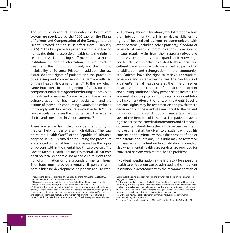The rights of individuals who enter the health care system are regulated by the 1996 Law on the Rights of Patients and Compensation of the Damage to their Health (revised edition is in effect from 1 January 2005).169 The Law provides patients with the following rights: the right to accessible health care, the right to select a physician, nursing staff member, health care institution, the right to information, the right to refuse treatment, the right of complaint, and the right to inviolability of Personal Privacy. In addition, the law establishes the rights of patients and the procedure of assessing and compensating the damage inflicted on their health. New amendments<sup>170</sup> to the law, which came into effect in the beginning of 2005, focus on compensation for damage endured during the provision of treatment or services. Compensation is based on the culpable actions of healthcare specialists $171$  and the actions of individuals conducting examinations who do not comply with biomedical research standards.172 The law particularly stresses the importance of the patient's choice and consent to his/her treatment.173

There are some laws that provide the priority of medical help for persons with disabilities. The Law on Mental Health Care<sup>174</sup> of the Republic of Lithuania adopted in 1995 is aimed at regulating the procedure and control of mental health care, as well as the rights of persons within the mental health care system. The Law on Mental Health Care insures mentally ill patients of all political, economic, social and cultural rights and non-discrimination on the grounds of mental illness. The State must provide mentally ill persons with possibilities for development, help them acquire work

them into community life. This law also establishes the rights of hospitalized patients to communicate with other persons (including other patients); freedom of access to all means of communications; to receive, in private, regular visits from their representatives and other visitors; to study and expand their knowledge and to take part in activities suited to their social and cultural background which are aimed at promoting rehabilitation and reintegration in the community, etc. Patients have the right to receive appropriate, accessible and suitable health care. The conditions of a patient's mental health care at the time of his/her hospitalization must not be inferior to the treatment and nursing conditions of any person being treated. The administration of a psychiatric hospital is responsible for the implementation of the rights of its patients. Specific patients' rights may be restricted on the psychiatrist's decision only in the event of a real threat to the patient himself or to others and in other cases established by laws of the Republic of Lithuania. The patients have a right to access their medical information and all medical documents. Patients have the right to refuse treatment; no treatment shall be given to a patient without his consent (to the minor - without the consent of one of the parents or guardians). This right may be restricted in cases when involuntary hospitalization is needed, also when mental health care services are provided for

skills, change their qualifications, rehabilitate and return

In-patient hospitalization is the last resort for a person's health care. A patient can be admitted to the in-patient institution in accordance with the recommendation of

convicted persons with mental health problems.

<sup>169</sup> Law on the Rights of Patients and Compensation of the Damage to their Health, 3 October 1996, No. I-1562//State News, 1996, No.102-2317.

<sup>170</sup> Law on the Amendment of the Law on Patients Rights and Compensation for the Damage Caused to the Health, No. IX-2361//State News, 2004. No. 115-4284. 171 Healthcare institutions and relevant staff are deemed at fault when a patient's health is partially or fatally impaired as a result of failure to comply with legal regulations governing provision of health care services and treatment and/or in the methods used for diagnosis and treatment. Healthcare institutions and relevant staff are further at fault when a patient's health is impaired due to deliberate actions of health care providers which may

not necessarily violate legal requirements and/or when healthcare providers have been negligent in their duty.

<sup>172</sup> The respective law issued on 13 July 2004 amended the Law on Ethics of Biomedical Research by focusing responsibility on the technician conducting biomedical research for liability in physical damage due to impairment or death and moral damage resulting from the research, unless evidence shows that the damage occurred to reasons unrelated to the biomedical research or the deliberate actions of the examined person.

<sup>173</sup> Lithuanian Mental Health Policy: shifting from deinstitutionalization towards community integration. Vilnius, 2005.

<sup>174</sup> Law on Mental health care, 6 June 1995, No. I-924//State News, 1995, No. 53-1290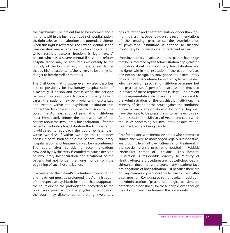the psychiatrist. The patient has to be informed about his rights within the institution, goals of hospitalization, the right to leave the institutions and potential incidents when this right is restricted. The Law on Mental Health care specifies cases when an involuntary hospitalization which restricts person's freedom is legitimate. A person who has a severe mental illness and refuses hospitalization may be admitted involuntarily to the custody of the hospital only if there is real danger that by his/her actions, he/she is likely to be a physical danger to him/herself or to others.

The Civil Code that is upper-level law also describes a third possibility for involuntary hospitalization of a mentally ill person and that is when the person's behavior may constitute a damage of property. In such cases, the patient may be involuntary hospitalized and treated within the psychiatric institution not longer then two days without the permission from the court. The Administration of psychiatric institutions must immediately inform the representative of the patient about the involuntary hospitalization. After the patient's involuntary hospitalization, the Administration is obligated to approach the court no later than within two days. If, within two days, the court does not issue permission to hold the patient, involuntary hospitalization and treatment must be discontinued. The court, after considering recommendations provided by psychiatrists, is entitled to issue a decision of involuntary hospitalization and treatment of the patient, but not longer then one month from the beginning of such hospitalization.

In a case when the patient's involuntary hospitalization and treatment must be prolonged, the Administration of the respective psychiatric institution has to approach the court due to the prolongation. According to the conclusion provided by the psychiatric institution, the court may discontinue or prolong involuntary hospitalization and treatment, but no longer than for 6 months at a time. Depending on the recommendations of the treating psychiatrist, the Administration of psychiatric institutions is entitled to suspend involuntary hospitalization and treatment earlier.

Upon involuntary hospitalization, the patient has to sign that he is informed by the Administration of psychiatric institution about his involuntary hospitalization and his rights within the institution. If the patient refuses or is not able to sign, his conveyance about involuntary hospitalization is confirmed in written by two witnesses, who may be from psychiatric institution personnel, but not psychiatrists. A person's hospitalization provided in breach of these requirements is illegal. The patient or his representative shall have the right to appeal to the Administration of the psychiatric institution, the Ministry of Health or the court against the conditions of health care or any violations of his rights. They shall have the right to be present and to be heard by said Administration, the Ministry of Health and court when the issues concerning his involuntary hospitalization, treatment, etc. are being decided.

Care for persons with mental disorders who committed crimes and were acknowledged legally irresponsible, are brought from all over Lithuania for treatment in the special forensic psychiatric hospital in Rokiskis (North-East corner of Lithuania). This hospital jurisdiction is responsible directly to Ministry of Health. Aftercare procedures are not well-described in Lithuanian documents; therefore, many inpatients face prolongations of hospitalization just because there are not any community services able to care for them after discharge from Rokiskis psychiatric hospital. In addition, the Administration of psycho-neurological pensions are not taking responsibility for these people, even though they do not have their home in the community.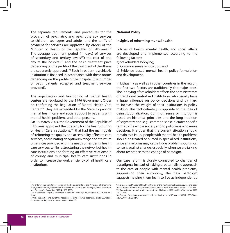The separate requirements and procedures for the provision of psychiatric and psychotherapy services to children, teenagers and adults, and the tariffs of payment for services are approved by orders of the Minister of Health of the Republic of Lithuania.<sup>175</sup> The average treatment period (in days) of services of secondary and tertiary levels<sup>176</sup>; the cost of one day at the hospital<sup>177</sup> and the basic treatment price depending on the profile of the treatment of the illness are separately approved.178 Each in-patient psychiatric institution is financed in accordance with these norms depending on the profile of the hospital (the number of beds, patients accepted and treatment services provided).

The organization and functioning of mental health centers are regulated by the 1996 Government Order on confirming the Regulation of Mental Health Care Center.179 They are accredited by the State to provide mental health care and social support to patients with mental health problems and other persons.

On 18 March 2003, the Government of the Republic of Lithuania approved the Strategy for the Restructuring of Health Care Institutions,<sup>180</sup> that had the main goals of: reforming the quality and accessibility of health care services; coordinating an optimum range and structure of services provided with the needs of residents' health care services, while restructuring the network of health care institutions and forming an effective relationship of county and municipal health care institutions in order to increase the work efficiency of all health care institutions.

### **National Policy**

### **Insights of reforming mental health**

Policies of health, mental health, and social affairs are developed and implemented according to the following factors:

a) Stakeholders lobbying;

b) Common sense or intuition; and

c) Evidence based mental health policy formulation and development.

In Lithuania as well as in other countries in the region, the first two factors are traditionally the major ones. The lobbying of stakeholders affects the administrators of traditional centralized institutions who usually have a huge influence on policy decisions and try hard to increase the weight of their institutions in policy making. This fact definitely is opposite to the idea of deinstitutionalization. Common sense or intuition is based on historical principles and the long tradition of stigmatization; e.g. common sense dictates specific terms to the whole society and to politicians who make decisions. It argues that the current situation should remain as it is; i.e., people with mental health problems should be treated or nursed in specialized institutions, since any reforms may cause huge problems. Common sense is against change, especially when we are talking about resistance to the change of paradigm.

Our case reform is closely connected to changes of paradigms: instead of taking a paternalistic approach to the care of people with mental health problems, suppressing their autonomy, the new paradigm suggests helping them learn to live as independently

177 The the cost of one day at the hospital according to levels: secondary level is 87,70 Litas (25,4 euro); tertiary level is 105,70 Litas (30,60 euro).

<sup>175</sup> Order of the Minister of Health on the Requirements of the Principles of Organizing of psychiatric and psychotherapeutic services for Children and Teenagers, their Description and Provision 14 December 2000 No. 109-3489.

<sup>176</sup> The average length of treatment in year 2005 was 29,4 days (in year 2002 it was 33,3 days)

<sup>178</sup> Order of the Minister of Health on the list of the inpatient health care services and basic prices, funded from the obligatory health insurance fund // State News, 2006 04 27 No. 338. 179 Regulation of Mental health care center of 9 February 1996 No. 234//State news, 1996 No.15-399.

<sup>180</sup> Strategy for restucturization of Health care institutions of 18 March 2003 No. 335//State News, 2003, No. 28-1147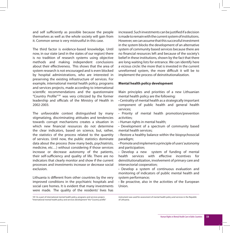and self sufficiently as possible because the people themselves as well as the whole society will gain from it. Common sense is very mistrustful in this case.

The third factor is evidence-based knowledge. Until now, in our state (and in the states of our region) there is no tradition of research systems using objective methods and making independent conclusions about their effectiveness. This shows that the area of system research is not encouraged and is even blocked by hospital administrations, who are interested in preserving the existing infrastructure of services. For example, international mental health policy, programs and services projects, made according to international scientific recommendations and the questionnaire "Country Profile"181 was very criticized by the former leadership and officials of the Ministry of Health in 2002-2003.

The unfavorable context distinguished by many stigmatizing, discriminating attitudes and tendencies towards corrupt mechanisms creates a situation in which new financial resources do not determine the clear indicators, based on science, but, rather, the statistics of the process related to the quantity of services. Until now, the public statistics dominate data about the process (how many beds, psychiatrists, medicine, etc…) without considering if those services increase or decrease autonomy of the patients, their self-sufficiency and quality of life. There are no indicators that clearly monitor and show if the current processes and investments increase or decrease social exclusion.

Lithuania is different from other countries by the very improved conditions in the psychiatric hospitals and social care homes. It is evident that many investments were made. The quality of the residents' lives has increased. Such investments can be justified if a decision is made to remain with the current system of institutions. However, we can assume that this successful investment in the system blocks the development of an alternative system of community based services because there are no financial resources left and because of the society's belief in these institutions, shown by the fact that there are long waiting lists for entrance. We can identify here a vicious circle: the more that is invested in the current unreformed system, the more difficult it will be to implement the process of deinstitutionalization.

### **Mental health policy development**

Main principles and priorities of a new Lithuanian mental health policy are the following:

- **·** Centrality of mental health as a strategically important component of public health and general health services;
- **·** Priority of mental health promotion/prevention activities;
- **·** Human rights in mental health;
- **·** Development of a spectrum of community based mental health services;
- **·** Restore a healthy balance within the biopsychosocial paradigm;
- **·** Promote and implement a principle of users' autonomy and participation;
- **·** Develop a new system of funding of mental health services with effective incentives for deinstitutionalization, involvement of primary care and intersectorial cooperation;
- **·** Develop a system of continuous evaluation and monitoring of indicators of public mental health and system performance;
- **·** Be proactive, also in the activities of the European Union.

181 As a part of international mental health policy, programs and services project, "International mental health policy and services development" the "Country profile" instrument was used for assessment of mental health policy and services in the Republic of Lithuania.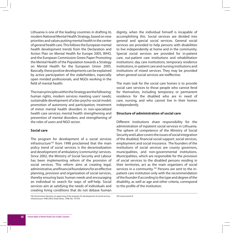Lithuania is one of the leading countries in drafting its modern National Mental Health Strategy, based on new priorities and values putting mental health in the center of general health care. This follows the European mental health development trends from the Declaration and Action Plan on Mental Health for Europe 2005, WHO, and the European Commission Green Paper Promoting the Mental Health of the Population towards a Strategy on Mental Health for the European Union 2005. Basically, these positive developments can be explained by active participation of the stakeholders, especially open minded professionals, and NGOs working in the field of mental health.

The main principles within the Strategy are the following: human rights, modern services meeting users' needs; sustainable development of a bio-psycho-social model; promotion of autonomy and participation; treatment of minor mental health disorders in non-specialized health care services; mental health strengthening and prevention of mental disorders; and strengthening of the roles of users and NGO sector.

## **Social care**

The program for development of a social services  $infrastructure<sup>182</sup>$  from 1998 proclaimed that the main policy trend of social services is the decentralization and development of ambulatory (community) services. Since 2002, the Ministry of Social Security and Labour has been implementing reform of the provision of social services. This reform aims at creating legal, administrative, and financial foundations for an effective planning, provision and organization of social services, thereby ensuring basic human needs and encouraging an individual to search for ways of self-help. Social services aim at satisfying the needs of individuals and creating living conditions that do not debase human dignity, when the individual himself is incapable of accomplishing this. Social services are divided into general and special social services. General social services are provided to help persons with disabilities to live independently at home and in the community. Special social services are provided for in-patient care, out-patient care institutions and rehabilitation institutions: day care institutions, temporary residence institutions, in-patient care and nursing institutions and institutions of mixed services. They may be provided when general social services are ineffective.

The main task for the social care homes is to provide social care services to those people who cannot fend for themselves, including temporary or permanent residence for the disabled who are in need of care, nursing, and who cannot live in their homes independently.

### **Structure of administration of social care**

Different institutions share responsibility for the administration of inpatient social services in Lithuania. The sphere of competence of the Ministry of Social Security and Labor covers the issues of social integration of the disabled, financial social support, social services, employment and social insurance. The founders of the institutions of social services are county governors, municipalities, and non-governmental institutions. Municipalities, which are responsible for the provision of social services to the disabled persons residing in their territories, act as the main organizers of social services in a community.<sup>183</sup> Persons are sent to the inpatient care institution only with the recommendation of the founder if according to the type and degree of the disability, as well as age and other criteria, correspond to the profile of the institution.

182 Government decision on approving of the program for development of social services infrastructure 1998-2003//State News, 1998, No. 19-478

183 www.socmin.lt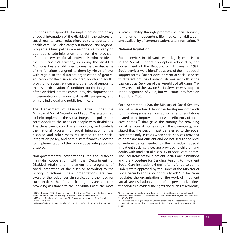Counties are responsible for implementing the policy of social integration of the disabled in the spheres of social maintenance, education, culture, sports, and health care. They also carry out national and regional programs. Municipalities are responsible for carrying out public administration and for the provision of public services for all individuals who reside in the municipality's territory, including the disabled. Municipalities are obligated to ensure the discharge of the functions assigned to them by virtue of laws with regard to the disabled: organization of general education for the disabled children, youth and adults; provision of social services and other social support to the disabled; creation of conditions for the integration of the disabled into the community; development and implementation of municipal health programs; and primary individual and public health care.

The Department of Disabled Affairs under the Ministry of Social Security and Labor<sup>184</sup> is established to help implement the social integration policy that corresponds to the needs of people with disabilities. The Department coordinates, monitors, and controls the national program for social integration of the disabled and other measures related to the social integration policy, and administers finances allocated for implementation of the Law on Social integration for disabled.

Non-governmental organizations for the disabled maintain cooperation with the Department of Disabled Affairs and implement the programs of social integration of the disabled according to the priority directions. These organizations are well aware of the lack of certain services and the need for such services; therefore, their programs are aimed at providing assistance to the individuals with the most severe disability through programs of social services, formation of independent life, medical rehabilitation, and availability of communications and information.<sup>185</sup>

### **National legislation**

Social services in Lithuania were legally established in the Social Support Conception adopted by the Government of the Republic of Lithuania in 1994. Social services were identified as one of the three social support forms. Further development of social services to different groups of individuals was set forth in the Law on Social Services of the Republic of Lithuania.186 A new version of the Law on Social Services was adopted in the beginning of 2006, but will come into force on 1st of July 2006.

On 4 September 1998, the Ministry of Social Security and Labor issued an Order on the development of trends for providing social services at homes and regulations related to the improvement of work efficiency of social care homes<sup>187</sup> that gave the priority for providing social services at homes within the community, and stated that the person must be referred to the social care home only in cases when social services provided at home are not efficient and do not secure the level of independency needed by the individual. Special in-patient social services are provided to children and adults with intellectual disability in social care homes. The Requirements for In-patient Social Care Institutions and the Procedure for Sending Persons to In-patient Social Care Institutions (hereinafter referred to as the Order) were approved by the Order of the Minister of Social Security and Labour on 9 July 2002.<sup>188</sup> The Order regulates the organization of the work of in-patient social care institutions, norms of the personnel, defines the services provided, the rights and duties of residents,

<sup>184</sup> Until 1 January 2006 Lithuanian Council of the Disabled Affairs under the Government of the Republic of Lithuania was responsible the the affairs of the disabled. 185 Ministry of social security and labor, The Report on the Lithuanian Social Security System, Vilnius 2003

<sup>186</sup> Law on Social services of 9 October 1996 No. I-1579//State News, 1996, No. 104-2367

<sup>187</sup> Development of trends for providing social services at homes and regulations of increase of work efficiency of social care homes of 4 September 1998, No. 137//State News 1998 No.94-2621

<sup>188</sup> Requirements for In-patient Social Care Institutions and the Procedure for Sending Persons to In-patient Social Care Institutions of 9 July 2002 No. 97//State News,2002, No. 76-3274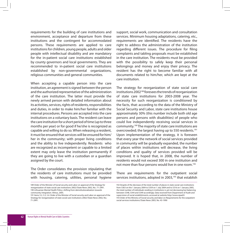requirements for the building of care institutions and environment, acceptance and departure from these institutions and the contingent for accommodated persons. These requirements are applied to care institutions for children, young people, adults and older people with intellectual disability and are mandatory for the in-patient social care institutions established by county governors and local governments. They are recommended to in-patient social care institutions established by non-governmental organizations, religious communities and general communities.

When accepting a capable person into the care institution, an agreement is signed between the person and the authorized representative of the administration of the care institution. The latter must provide the newly arrived person with detailed information about its activities, services, rights of residents, responsibilities and duties, in order to make him/her familiar with the internal procedures. Persons are accepted into the care institutions on a voluntary basis. The resident can leave the care institution for a short period of time (up to three months per year) or for good if he/she is recognized as capable and willing to do so. When releasing a resident, it must be ensured that services will be ensured for him/ her in the community; with proper living conditions and the ability to live independently. Residents who are recognized as incompetent or capable to a limited extent may only leave the institution permanently if they are going to live with a custodian or a guardian assigned by the court.

The Order consolidates the provision stipulating that the residents of care institutions must be provided with housing, catering, utilities, personal hygiene

support, social work, communication and consultation services. Minimum housing adaptations, catering, etc., requirements are identified. The residents have the right to address the administration of the institution regarding different issues. The procedure for filing complaints and tabling proposals must be established in the care institution. The residents must be provided with the possibility to safely keep their personal belongings and money and enjoy their privacy. The resident has the right to become familiar with all documents related to him/her, which are kept at the care institution.

The strategy for reorganization of state social care institutions 2002189 foresees the trends of reorganization of state care institutions for 2003-2008 year. The necessity for such reorganization is conditioned by the facts, that: according to the data of the Ministry of Social Security and Labor, state care institutions house approximately 30% (this number include both old age persons and persons with disabilities) of people who could live independently receiving social services in community.190 The majority of state care institutions are overcrowded; the largest having up to 550 residents.<sup>191</sup> Upon implementation of the strategy, it is foreseen that every year the network of social services provided in community will be gradually expanded, the number of places within institutions will decrease, the living conditions and quality of services provided will be improved. It is hoped that, in 2008, the number of residents would not exceed 300 in one institution and not more than four persons would live in one room.<sup>192</sup>

There are requirements for the outpatient social services institutions, adopted in 2003,<sup>193</sup> that establish

<sup>189</sup> Order of the Minister of Social security and Labor on approval of the Strategy for reorganization of state social care institutions 2002//State News 2002, No.: 71-2991. 190 Lithuanian Mental Health Policy: shifting from deinstitutionalization towards community integration. Vilnius, 2005.

<sup>191</sup> Items 5.2, 5.3, 5.4. Order of the Minister of Social security and Labor on approval of the Strategy for reorganization of state social care institutions 2002//State News 2002, No.: 71-2991.

<sup>192</sup> Despite of the decrease of the total number of places in state social care institutions from 5363 on the 1 January 2004 to 5359 on 1 July 2004 and to 5316 on 1 January 2005, the total number of individuals residing in institutions is yet not decreasing but balancing between 5348, 5344 and 5349 accordingly. Data received from Department of Audit and supervision of social establishments, accessed at website http://www.sipad.lt 193 Order of the Ministry of Social security and labor on Requirements for the outpatient social services institutions//State News 2003, No. 43-1990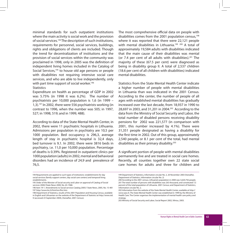minimal standards for such outpatient institutions where the main activity is social work and the provision of social services.194 The description of such institutions, requirements for personnel, social services, buildings, rights and obligations of clients are included. Though the trend for decentralization of institutions and the provision of social services within the community was proclaimed in 1998, only in 2005 was the definition of independent living homes included in the Catalog of Social Services,<sup>195</sup> to house old age persons or people with disabilities not requiring intensive social care services, and who are able to live independently, only with part time support of social worker.<sup>196</sup> **Statistics** 

Expenditure on health as percentage of GDP in 2002 was 5.75% (in 1998 it was 6.2%). The number of psychiatrists per 10,000 population is 1,6 (in 1999 – 1,3).197 In 2002, there were 556 psychiatrists working (in contrast to 1996, when the number was 505; in 1997, 527; in 1998, 519; and in 1999, 488).

According to data of the State Mental Health Center, in 2002, there were 11 psychiatric hospitals in Lithuania. Admissions per population in psychiatry are 10,5 per 1000 population. Bed occupancy is 296,3, average length of stay in psychiatric hospital is 32,4 days, bed turnover is 9,1. In 2002, there were 3816 beds in psychiatry, i.e. 11,0 per 10,000 population. Percentage of deaths is 0.39%. Registered in outpatient clinics per 1000 population (adults) in 2002, mental and behavioral disorders had an incidence of 24,9 and prevalence of 76,5.

The most comprehensive official data on people with disabilities comes from the 2001 population census, $198$ where it was reported that there were 22,121 people with mental disabilities in Lithuania.<sup>199 200</sup> A total of approximately 19,584 adults with disabilities indicated that the main cause of their disabilities was mental (or  $7.4$  per cent of all adults with disabilities).<sup>201</sup> The majority of these (67.5 per cent) were diagnosed as being in disability group II. A total of 2,537 children (18.6 per cent of all children with disabilities) indicated mental disabilities.

Statistics from the State Mental Health Center indicate a higher number of people with mental disabilities in Lithuania than was indicated in the 2001 Census. According to the center, the number of people of all ages with established mental disabilities has gradually increased over the last decade, from 18,937 in 1990 to 28,697 in 2003, and 31,201 in 2004.<sup>202</sup> According to the data from the Ministry of Social Security and Labor, the total number of disabled persons receiving disability pensions for 2002 was 221,577 (in comparison with 2001, this number increased by 4.1%). There were 31,351 people designated as having a disability for the first time in 2002. Out of this group, approximately 2,540 people, or 8.1 per cent of the total, had mental disabilities as their primary disability.203

A significant portion of people with mental disabilities permanently live and are treated in social care homes. Recently, all counties together own 22 state social care homes for adults and three for children and

<sup>194</sup> Requirements are applied to such types of institutions: establishments for day social services (family support centers, day social care centers) and temporal living establishments.

<sup>195</sup> Order of the Minister of Social security and Labor on approval of Catalog of Social services 2000//State News 2000, No. 65-1968.

<sup>196</sup> Item 19-1. Amendments to Social services Catalog 2005// State News, 2005, No. 15-481 197 http://www.lsic.lt/html/en/lhic.htm

<sup>198</sup> Department of Statistics, results of the 2001 Population and Housing Census, available in English and Lithuanian on the website of the Department of Statistics at http://www.std. lt (accessed 23 September 2004), (hereafter, 2001 Census).

<sup>199</sup> Department of Statistics, Information circular No. 2, 20 November 2003 (hereafter, Department of Statistics, Information circular No. 2)

<sup>200</sup> According to the 2001 census, Lithuania's population in 2000 was 3,620,756 people. 201 The total number of persons with disabilities was 263 thousand, and constituted 7,5 percent of the total population of Lithuania. 2001 Census; and Department of Statistics, Information circular No. 2.

<sup>202</sup> Information from the website of the State Mental Health Center, available at http:// www.vpsc.lt. The State Mental Health Center was established in 1999 by the Ministry of Health Care. The Center organises the implementation of mental health care policy and strategy.

<sup>203</sup> Ministry of Social Security and Labor, Social Report 2002, Vilnius, 2003.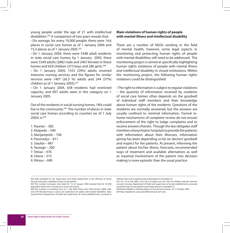young people under the age of 21 with intellectual disabilities.204 A comparison of two years reveals that:

**·** On average, for every 10,000 people, there were 14,6 places in social care homes as of 1 January 2004 and 15,3 places as of 1 January 2005.205

**·** On 1 January 2004, there were 5348 adult residents in state social care homes; by 1 January 2005, there were 5349 adults (2882 male and 2467 female) in these homes and 659 children (373 boys and 286 girls).<sup>206</sup>

**·** On 1 January 2004, 1553 (29%) adults received intensive nursing services and the figures for similar services were 1407 (26.3 %) adults and 244 (37%) children as of 1 January 2005).207

**·** On 1 January 2004, 638 residents had restricted capacity; and 697 adults were in this category on 1 January 2005.

Out of the residents in social nursing homes, 18% could live in the community.<sup>208</sup> The number of places in state social care homes according to counties (as of 1 July 2005) is:209

- 1. Kaunas 382 2. Klaipeda – 540 3. Marijampole – 706 4. Panevežys – 811 5. Siauliai – 987 6. Taurage – 200
- 7. Telsiai 476
- 8. Utena 515
- 9. Vilnius 690

## **Main violations of human rights of people with mental illness and intellectual disability**

There are a number of NGOs working in the field of mental health; however, some legal aspects in monitoring and protecting human rights of people with mental disabilities still need to be addressed. The monitoring project is aimed at specifically highlighting human rights violations of people with mental illness and intellectual disability in closed institutions. Within the monitoring project, the following human rights violations could be distinguished:

**·** The right to information is subject to regular violations – the quantity of information received by residents of social care homes often depends on the goodwill of individual staff members and their knowledge about human rights of the residents. Questions of the residents are normally answered, but the answers are usually confined to minimal information. Formal inhome mechanisms of complaint review do not ensure enforcement of the right to lodge complaints and to receive answers thereto. Though the law obligates staff members of psychiatric hospitals to provide the patients with information about their illnesses, information giving has been depending so far on doctors' goodwill and respect for the patients. At present, informing the patient about his/her illness, forecasts, recommended ways of treatment and available alternatives as well as maximal involvement of the patient into decision making is more episodic than the usual practice.

website http://www.sipad.lt/main/index.php?act=menu&id=57

207. For 1st of July 2004, 1616 (30,2 %) adults and 241 (36,9 %) children had the need for constant nursing. Department of Audit and supervision of social establishments, accessed at website http://www.sipad.lt/main/index.php?act=menu&id=57

208 Mental Health in Lithuania Report of Assessment mission, 16-17 October 2000 209 http://sipad.lt/wt\_sip/customfiles/lt/stacionari1.doc

<sup>204</sup> Data provided by The Supervision and Audit Department at the Ministry of Social Security and Labor, available at http://www.sipad.lt/

<sup>205</sup> This number increased, since data for 1st of January 2004 showed that for 10 000 population there were 14,6 places in social care homes.

<sup>206</sup> This number is increasing, since on 1 July 2004, there were 5344 persons (2865 male and 2479 female) living in social care institutions for adults with mental disabilities. Data received from Department of Audit and supervision of social establishments, accessed at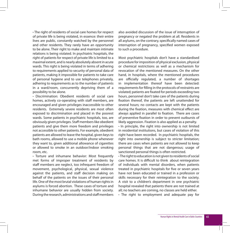**·** The right of residents of social care homes for respect of private life is being violated, in essence: their entire lives are public, constantly watched by the personnel and other residents. They rarely have an opportunity to be alone. Their right to make and maintain intimate relations is being violated. In psychiatric hospitals, the right of patients for respect of private life is limited to a maximal extent, and is nearly absolutely absent in acute wards. This right is being violated in terms of adhering to requirements applied to security of personal data of patients, making it impossible for patients to take care of personal hygiene and to use telephones privately, adhering to requirements as to the number of patients in a ward/room, concurrently depriving them of a possibility to be alone.

**·** Discrimination: Obedient residents of social care homes, actively co-operating with staff members, are encouraged and given privileges inaccessible to other residents. Extremely severe residents are most often exposed to discrimination and placed in the poorest wards. Some patients in psychiatric hospitals, too, are obviously given privileges. Staff members like obedient patients and give them more freedom and privileges not accessible to other patients. For example, obedient patients are allowed to leave the hospital, given keys to bath rooms, allowed to use a mobile phone whenever they want to, given additional allowance of cigarettes or allowed to smoke in an outdoor/indoor smoking room, etc.

**·** Torture and inhumane behavior: Most frequently met forms of improper treatment of residents by staff members are neglect, too infrequent freedom of movement, psychological, physical, sexual violence against the patients, and staff decision making on behalf of the patients on the issues of their personal life. One of the most brutal violations of human rights in asylums is forced abortion. These cases of torture and inhumane behavior are usually hidden from society. During the research, administrations and staff members also avoided discussion of the issue of interruption of pregnancy or negated the problem at all. Residents in all asylums, on the contrary, specifically named cases of interruption of pregnancy, specified women exposed to such a procedure.

Most psychiatric hospitals don't have a standardised procedure for imposition of physical exclusion, physical or chemical restrictions as well as a mechanism for revocation of the mentioned measures. On the other hand, in hospitals, where the mentioned procedures are officially regulated, a number of shortages in implementation thereof have been detected: requirements for filling in the protocols of restraints are violated; patients are fixated for periods exceeding two hours, personnel don't take care of the patients during fixation thereof, the patients are left unattended for several hours; no contacts are kept with the patients during the fixation, measures with chemical effect are always applied in parallel to fixation. There are cases of preventive fixation in order to prevent outbursts of likely aggression. Fixation is also applied as a penalty.

**·** In principle, the right into ownership is not limited in residential institutions, but cases of violation of this right have been recorded. In psychiatric hospitals, the right into ownership is subject to stricter limitation; there are cases when patients are not allowed to keep personal things that are not dangerous; usage of sanctioned personal things is often restricted.

**·** The right to education is not given to residents of social care homes. It is difficult to think about reintegration of individuals with mental disorders, when patients treated in psychiatric hospitals for five or seven years have not been educated or trained in a profession or skills necessary for their reintegration to the society. A visit to a children's department in one psychiatric hospital revealed that patients there are not trained at all; no teachers are coming, no classes are held either.

**·** The right to employment and adequate pay for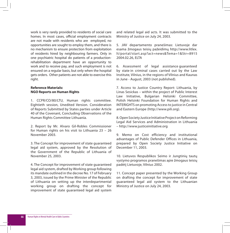work is very rarely provided to residents of social care homes. In most cases, official employment contracts are not made with residents who are employed, no opportunities are sought to employ them, and there is no mechanism to ensure protection from exploitation of residents hired by neighbouring farmers. Only in one psychiatric hospital do patients of a productionrehabilitation department have an opportunity to work and to receive pay, and such employment is not ensured on a regular basis, but only when the hospital gets orders. Other patients are not able to exercise this right.

## **Reference Materials: NGO Reports on Human Rights**

1. CCPR/CO/80/LTU, Human rights committee. Eightieth session, Unedited Version. Consideration of Reports Submitted by States parties under Article 40 of the Covenant, Concluding Observations of the Human Rights Committee Lithuania.

2. Report by Mr. Alvaro Gil-Robles Commissioner for Human rights on his visit to Lithuania 23 – 26 November 2003.

3. The Concept for improvement of state guaranteed legal aid system, approved by the Resolution of the Government of the Republic of Lithuania of November 25, 2003.

4. The Concept for improvement of state guaranteed legal aid system, drafted by Working group following its mandate outlined in the decree No. 17 of February 3, 2003, issued by the Prime Minister of the Republic of Lithuania on setting up the interdepartmental working group on drafting the concept for improvement of state guaranteed legal aid system

and related legal aid acts. It was submitted to the Ministry of Justice on July 24, 2003.

5. JAV departamento pranešimas: Lietuvoje dar esama žmogaus teisių pažeidimų http://www.litlex. lt/portal/start.asp?act=news&Tema=1&Str=8915 2004.02.26, ELTA

6. Assessment of legal assistance guaranteed by state in criminal cases carried out by the Law Institute, Vilnius, in the regions of Vilnius and Kaunas in June - August, 2003 (not published).

7. Access to Justice Country Report: Lithuania, by Linas Sesickas – within the project of Public Interest Law Initiative, Bulgarian Helsinki Committee, Polish Helsinki Foundation for Human Rights and INTERIGHTS on promoting Access to justice in Central and Eastern Europe (http://www.pili.org).

8. Open Society Justice Initiative Project on Reforming Legal Aid Services and Administration in Lithuania – http://www.justiceinitiative.org

9. Memo on Cost efficiency and institutional advantages of Public Defender Offices in Lithuania, prepared by Open Society Justice Initiative on December 11, 2003.

10. Lietuvos Respublikos Seimo ir Jungtinių tautų vystymo programos pranešimas apie žmogaus teisių padėtį Lietuvoje, Vilnius 2002.

11. Concept paper presented by the Working Group on drafting the concept for improvement of state guaranteed legal aid system to the Lithuanian Ministry of Justice on July 24, 2003.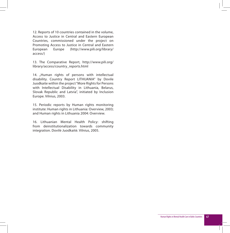12. Reports of 10 countries contained in the volume, Access to Justice in Central and Eastern European Countries, commissioned under the project on Promoting Access to Justice in Central and Eastern European Europe (http://www.pili.org/library/ access/)

13. The Comparative Report, http://www.pili.org/ library/access/country\_reports.html

14. "Human rights of persons with intellectual disability. Country Report LITHUANIA" by Dovile Juodkaite within the project "More Rights for Persons with Intellectual Disability in Lithuania, Belarus, Slovak Republic and Latvia", initiated by Inclusion Europe. Vilnius, 2003.

15. Periodic reports by Human rights monitoring institute: Human rights in Lithuania: Overview, 2003; and Human rights in Lithuania 2004: Overview.

16. Lithuanian Mental Health Policy: shifting from deinstitutionalization towards community integration. Dovilė Juodkaitė. Vilnius, 2005.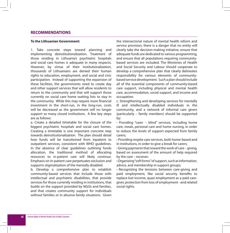## **RECOMMENDATIONS**

### **To the Lithuanian Government:**

1. Take concrete steps toward planning and implementing deinstitutionalization. Treatment of those residing in Lithuania's psychiatric hospitals and social care homes is adequate in many respects. However, by virtue of their institutionalization, thousands of Lithuanians are denied their human rights to education, employment, and social and civic participation. Instead of supporting the expansion of these facilities, the governments need to create day and other support services that will allow residents to return to the community and that will support those currently on social care home waiting lists to stay in the community. While this may require more financial investment in the short-run, in the long-run, costs will be decreased as the government will no longer support so many closed institutions. A few key steps are as follows:

a. Create a detailed timetable for the closure of the biggest psychiatric hospitals and social care homes. Creating a timetable is one important concrete step towards deinstitutionalization. The plan should detail how funds will be transitioned from inpatient to outpatient services, consistent with WHO guidelines. In the absence of clear guidelines outlining funds allocation, the traditional method of allocating resources to in-patient care will likely continue. Emphasis on in-patient care perpetuates exclusion and supports stigmatization of the mentally disabled.

b. Develop a comprehensive plan to establish community-based services that include those with intellectual and psychiatric disabilities, that provide services for those currently residing in institutions, that builds on the support provided by NGOs and families, and that creates community support for individuals without families or in abusive family situations. Given the intersectorial nature of mental health reform and service provision, there is a danger that no entity will clearly take the decision-making initiative, ensure that adequate funds are dedicated to various programming, and ensure that all populations requiring communitybased services are included. The Ministries of Health and Social Security and Labour should cooperate to develop a comprehensive plan that clearly delineates responsibility for various elements of communitybased service development. Such a plan should include all of the essential components of community-based care support, including physical and mental health care, accommodation, social support, and income and occupation.

c. Strengthening and developing services for mentally ill and intellectually disabled individuals in the community, and a network of informal care givers (particularly – family members) should be supported by:

**·** Providing "carer – blind" services, including home care, meals, personal care and home nursing, in order to reduce the levels of support expected from family carers;

**·** Providing respite care services, both home-based and in institutions, in order to give a break for carers;

**·** Giving payments that reward the work of care – giving, based on assessment of the amount of help required by the care – receiver;

**·** Organizing "soft forms" of support, such as information, advice, and membership in support groups;

**·** Recognizing the tensions between care-giving and paid employment, like social security benefits to replace lost income, quasi employment as a paid caregiver, protection from loss of employment –and related social rights.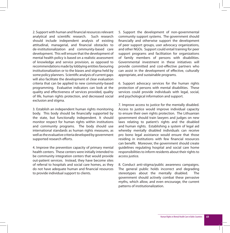2. Support with human and financial resources relevant analytical and scientific research. Such research should include independent analysis of existing attitudinal, managerial, and financial obstacles to de-institutionalization and community-based care development. This will ensure that the development of mental health policy is based on a realistic assessment of knowledge and service provision, as opposed to recommendations made by lobbying entities favouring institutionalization or to the biases and stigma held by some policy planners. Scientific analysis of current gaps will also facilitate the development of clear evaluation criteria that can be applied to new community-based programming. Evaluative indicators can look at the quality and effectiveness of services provided, quality of life, human rights protection, and decreased social exclusion and stigma.

3. Establish an independent human rights monitoring body. This body should be financially supported by the state, but functionally independent. It should monitor respect for human rights within institutions and community programs. The body should use international standards as human rights measures, as well as the evaluative criteria developed by government supported research efforts.

4. Improve the prevention capacity of primary mental health centers. These centers were initially intended to be community integration centers that would provide out-patient services. Instead, they have become sites of referral to hospitals and social care homes, as they do not have adequate human and financial resources to provide individual support to clients.

5. Support the development of non-governmental community support systems. The government should financially and otherwise support the development of peer support groups, user advocacy organizations, and other NGOs. Support could entail training for peer support programs and facilitation for organizations of family members of persons with disabilities. Governmental investment in these initiatives will provide committed and cost-effective partners who can assist in the development of effective, culturally appropriate, and sustainable programs.

6. Support advocacy services for the human rights protection of persons with mental disabilities. These services could provide individuals with legal, social, and psychological information and support.

7. Improve access to justice for the mentally disabled. Access to justice would improve individual capacity to ensure their own rights protection. The Lithuanian government should train lawyers and judges on new laws relating to patient's rights and the disabled and human rights. Establishing a system of legal aid whereby mentally disabled individuals can receive pro bono legal assistance would ensure that those residing in institutions with few financial resources can benefit. Moreover, the government should create guidelines regulating hospital and social care home responsibilities to inform residents about their rights to access justice.

8. Conduct anti-stigma/public awareness campaigns. The general public holds incorrect and degrading stereotypes about the mentally disabled. The government should actively combat these pervasive myths, which allow, and even encourage, the current patterns of institutionalization.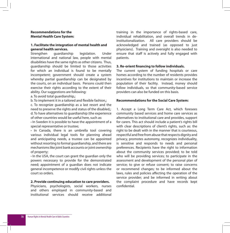## **Recommendations for the Mental Health Care System:**

## **1. Facilitate the integration of mental health and general health services.**

Strengthen guardianship legislation. Under international and national law, people with mental disabilities have the same rights as other citizens. Thus, guardianship should be limited to those activities for which an individual is found to be mentally incompetent; government should create a system whereby partial guardianship can be designated by the courts, on an individual basis. Persons could then exercise their rights according to the extent of their ability. Our suggestions are following:

a. To avoid total guardianship.:

b. To implement it in a tailored and flexible fashion.:

c. To recognize guardianship as a last resort and the need to preserve the rights and status of the disabled.: d. To have alternatives to guardianship (the experience of other countries would be useful here, such as:

**·** In Sweden it is possible to have the appointment of a special representative or trustee;

**·** In Canada, there is an umbrella tool covering various individual legal tools for planning ahead and anticipating needs, a trustee can be appointed without resorting to formal guardianship, and there are mechanisms like joint bank accounts or joint ownership of property;

**·** In the USA, the court can grant the guardian only the powers necessary to provide for the demonstrated need; appointment of a guardian does not indicate general incompetence or modify civil rights unless the court so orders.

#### **2. Provide continuing education to care providers.**

Physicians, psychologists, social workers, nurses and others employed in community-based and institutional services should receive additional

training in the importance of rights-based care, individual rehabilitation, and overall trends in deinstitutionalization. All care providers should be acknowledged and trained (as opposed to just physicians). Training and oversight is also needed to ensure that staff is actively and fully engaged with patients.

## **3. Re-orient financing to follow individuals.**

The current system of funding hospitals or care homes according to the number of residents provides incentives for institutions to maintain or increase the population of their facility. Instead, money should follow individuals, so that community-based service providers can also be funded on this basis.

### **Recommendations for the Social Care System:**

1. Accept a Long Term Care Act, which foresees community based services and home care services as alternatives to institutional care and provides, support for carers. This act should include a patient's rights bill with clear descriptions of client's rights, such as: the right to be dealt with in the manner that is courteous, respectful and free from abuse that respects dignity and privacy, promotes autonomy, recognizes individuality, is sensitive and responds to needs and personal preferences. Recipients have the right to information about the community services provided; to be told who will be providing services; to participate in the assessment and development of the personal plan of service; to give or refuse consent; to raise concerns or recommend changes; to be informed about the laws, rules and policies affecting the operation of the service provider; and be informed in writing about the complaint procedure and have records kept confidential.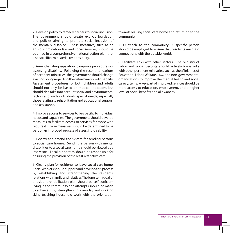2. Develop policy to remedy barriers to social inclusion. The government should create explicit legislation and policies aiming to promote social inclusion of the mentally disabled. These measures, such as an anti-discrimination law and social services, should be outlined in a comprehensive national action plan that also specifies ministerial responsibility.

3. Amend existing legislation to improve procedures for assessing disability. Following the recommendations of pertinent ministries, the government should change existing policy regarding the determination of disability. Assessment procedures for both children and adults should not only be based on medical indicators, but should also take into account social and environmental factors and each individual's special needs, especially those relating to rehabilitation and educational support and assistance.

4. Improve access to services to be specific to individual needs and capacities. The government should develop measures to facilitate access to services for those who require it. These measures should be determined to be part of an improved process of assessing disability.

5. Review and amend the system for sending persons to social care homes. Sending a person with mental disabilities to a social care home should be viewed as a last resort. Local authorities should be responsible for ensuring the provision of the least restrictive care.

6. Clearly plan for residents' to leave social care home. Social workers should support and develop this process by establishing and strengthening the resident's relations with family and relatives The long term goal of a resident rehabilitation plan should be self-sufficient living in the community and attempts should be made to achieve it by strengthening everyday and working skills, teaching household work with the orientation towards leaving social care home and returning to the community.

7. Outreach to the community. A specific person should be employed to ensure that residents maintain connections with the outside world.

8. Facilitate links with other sectors. The Ministry of Labor and Social Security should actively forge links with other pertinent ministries, such as the Ministries of Education, Labor, Welfare, Law, and non-governmental organizations to improve the mental health and social care systems. A key part of improved services should be more access to education, employment, and a higher level of social benefits and allowances.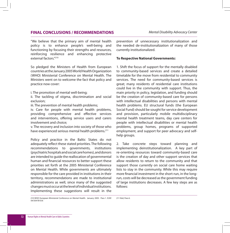# **FINAL CONCLUSIONS / RECOMMENDATIONS** *Mental Disability Advocacy Center*

"We believe that the primary aim of mental health policy is to enhance people's well-being and functioning by focusing their strengths and resources, reinforcing resilience and enhancing protective external factors<sup>"210</sup>

So pledged the Ministers of Health from European countries at the January 2005 World Health Organization (WHO) Ministerial Conference on Mental Health. The Ministers went on to welcome the fact that policy and practice now cover:

i. The promotion of mental well-being;

ii. The tackling of stigma, discrimination and social exclusion;

iii. The prevention of mental health problems;

iv. Care for people with mental health problems, providing comprehensive and effective services and interventions, offering service users and carers involvement and choice;

v. The recovery and inclusion into society of those who have experienced serious mental health problems.<sup>211</sup>

Policy and practice in the Baltic States do not adequately reflect these stated priorities. The following recommendations to governments, institutions (psychiatric hospitals and social care homes), and donors are intended to guide the reallocation of governmental human and financial resources to better support these priorities set forth at the 2005 Ministerial Conference on Mental Health. While governments are ultimately responsible for the care provided in institutions in their territory, recommendations are made to institutional administrations as well, since many of the suggested changes must occur at the level of individual institutions. Implementing these suggestions will result in the

prevention of unnecessary institutionalization and the needed de-institutionalization of many of those currently institutionalized.

### **To Respective National Governments:**

1. Shift the focus of support for the mentally disabled to community-based services and create a detailed timetable for the move from residential to community services. The need for community-based services is great; many residents of residential care institutions could live in the community with support. Thus, the main priority in policy, legislation, and funding should be the creation of community-based care for persons with intellectual disabilities and persons with mental health problems. EU structural funds (the European Social Fund) should be sought for service development and provision, particularly mobile multidisciplinary mental health treatment teams, day care centers for people with intellectual disabilities or mental health problems, group homes, programs of supported employment, and support for peer advocacy and selfhelp groups.

2. Take concrete steps toward planning and implementing deinstitutionalization. A key part of re-orienting resources toward community-based care is the creation of day and other support services that allow residents to return to the community and that support those currently on social care home waiting lists to stay in the community. While this may require more financial investment in the short-run, in the longrun, costs will be decreased as the government funding of large institutions decreases. A few key steps are as follows:

210 WHO European Ministerial Conference on Mental Health. January 2005. Para 1. EUR/ 04/5047810/6 211 Ibid, Para 6.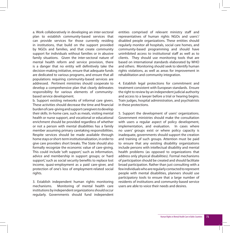a. Work collaboratively in developing an inter-sectoral plan to establish community-based services that can provide services for those currently residing in institutions, that build on the support provided by NGOs and families, and that create community support for individuals without families or in abusive family situations. Given the inter-sectoral nature of mental health reform and service provision, there is a danger that no entity will definitively take the decision-making initiative, ensure that adequate funds are dedicated to various programs, and ensure that all populations requiring community-based services are addressed. Pertinent ministries should cooperate to develop a comprehensive plan that clearly delineates responsibility for various elements of communitybased service development.

b. Support existing networks of informal care givers. These activities should decrease the time and financial burden of care-giving and support caregivers to develop their skills. In-home care, such as meals, visiting mental health or nurse support, and vocational or educational enrichment should be provided regardless of whether or not a person with mental disabilities has a family member assuming primary caretaking responsibilities. Respite services should be made available through home stays or short-term institutionalization, in order to give care providers short breaks. The State should also formally recognize the economic value of care-giving. This could include 'soft support,' such as information, advice and membership in support groups; or 'hard support,' such as social security benefits to replace lost income, quasi-employment as a paid care-giver, and protection of one's loss of employment-related social rights.

3. Establish independent human rights monitoring mechanisms. Monitoring of mental health care institutions by independent organizations should occur regularly. Governments should fund independent entities comprised of relevant ministry staff and representatives of human rights NGOs and users'/ disabled people organizations. These entities should regularly monitor all hospitals, social care homes, and community-based programming and should have uninhibited access to institutional staff as well as to clients. They should use monitoring tools that are based on international standards elaborated by WHO and others. Monitoring should seek to identify human rights violations, as well as areas for improvement in rehabilitation and community integration.

4. Establish legal protections for commitment and treatment consistent with European standards. Ensure the right to review by an independent judicial authority and access to a lawyer before a trial or hearing begins. Train judges, hospital administration, and psychiatrists in these protections.

5. Support the development of users' organizations. Government ministries should make the consultation with users a regular aspect of policy development. implementation, and evaluation. In cases where no users' groups exist or where policy capacity is inadequate, governments should support the creation and training of such groups. Attention must be paid to ensure that any existing disability organizations include persons with intellectual disability and mental health problems (as opposed to organizations that address only physical disabilities). Formal mechanisms of participation should be created and should facilitate broad participation. Rather than just consulting with a few individuals who are regularly contacted to represent people with mental disabilities, planners should use participatory tools to ensure that a large number of residents of institutions and community-based service users are able to voice their needs and desires.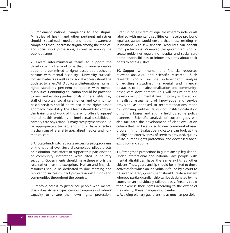6. Implement national campaigns to end stigma. Ministries of health and other pertinent ministries should spearhead media and other awareness campaigns that undermine stigma among the medical and social work professions, as well as among the public at large.

7. Create inter-ministerial teams to support the development of a workforce that is knowledgeable about and committed to rights-based approaches to persons with mental disability. University curricula for psychiatrists as well as for social workers should be updated to reflect WHO policy and international human rights standards pertinent to people with mental disabilities. Continuing education should be provided to new and existing professionals in these fields. Lay staff of hospitals, social care homes, and communitybased services should be trained in the rights-based approach to disability. These teams should also address the training and work of those who often 'diagnose' mental health problems or intellectual disabilities – primary care physicians. Primary care physicians should be appropriately trained, and should have effective mechanisms of referral to specialized medical and nonmedical care.

8. Allocate funding to replicate successful pilot programs on the national level. Several examples of pilot projects or institution level efforts to support true participation or community integration were cited in country sections. Governments should make these efforts the rule, rather than the exception. Human and financial resources should be dedicated to documenting and replicating successful pilot projects in institutions and communities throughout the country.

9. Improve access to justice for people with mental disabilities. Access to justice would improve individuals' capacity to ensure their own rights protection. Establishing a system of legal aid whereby individuals labelled with mental disabilities can receive pro bono legal assistance would ensure that those residing in institutions with few financial resources can benefit from protections. Moreover, the government should create guidelines regulating hospital and social care home responsibilities to inform residents about their rights to access justice.

10. Support with human and financial resources relevant analytical and scientific research. Such research should include independent analysis of existing attitudinal, managerial, and financial obstacles to de-institutionalization and communitybased care development. This will ensure that the development of mental health policy is based on a realistic assessment of knowledge and service provision, as opposed to recommendations made by lobbying entities favouring institutionalization or to the biases and stigma held by some policy planners. Scientific analysis of current gaps will also facilitate the development of clear evaluation criteria that can be applied to new community-based programming. Evaluative indicators can look at the quality and effectiveness of services provided, quality of life, human rights protection, and decreased social exclusion and stigma.

11. Strengthen protections in guardianship legislation. Under international and national law, people with mental disabilities have the same rights as other citizens. Thus, guardianship should be limited to those activities for which an individual is found by a court to be incapacitated, government should create a system whereby partial guardianship can be designated by the courts, on an individually-tailored basis. Persons could then exercise their rights according to the extent of their ability. These changes would entail:

a. Avoiding plenary guardianship as much as possible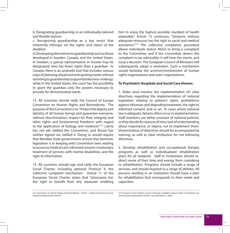b. Designating guardianship in an individually-tailored and flexible fashion

c. Recognising guardianship as a last resort that inherently infringes on the rights and status of the disabled

d. Developing alternatives to guardianship such as those developed in Sweden, Canada, and the United States. In Sweden, a special representative or trustee may be designated, who has fewer rights than a guardian. In Canada, there is an umbrella tool that includes various ways of planning ahead and anticipating needs without resorting to guardianship (supported decision-making); while in the United States, the court has the possibility to grant the guardian only the powers necessary to provide for demonstrated needs.

12. All countries should ratify the Council of Europe Convention on Human Rights and Biomedicine. The purpose of this Convention is to: "Protect the dignity and identity of all human beings and guarantee everyone, without discrimination, respect for their integrity and other rights and fundamental freedoms with regard to the application of biology and medicine."212 Latvia has not yet ratified the Convention, and Russia has neither signed nor ratified it. Doing so would require that Member State governments ensure that domestic legislation is in keeping with Convention laws relating to access to medical care, informed consent, involuntary treatment of persons with mental disabilities, and the right to information.

13. All countries should sign and ratify the European Social Charter, including optional Protocol X, the collective complaint mechanism. Article 11 of the European Social Charter states that "[e]veryone has the right to benefit from any measures enabling

him to enjoy the highest possible standard of health attainable." Article 13 continues: "[a]nyone without adequate resources has the right to social and medical assistance."213 The collective complaints procedure allows individuals and/or NGOs to bring a complaint to the Committee, and if the Committee deems the complaint to be admissible, it will hear the merits, and issue a decision. The European Council of Ministers will subsequently adopt a resolution. Such a mechanism would facilitate the activism/involvement of human rights organizations and users' organizations.

## **To Psychiatric Hospitals and Social Care Homes:**

1. Make (and monitor the implementation of) clear directives regarding the implementation of national legislation relating to patient's rights, prohibitions against inhuman and degrading treatment, the right to informed consent, and so on. In cases where national law is adequate, failures often occur in implementation. Staff members are either unaware of national policies; or they decide for reasons of time, lack of understanding about importance, or stigma, not to implement them. Dissemination of directives should be accompanied by training, as well as clear retribution for not following directives.

2. Develop rehabilitation and occupational therapy programs as well as individualized rehabilitation plans for all residents. Staff in institutions should redirect some of their time and energy from caretaking to rehabilitation. Programs should include a range of services, and should respond to a range of abilities. All persons residing in an institution should have a plan for rehabilitation that corresponds to their needs and capacities.

213 European Social Charter, Council of Europe. Available online at http://conventions.coe. int/treaty/en/treaties/html/163.htm Accessed April 15, 2004.

<sup>212</sup> Convention on Human Rights and Biomedicine. Article 1. http://conventions.coe.int/ treaty/en/treaties/html/164.htm